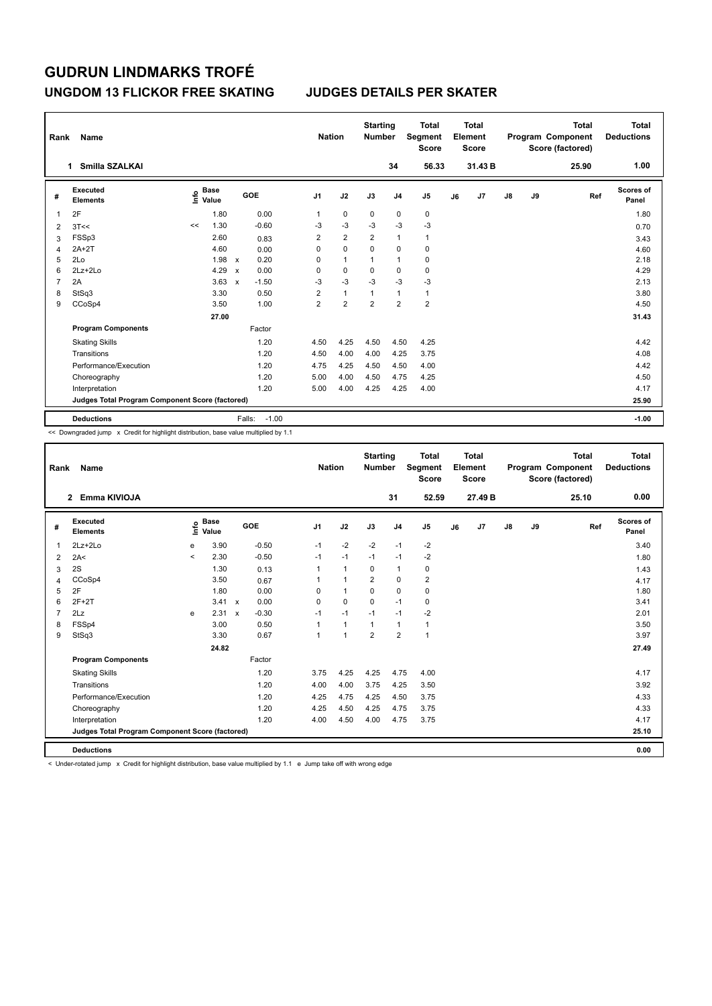### **UNGDOM 13 FLICKOR FREE SKATING JUDGES DETAILS PER SKATER**

| Rank | Name                                            |                                  |                         |                | <b>Nation</b>  | <b>Starting</b><br><b>Number</b> |                | <b>Total</b><br>Segment<br><b>Score</b> |    | <b>Total</b><br>Element<br><b>Score</b> |               |    | <b>Total</b><br>Program Component<br>Score (factored) | Total<br><b>Deductions</b> |
|------|-------------------------------------------------|----------------------------------|-------------------------|----------------|----------------|----------------------------------|----------------|-----------------------------------------|----|-----------------------------------------|---------------|----|-------------------------------------------------------|----------------------------|
|      | Smilla SZALKAI<br>1                             |                                  |                         |                |                |                                  | 34             | 56.33                                   |    | 31.43 B                                 |               |    | 25.90                                                 | 1.00                       |
| #    | <b>Executed</b><br><b>Elements</b>              | <b>Base</b><br>e Base<br>⊆ Value | GOE                     | J <sub>1</sub> | J2             | J3                               | J <sub>4</sub> | J <sub>5</sub>                          | J6 | J7                                      | $\mathsf{J}8$ | J9 | Ref                                                   | Scores of<br>Panel         |
| 1    | 2F                                              | 1.80                             | 0.00                    | 1              | $\mathbf 0$    | 0                                | 0              | 0                                       |    |                                         |               |    |                                                       | 1.80                       |
| 2    | 3T<<                                            | 1.30<br><<                       | $-0.60$                 | $-3$           | $-3$           | $-3$                             | $-3$           | $-3$                                    |    |                                         |               |    |                                                       | 0.70                       |
| 3    | FSSp3                                           | 2.60                             | 0.83                    | $\overline{2}$ | $\overline{2}$ | $\overline{2}$                   | $\mathbf{1}$   | $\mathbf{1}$                            |    |                                         |               |    |                                                       | 3.43                       |
| 4    | $2A+2T$                                         | 4.60                             | 0.00                    | 0              | $\mathbf 0$    | $\Omega$                         | $\mathbf 0$    | $\mathbf 0$                             |    |                                         |               |    |                                                       | 4.60                       |
| 5    | 2Lo                                             | 1.98                             | 0.20<br>$\mathsf{x}$    | 0              | $\mathbf{1}$   | 1                                | $\overline{1}$ | $\mathbf 0$                             |    |                                         |               |    |                                                       | 2.18                       |
| 6    | $2Lz+2Lo$                                       | 4.29                             | 0.00<br>$\mathbf x$     | 0              | $\mathbf 0$    | 0                                | $\mathbf 0$    | $\pmb{0}$                               |    |                                         |               |    |                                                       | 4.29                       |
| 7    | 2A                                              | 3.63                             | $-1.50$<br>$\mathbf{x}$ | $-3$           | $-3$           | $-3$                             | $-3$           | $-3$                                    |    |                                         |               |    |                                                       | 2.13                       |
| 8    | StSq3                                           | 3.30                             | 0.50                    | $\overline{2}$ | $\mathbf{1}$   | 1                                | $\mathbf{1}$   | $\mathbf{1}$                            |    |                                         |               |    |                                                       | 3.80                       |
| 9    | CCoSp4                                          | 3.50                             | 1.00                    | $\overline{2}$ | $\overline{2}$ | $\overline{2}$                   | $\overline{2}$ | $\overline{2}$                          |    |                                         |               |    |                                                       | 4.50                       |
|      |                                                 | 27.00                            |                         |                |                |                                  |                |                                         |    |                                         |               |    |                                                       | 31.43                      |
|      | <b>Program Components</b>                       |                                  | Factor                  |                |                |                                  |                |                                         |    |                                         |               |    |                                                       |                            |
|      | <b>Skating Skills</b>                           |                                  | 1.20                    | 4.50           | 4.25           | 4.50                             | 4.50           | 4.25                                    |    |                                         |               |    |                                                       | 4.42                       |
|      | Transitions                                     |                                  | 1.20                    | 4.50           | 4.00           | 4.00                             | 4.25           | 3.75                                    |    |                                         |               |    |                                                       | 4.08                       |
|      | Performance/Execution                           |                                  | 1.20                    | 4.75           | 4.25           | 4.50                             | 4.50           | 4.00                                    |    |                                         |               |    |                                                       | 4.42                       |
|      | Choreography                                    |                                  | 1.20                    | 5.00           | 4.00           | 4.50                             | 4.75           | 4.25                                    |    |                                         |               |    |                                                       | 4.50                       |
|      | Interpretation                                  |                                  | 1.20                    | 5.00           | 4.00           | 4.25                             | 4.25           | 4.00                                    |    |                                         |               |    |                                                       | 4.17                       |
|      | Judges Total Program Component Score (factored) |                                  |                         |                |                |                                  |                |                                         |    |                                         |               |    |                                                       | 25.90                      |
|      | <b>Deductions</b>                               |                                  | $-1.00$<br>Falls:       |                |                |                                  |                |                                         |    |                                         |               |    |                                                       | $-1.00$                    |

<< Downgraded jump x Credit for highlight distribution, base value multiplied by 1.1

| Rank           | Name                                            |         |                      |                           |         |                | <b>Nation</b> | <b>Starting</b><br><b>Number</b> |                | <b>Total</b><br>Segment<br><b>Score</b> |    | <b>Total</b><br>Element<br><b>Score</b> |    |    | <b>Total</b><br>Program Component<br>Score (factored) | <b>Total</b><br><b>Deductions</b> |
|----------------|-------------------------------------------------|---------|----------------------|---------------------------|---------|----------------|---------------|----------------------------------|----------------|-----------------------------------------|----|-----------------------------------------|----|----|-------------------------------------------------------|-----------------------------------|
|                | 2 Emma KIVIOJA                                  |         |                      |                           |         |                |               |                                  | 31             | 52.59                                   |    | 27.49 B                                 |    |    | 25.10                                                 | 0.00                              |
| #              | <b>Executed</b><br><b>Elements</b>              | ۴ê      | <b>Base</b><br>Value | GOE                       |         | J <sub>1</sub> | J2            | J3                               | J <sub>4</sub> | J5                                      | J6 | J7                                      | J8 | J9 | Ref                                                   | <b>Scores of</b><br>Panel         |
| 1              | $2Lz+2Lo$                                       | e       | 3.90                 |                           | $-0.50$ | $-1$           | $-2$          | $-2$                             | $-1$           | $-2$                                    |    |                                         |    |    |                                                       | 3.40                              |
| $\overline{2}$ | 2A<                                             | $\prec$ | 2.30                 |                           | $-0.50$ | $-1$           | $-1$          | $-1$                             | $-1$           | $-2$                                    |    |                                         |    |    |                                                       | 1.80                              |
| 3              | 2S                                              |         | 1.30                 |                           | 0.13    | 1              | $\mathbf{1}$  | $\Omega$                         | $\mathbf{1}$   | $\mathbf 0$                             |    |                                         |    |    |                                                       | 1.43                              |
| 4              | CCoSp4                                          |         | 3.50                 |                           | 0.67    | 1              | 1             | $\overline{2}$                   | $\mathbf 0$    | $\overline{\mathbf{c}}$                 |    |                                         |    |    |                                                       | 4.17                              |
| 5              | 2F                                              |         | 1.80                 |                           | 0.00    | $\Omega$       | $\mathbf{1}$  | $\Omega$                         | $\mathbf 0$    | $\pmb{0}$                               |    |                                         |    |    |                                                       | 1.80                              |
| 6              | $2F+2T$                                         |         | $3.41 \times$        |                           | 0.00    | 0              | 0             | $\Omega$                         | $-1$           | $\mathbf 0$                             |    |                                         |    |    |                                                       | 3.41                              |
| 7              | 2Lz                                             | e       | 2.31                 | $\boldsymbol{\mathsf{x}}$ | $-0.30$ | $-1$           | $-1$          | $-1$                             | $-1$           | $-2$                                    |    |                                         |    |    |                                                       | 2.01                              |
| 8              | FSSp4                                           |         | 3.00                 |                           | 0.50    | 1              | $\mathbf{1}$  | $\mathbf{1}$                     | $\mathbf{1}$   | $\mathbf{1}$                            |    |                                         |    |    |                                                       | 3.50                              |
| 9              | StSq3                                           |         | 3.30                 |                           | 0.67    | 1              | 1             | $\overline{2}$                   | $\overline{2}$ | $\mathbf{1}$                            |    |                                         |    |    |                                                       | 3.97                              |
|                |                                                 |         | 24.82                |                           |         |                |               |                                  |                |                                         |    |                                         |    |    |                                                       | 27.49                             |
|                | <b>Program Components</b>                       |         |                      |                           | Factor  |                |               |                                  |                |                                         |    |                                         |    |    |                                                       |                                   |
|                | <b>Skating Skills</b>                           |         |                      |                           | 1.20    | 3.75           | 4.25          | 4.25                             | 4.75           | 4.00                                    |    |                                         |    |    |                                                       | 4.17                              |
|                | Transitions                                     |         |                      |                           | 1.20    | 4.00           | 4.00          | 3.75                             | 4.25           | 3.50                                    |    |                                         |    |    |                                                       | 3.92                              |
|                | Performance/Execution                           |         |                      |                           | 1.20    | 4.25           | 4.75          | 4.25                             | 4.50           | 3.75                                    |    |                                         |    |    |                                                       | 4.33                              |
|                | Choreography                                    |         |                      |                           | 1.20    | 4.25           | 4.50          | 4.25                             | 4.75           | 3.75                                    |    |                                         |    |    |                                                       | 4.33                              |
|                | Interpretation                                  |         |                      |                           | 1.20    | 4.00           | 4.50          | 4.00                             | 4.75           | 3.75                                    |    |                                         |    |    |                                                       | 4.17                              |
|                | Judges Total Program Component Score (factored) |         |                      |                           |         |                |               |                                  |                |                                         |    |                                         |    |    |                                                       | 25.10                             |
|                | <b>Deductions</b>                               |         |                      |                           |         |                |               |                                  |                |                                         |    |                                         |    |    |                                                       | 0.00                              |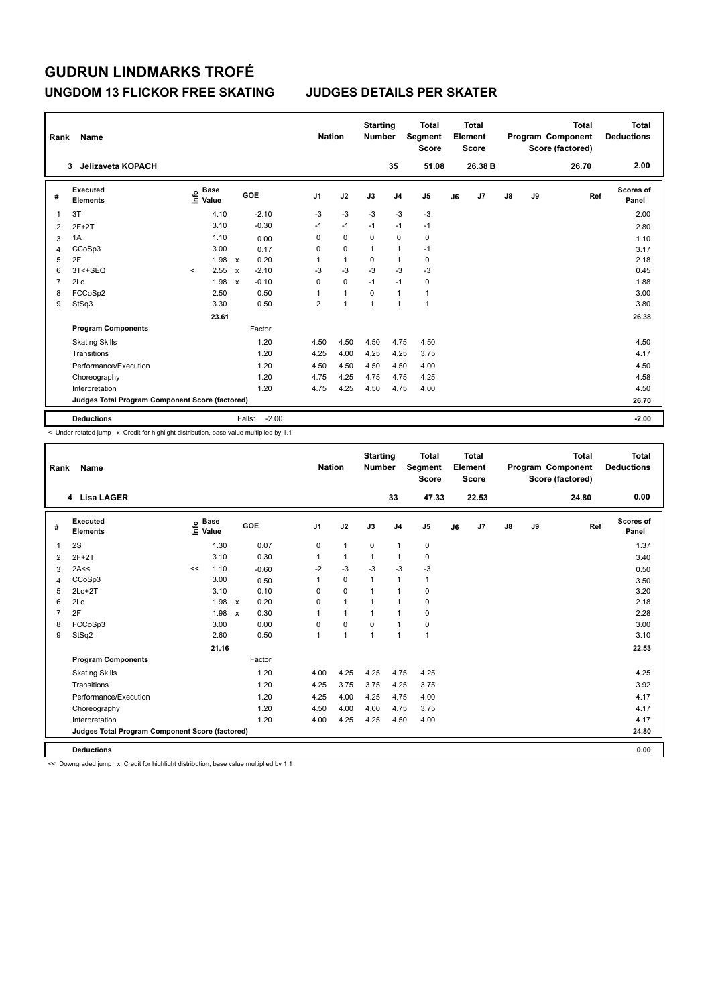### **UNGDOM 13 FLICKOR FREE SKATING JUDGES DETAILS PER SKATER**

| Rank           | Name                                            |                                  |                                      |                | <b>Nation</b> | <b>Starting</b><br><b>Number</b> |                | <b>Total</b><br>Segment<br><b>Score</b> |    | <b>Total</b><br>Element<br><b>Score</b> |               |    | <b>Total</b><br>Program Component<br>Score (factored) | Total<br><b>Deductions</b> |
|----------------|-------------------------------------------------|----------------------------------|--------------------------------------|----------------|---------------|----------------------------------|----------------|-----------------------------------------|----|-----------------------------------------|---------------|----|-------------------------------------------------------|----------------------------|
|                | Jelizaveta KOPACH<br>3                          |                                  |                                      |                |               |                                  | 35             | 51.08                                   |    | 26.38 B                                 |               |    | 26.70                                                 | 2.00                       |
| #              | Executed<br><b>Elements</b>                     | <b>Base</b><br>e Base<br>⊆ Value | GOE                                  | J1             | J2            | J3                               | J <sub>4</sub> | J <sub>5</sub>                          | J6 | J7                                      | $\mathsf{J}8$ | J9 | Ref                                                   | Scores of<br>Panel         |
|                | 3T                                              | 4.10                             | $-2.10$                              | $-3$           | $-3$          | $-3$                             | $-3$           | $-3$                                    |    |                                         |               |    |                                                       | 2.00                       |
| $\overline{2}$ | $2F+2T$                                         | 3.10                             | $-0.30$                              | $-1$           | $-1$          | $-1$                             | $-1$           | $-1$                                    |    |                                         |               |    |                                                       | 2.80                       |
| 3              | 1A                                              | 1.10                             | 0.00                                 | 0              | $\mathbf 0$   | $\Omega$                         | $\mathbf 0$    | $\pmb{0}$                               |    |                                         |               |    |                                                       | 1.10                       |
| 4              | CCoSp3                                          | 3.00                             | 0.17                                 | 0              | $\mathbf 0$   | 1                                | $\overline{1}$ | $-1$                                    |    |                                         |               |    |                                                       | 3.17                       |
| 5              | 2F                                              | 1.98                             | 0.20<br>$\boldsymbol{\mathsf{x}}$    | 1              | $\mathbf{1}$  | 0                                | $\overline{1}$ | 0                                       |    |                                         |               |    |                                                       | 2.18                       |
| 6              | 3T<+SEQ                                         | 2.55<br>$\prec$                  | $-2.10$<br>$\mathbf{x}$              | $-3$           | $-3$          | $-3$                             | $-3$           | $-3$                                    |    |                                         |               |    |                                                       | 0.45                       |
| 7              | 2Lo                                             | 1.98                             | $-0.10$<br>$\boldsymbol{\mathsf{x}}$ | 0              | $\mathbf 0$   | $-1$                             | $-1$           | 0                                       |    |                                         |               |    |                                                       | 1.88                       |
| 8              | FCCoSp2                                         | 2.50                             | 0.50                                 | 1              | $\mathbf{1}$  | 0                                | $\overline{1}$ | $\mathbf{1}$                            |    |                                         |               |    |                                                       | 3.00                       |
| 9              | StSq3                                           | 3.30                             | 0.50                                 | $\overline{2}$ | 1             | 1                                | $\overline{1}$ | 1                                       |    |                                         |               |    |                                                       | 3.80                       |
|                |                                                 | 23.61                            |                                      |                |               |                                  |                |                                         |    |                                         |               |    |                                                       | 26.38                      |
|                | <b>Program Components</b>                       |                                  | Factor                               |                |               |                                  |                |                                         |    |                                         |               |    |                                                       |                            |
|                | <b>Skating Skills</b>                           |                                  | 1.20                                 | 4.50           | 4.50          | 4.50                             | 4.75           | 4.50                                    |    |                                         |               |    |                                                       | 4.50                       |
|                | Transitions                                     |                                  | 1.20                                 | 4.25           | 4.00          | 4.25                             | 4.25           | 3.75                                    |    |                                         |               |    |                                                       | 4.17                       |
|                | Performance/Execution                           |                                  | 1.20                                 | 4.50           | 4.50          | 4.50                             | 4.50           | 4.00                                    |    |                                         |               |    |                                                       | 4.50                       |
|                | Choreography                                    |                                  | 1.20                                 | 4.75           | 4.25          | 4.75                             | 4.75           | 4.25                                    |    |                                         |               |    |                                                       | 4.58                       |
|                | Interpretation                                  |                                  | 1.20                                 | 4.75           | 4.25          | 4.50                             | 4.75           | 4.00                                    |    |                                         |               |    |                                                       | 4.50                       |
|                | Judges Total Program Component Score (factored) |                                  |                                      |                |               |                                  |                |                                         |    |                                         |               |    |                                                       | 26.70                      |
|                | <b>Deductions</b>                               |                                  | $-2.00$<br>Falls:                    |                |               |                                  |                |                                         |    |                                         |               |    |                                                       | $-2.00$                    |

< Under-rotated jump x Credit for highlight distribution, base value multiplied by 1.1

| Rank           | <b>Name</b>                                     |                                             |       |                                   | <b>Nation</b>  |                      | <b>Starting</b><br><b>Number</b> |                | <b>Total</b><br>Segment<br><b>Score</b> |    | Total<br>Element<br><b>Score</b> |               |    | <b>Total</b><br>Program Component<br>Score (factored) | <b>Total</b><br><b>Deductions</b> |
|----------------|-------------------------------------------------|---------------------------------------------|-------|-----------------------------------|----------------|----------------------|----------------------------------|----------------|-----------------------------------------|----|----------------------------------|---------------|----|-------------------------------------------------------|-----------------------------------|
|                | 4 Lisa LAGER                                    |                                             |       |                                   |                |                      |                                  | 33             | 47.33                                   |    | 22.53                            |               |    | 24.80                                                 | 0.00                              |
| #              | Executed<br><b>Elements</b>                     | <b>Base</b><br>e <sup>Base</sup><br>⊆ Value |       | GOE                               | J <sub>1</sub> | J2                   | J3                               | J <sub>4</sub> | J <sub>5</sub>                          | J6 | J7                               | $\mathsf{J}8$ | J9 | Ref                                                   | <b>Scores of</b><br>Panel         |
| $\overline{1}$ | 2S                                              |                                             | 1.30  | 0.07                              | $\mathbf 0$    | $\mathbf{1}$         | $\mathbf 0$                      | $\mathbf{1}$   | $\pmb{0}$                               |    |                                  |               |    |                                                       | 1.37                              |
| 2              | $2F+2T$                                         |                                             | 3.10  | 0.30                              | 1              | $\mathbf{1}$         | $\mathbf{1}$                     | $\mathbf{1}$   | $\mathbf 0$                             |    |                                  |               |    |                                                       | 3.40                              |
| 3              | 2A<<                                            | <<                                          | 1.10  | $-0.60$                           | $-2$           | $-3$                 | $-3$                             | $-3$           | $-3$                                    |    |                                  |               |    |                                                       | 0.50                              |
| 4              | CCoSp3                                          |                                             | 3.00  | 0.50                              | $\mathbf{1}$   | $\mathbf 0$          | $\mathbf{1}$                     | $\mathbf{1}$   | $\mathbf{1}$                            |    |                                  |               |    |                                                       | 3.50                              |
| 5              | $2Lo+2T$                                        |                                             | 3.10  | 0.10                              | 0              | $\mathbf 0$          | $\mathbf{1}$                     | $\mathbf{1}$   | 0                                       |    |                                  |               |    |                                                       | 3.20                              |
| 6              | 2Lo                                             |                                             | 1.98  | 0.20<br>$\mathsf{x}$              | $\Omega$       | $\mathbf{1}$         | $\overline{1}$                   | $\mathbf{1}$   | $\mathbf 0$                             |    |                                  |               |    |                                                       | 2.18                              |
| $\overline{7}$ | 2F                                              |                                             | 1.98  | 0.30<br>$\boldsymbol{\mathsf{x}}$ |                | $\mathbf{1}$         | $\mathbf{1}$                     | $\mathbf{1}$   | $\mathbf 0$                             |    |                                  |               |    |                                                       | 2.28                              |
| 8              | FCCoSp3                                         |                                             | 3.00  | 0.00                              | $\Omega$       | $\mathbf 0$          | $\Omega$                         | $\mathbf{1}$   | 0                                       |    |                                  |               |    |                                                       | 3.00                              |
| 9              | StSq2                                           |                                             | 2.60  | 0.50                              |                | $\blacktriangleleft$ | $\overline{1}$                   | $\mathbf{1}$   | $\mathbf{1}$                            |    |                                  |               |    |                                                       | 3.10                              |
|                |                                                 |                                             | 21.16 |                                   |                |                      |                                  |                |                                         |    |                                  |               |    |                                                       | 22.53                             |
|                | <b>Program Components</b>                       |                                             |       | Factor                            |                |                      |                                  |                |                                         |    |                                  |               |    |                                                       |                                   |
|                | <b>Skating Skills</b>                           |                                             |       | 1.20                              | 4.00           | 4.25                 | 4.25                             | 4.75           | 4.25                                    |    |                                  |               |    |                                                       | 4.25                              |
|                | Transitions                                     |                                             |       | 1.20                              | 4.25           | 3.75                 | 3.75                             | 4.25           | 3.75                                    |    |                                  |               |    |                                                       | 3.92                              |
|                | Performance/Execution                           |                                             |       | 1.20                              | 4.25           | 4.00                 | 4.25                             | 4.75           | 4.00                                    |    |                                  |               |    |                                                       | 4.17                              |
|                | Choreography                                    |                                             |       | 1.20                              | 4.50           | 4.00                 | 4.00                             | 4.75           | 3.75                                    |    |                                  |               |    |                                                       | 4.17                              |
|                | Interpretation                                  |                                             |       | 1.20                              | 4.00           | 4.25                 | 4.25                             | 4.50           | 4.00                                    |    |                                  |               |    |                                                       | 4.17                              |
|                | Judges Total Program Component Score (factored) |                                             |       |                                   |                |                      |                                  |                |                                         |    |                                  |               |    |                                                       | 24.80                             |
|                | <b>Deductions</b>                               |                                             |       |                                   |                |                      |                                  |                |                                         |    |                                  |               |    |                                                       | 0.00                              |

<< Downgraded jump x Credit for highlight distribution, base value multiplied by 1.1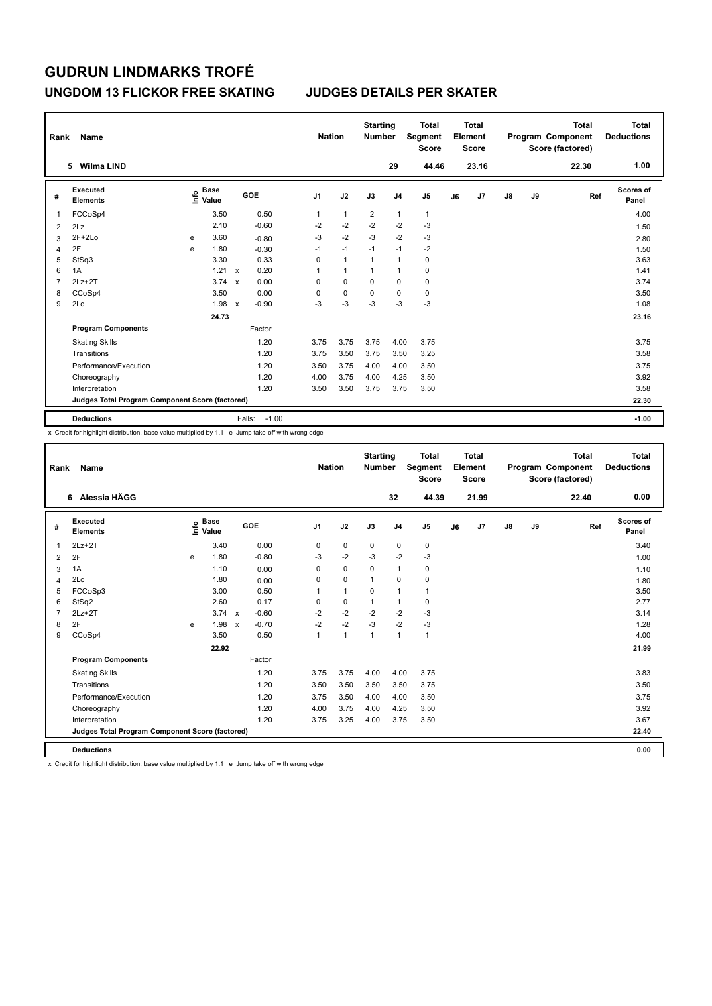### **UNGDOM 13 FLICKOR FREE SKATING JUDGES DETAILS PER SKATER**

| Rank           | Name                                            |   |                                  |                           |                   | <b>Nation</b> |              | <b>Starting</b><br><b>Number</b> |                | <b>Total</b><br>Segment<br><b>Score</b> |    | <b>Total</b><br>Element<br><b>Score</b> |               |    | <b>Total</b><br>Program Component<br>Score (factored) | <b>Total</b><br><b>Deductions</b> |
|----------------|-------------------------------------------------|---|----------------------------------|---------------------------|-------------------|---------------|--------------|----------------------------------|----------------|-----------------------------------------|----|-----------------------------------------|---------------|----|-------------------------------------------------------|-----------------------------------|
|                | <b>Wilma LIND</b><br>5.                         |   |                                  |                           |                   |               |              |                                  | 29             | 44.46                                   |    | 23.16                                   |               |    | 22.30                                                 | 1.00                              |
| #              | Executed<br><b>Elements</b>                     |   | <b>Base</b><br>e Base<br>⊆ Value |                           | <b>GOE</b>        | J1            | J2           | J3                               | J <sub>4</sub> | J <sub>5</sub>                          | J6 | J7                                      | $\mathsf{J}8$ | J9 | Ref                                                   | Scores of<br>Panel                |
|                | FCCoSp4                                         |   | 3.50                             |                           | 0.50              | 1             | $\mathbf{1}$ | $\overline{2}$                   | $\overline{1}$ | $\mathbf{1}$                            |    |                                         |               |    |                                                       | 4.00                              |
| $\overline{2}$ | 2Lz                                             |   | 2.10                             |                           | $-0.60$           | $-2$          | $-2$         | $-2$                             | $-2$           | $-3$                                    |    |                                         |               |    |                                                       | 1.50                              |
| 3              | $2F+2Lo$                                        | e | 3.60                             |                           | $-0.80$           | $-3$          | $-2$         | $-3$                             | $-2$           | $-3$                                    |    |                                         |               |    |                                                       | 2.80                              |
| 4              | 2F                                              | e | 1.80                             |                           | $-0.30$           | $-1$          | $-1$         | $-1$                             | $-1$           | $-2$                                    |    |                                         |               |    |                                                       | 1.50                              |
| 5              | StSq3                                           |   | 3.30                             |                           | 0.33              | 0             | $\mathbf{1}$ | $\mathbf{1}$                     | $\overline{1}$ | 0                                       |    |                                         |               |    |                                                       | 3.63                              |
| 6              | 1A                                              |   | 1.21                             | $\mathsf{x}$              | 0.20              | 1             | $\mathbf{1}$ | 1                                | $\overline{1}$ | $\pmb{0}$                               |    |                                         |               |    |                                                       | 1.41                              |
| 7              | $2Lz+2T$                                        |   | 3.74                             | $\boldsymbol{\mathsf{x}}$ | 0.00              | 0             | $\mathbf 0$  | $\Omega$                         | $\mathbf 0$    | $\pmb{0}$                               |    |                                         |               |    |                                                       | 3.74                              |
| 8              | CCoSp4                                          |   | 3.50                             |                           | 0.00              | 0             | $\mathbf 0$  | 0                                | 0              | 0                                       |    |                                         |               |    |                                                       | 3.50                              |
| 9              | 2Lo                                             |   | 1.98                             | $\boldsymbol{\mathsf{x}}$ | $-0.90$           | $-3$          | $-3$         | $-3$                             | $-3$           | $-3$                                    |    |                                         |               |    |                                                       | 1.08                              |
|                |                                                 |   | 24.73                            |                           |                   |               |              |                                  |                |                                         |    |                                         |               |    |                                                       | 23.16                             |
|                | <b>Program Components</b>                       |   |                                  |                           | Factor            |               |              |                                  |                |                                         |    |                                         |               |    |                                                       |                                   |
|                | <b>Skating Skills</b>                           |   |                                  |                           | 1.20              | 3.75          | 3.75         | 3.75                             | 4.00           | 3.75                                    |    |                                         |               |    |                                                       | 3.75                              |
|                | Transitions                                     |   |                                  |                           | 1.20              | 3.75          | 3.50         | 3.75                             | 3.50           | 3.25                                    |    |                                         |               |    |                                                       | 3.58                              |
|                | Performance/Execution                           |   |                                  |                           | 1.20              | 3.50          | 3.75         | 4.00                             | 4.00           | 3.50                                    |    |                                         |               |    |                                                       | 3.75                              |
|                | Choreography                                    |   |                                  |                           | 1.20              | 4.00          | 3.75         | 4.00                             | 4.25           | 3.50                                    |    |                                         |               |    |                                                       | 3.92                              |
|                | Interpretation                                  |   |                                  |                           | 1.20              | 3.50          | 3.50         | 3.75                             | 3.75           | 3.50                                    |    |                                         |               |    |                                                       | 3.58                              |
|                | Judges Total Program Component Score (factored) |   |                                  |                           |                   |               |              |                                  |                |                                         |    |                                         |               |    |                                                       | 22.30                             |
|                | <b>Deductions</b>                               |   |                                  |                           | Falls:<br>$-1.00$ |               |              |                                  |                |                                         |    |                                         |               |    |                                                       | $-1.00$                           |

x Credit for highlight distribution, base value multiplied by 1.1 e Jump take off with wrong edge

| Rank           | Name                                            |   |                                  |                           |         |                | <b>Nation</b> | <b>Starting</b><br><b>Number</b> |                | <b>Total</b><br>Segment<br><b>Score</b> |    | <b>Total</b><br>Element<br><b>Score</b> |               |    | <b>Total</b><br>Program Component<br>Score (factored) | <b>Total</b><br><b>Deductions</b> |
|----------------|-------------------------------------------------|---|----------------------------------|---------------------------|---------|----------------|---------------|----------------------------------|----------------|-----------------------------------------|----|-----------------------------------------|---------------|----|-------------------------------------------------------|-----------------------------------|
|                | 6 Alessia HÄGG                                  |   |                                  |                           |         |                |               |                                  | 32             | 44.39                                   |    | 21.99                                   |               |    | 22.40                                                 | 0.00                              |
| #              | Executed<br><b>Elements</b>                     |   | <b>Base</b><br>e Base<br>⊆ Value |                           | GOE     | J <sub>1</sub> | J2            | J3                               | J <sub>4</sub> | J <sub>5</sub>                          | J6 | J7                                      | $\mathsf{J}8$ | J9 | Ref                                                   | Scores of<br>Panel                |
| 1              | $2Lz+2T$                                        |   | 3.40                             |                           | 0.00    | 0              | $\mathbf 0$   | $\mathbf 0$                      | $\mathbf 0$    | $\mathbf 0$                             |    |                                         |               |    |                                                       | 3.40                              |
| 2              | 2F                                              | e | 1.80                             |                           | $-0.80$ | $-3$           | $-2$          | $-3$                             | $-2$           | $-3$                                    |    |                                         |               |    |                                                       | 1.00                              |
| 3              | 1A                                              |   | 1.10                             |                           | 0.00    | $\Omega$       | $\Omega$      | $\Omega$                         | $\mathbf{1}$   | 0                                       |    |                                         |               |    |                                                       | 1.10                              |
| 4              | 2Lo                                             |   | 1.80                             |                           | 0.00    | 0              | $\mathbf 0$   | 1                                | $\mathbf 0$    | $\mathbf 0$                             |    |                                         |               |    |                                                       | 1.80                              |
| 5              | FCCoSp3                                         |   | 3.00                             |                           | 0.50    | $\mathbf{1}$   | $\mathbf{1}$  | $\mathbf 0$                      | $\mathbf{1}$   | 1                                       |    |                                         |               |    |                                                       | 3.50                              |
| 6              | StSq2                                           |   | 2.60                             |                           | 0.17    | $\Omega$       | $\mathbf 0$   | $\mathbf{1}$                     | $\mathbf{1}$   | 0                                       |    |                                         |               |    |                                                       | 2.77                              |
| $\overline{7}$ | $2Lz+2T$                                        |   | 3.74                             | $\mathsf{x}$              | $-0.60$ | $-2$           | $-2$          | $-2$                             | $-2$           | $-3$                                    |    |                                         |               |    |                                                       | 3.14                              |
| 8              | 2F                                              | e | 1.98                             | $\boldsymbol{\mathsf{x}}$ | $-0.70$ | $-2$           | $-2$          | $-3$                             | $-2$           | $-3$                                    |    |                                         |               |    |                                                       | 1.28                              |
| 9              | CCoSp4                                          |   | 3.50                             |                           | 0.50    | $\mathbf{1}$   | $\mathbf{1}$  | $\mathbf{1}$                     | $\mathbf{1}$   | $\mathbf{1}$                            |    |                                         |               |    |                                                       | 4.00                              |
|                |                                                 |   | 22.92                            |                           |         |                |               |                                  |                |                                         |    |                                         |               |    |                                                       | 21.99                             |
|                | <b>Program Components</b>                       |   |                                  |                           | Factor  |                |               |                                  |                |                                         |    |                                         |               |    |                                                       |                                   |
|                | <b>Skating Skills</b>                           |   |                                  |                           | 1.20    | 3.75           | 3.75          | 4.00                             | 4.00           | 3.75                                    |    |                                         |               |    |                                                       | 3.83                              |
|                | Transitions                                     |   |                                  |                           | 1.20    | 3.50           | 3.50          | 3.50                             | 3.50           | 3.75                                    |    |                                         |               |    |                                                       | 3.50                              |
|                | Performance/Execution                           |   |                                  |                           | 1.20    | 3.75           | 3.50          | 4.00                             | 4.00           | 3.50                                    |    |                                         |               |    |                                                       | 3.75                              |
|                | Choreography                                    |   |                                  |                           | 1.20    | 4.00           | 3.75          | 4.00                             | 4.25           | 3.50                                    |    |                                         |               |    |                                                       | 3.92                              |
|                | Interpretation                                  |   |                                  |                           | 1.20    | 3.75           | 3.25          | 4.00                             | 3.75           | 3.50                                    |    |                                         |               |    |                                                       | 3.67                              |
|                | Judges Total Program Component Score (factored) |   |                                  |                           |         |                |               |                                  |                |                                         |    |                                         |               |    |                                                       | 22.40                             |
|                | <b>Deductions</b>                               |   |                                  |                           |         |                |               |                                  |                |                                         |    |                                         |               |    |                                                       | 0.00                              |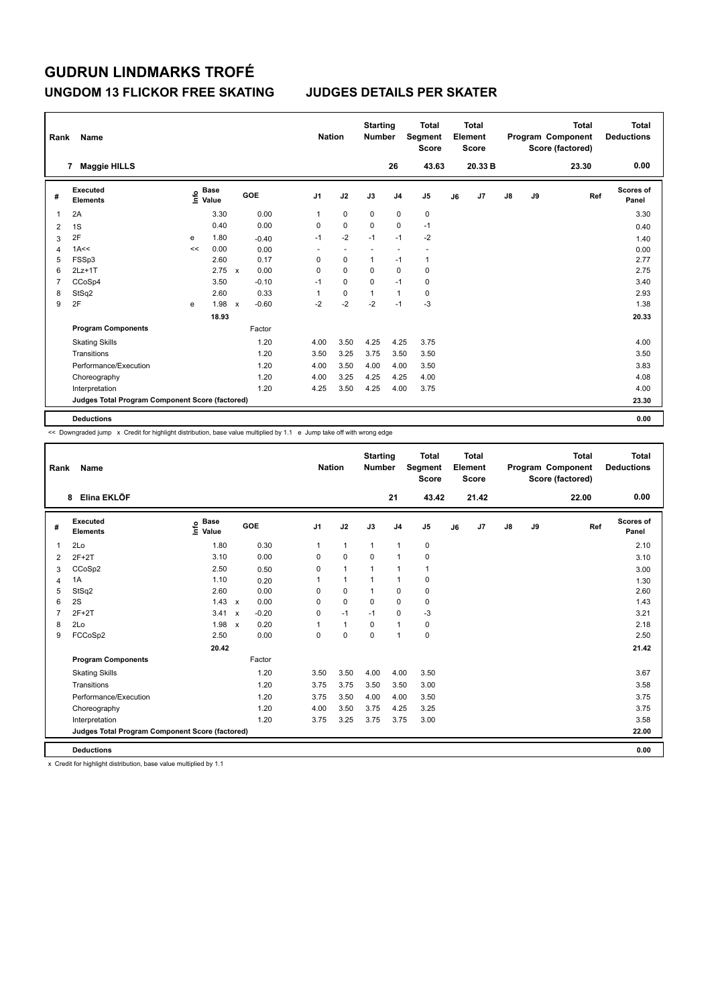### **UNGDOM 13 FLICKOR FREE SKATING JUDGES DETAILS PER SKATER**

| Rank           | Name                                            |    |                                  |              |         |                          | <b>Nation</b>            | <b>Starting</b><br><b>Number</b> |                | <b>Total</b><br>Segment<br><b>Score</b> |    | <b>Total</b><br>Element<br><b>Score</b> |               |    | <b>Total</b><br>Program Component<br>Score (factored) | <b>Total</b><br><b>Deductions</b> |
|----------------|-------------------------------------------------|----|----------------------------------|--------------|---------|--------------------------|--------------------------|----------------------------------|----------------|-----------------------------------------|----|-----------------------------------------|---------------|----|-------------------------------------------------------|-----------------------------------|
|                | <b>Maggie HILLS</b><br>7                        |    |                                  |              |         |                          |                          |                                  | 26             | 43.63                                   |    | 20.33 B                                 |               |    | 23.30                                                 | 0.00                              |
| #              | Executed<br><b>Elements</b>                     |    | <b>Base</b><br>e Base<br>⊆ Value |              | GOE     | J <sub>1</sub>           | J2                       | J3                               | J <sub>4</sub> | J <sub>5</sub>                          | J6 | J7                                      | $\mathsf{J}8$ | J9 | Ref                                                   | Scores of<br>Panel                |
| 1              | 2A                                              |    | 3.30                             |              | 0.00    | 1                        | $\mathbf 0$              | $\mathbf 0$                      | $\mathbf 0$    | 0                                       |    |                                         |               |    |                                                       | 3.30                              |
| 2              | 1S                                              |    | 0.40                             |              | 0.00    | 0                        | $\mathbf 0$              | $\mathbf 0$                      | 0              | $-1$                                    |    |                                         |               |    |                                                       | 0.40                              |
| 3              | 2F                                              | e  | 1.80                             |              | $-0.40$ | $-1$                     | $-2$                     | $-1$                             | $-1$           | $-2$                                    |    |                                         |               |    |                                                       | 1.40                              |
| 4              | 1A<<                                            | << | 0.00                             |              | 0.00    | $\overline{\phantom{a}}$ | $\overline{\phantom{a}}$ | $\overline{\phantom{a}}$         | ٠              | $\overline{\phantom{a}}$                |    |                                         |               |    |                                                       | 0.00                              |
| 5              | FSSp3                                           |    | 2.60                             |              | 0.17    | 0                        | $\mathbf 0$              | 1                                | $-1$           | $\mathbf{1}$                            |    |                                         |               |    |                                                       | 2.77                              |
| 6              | $2Lz+1T$                                        |    | 2.75                             | $\mathbf{x}$ | 0.00    | 0                        | $\mathbf 0$              | 0                                | $\mathbf 0$    | 0                                       |    |                                         |               |    |                                                       | 2.75                              |
| $\overline{7}$ | CCoSp4                                          |    | 3.50                             |              | $-0.10$ | $-1$                     | $\mathbf 0$              | $\Omega$                         | $-1$           | 0                                       |    |                                         |               |    |                                                       | 3.40                              |
| 8              | StSq2                                           |    | 2.60                             |              | 0.33    | 1                        | 0                        | 1                                | $\mathbf{1}$   | 0                                       |    |                                         |               |    |                                                       | 2.93                              |
| 9              | 2F                                              | e  | 1.98                             | $\mathsf{x}$ | $-0.60$ | $-2$                     | $-2$                     | $-2$                             | $-1$           | $-3$                                    |    |                                         |               |    |                                                       | 1.38                              |
|                |                                                 |    | 18.93                            |              |         |                          |                          |                                  |                |                                         |    |                                         |               |    |                                                       | 20.33                             |
|                | <b>Program Components</b>                       |    |                                  |              | Factor  |                          |                          |                                  |                |                                         |    |                                         |               |    |                                                       |                                   |
|                | <b>Skating Skills</b>                           |    |                                  |              | 1.20    | 4.00                     | 3.50                     | 4.25                             | 4.25           | 3.75                                    |    |                                         |               |    |                                                       | 4.00                              |
|                | Transitions                                     |    |                                  |              | 1.20    | 3.50                     | 3.25                     | 3.75                             | 3.50           | 3.50                                    |    |                                         |               |    |                                                       | 3.50                              |
|                | Performance/Execution                           |    |                                  |              | 1.20    | 4.00                     | 3.50                     | 4.00                             | 4.00           | 3.50                                    |    |                                         |               |    |                                                       | 3.83                              |
|                | Choreography                                    |    |                                  |              | 1.20    | 4.00                     | 3.25                     | 4.25                             | 4.25           | 4.00                                    |    |                                         |               |    |                                                       | 4.08                              |
|                | Interpretation                                  |    |                                  |              | 1.20    | 4.25                     | 3.50                     | 4.25                             | 4.00           | 3.75                                    |    |                                         |               |    |                                                       | 4.00                              |
|                | Judges Total Program Component Score (factored) |    |                                  |              |         |                          |                          |                                  |                |                                         |    |                                         |               |    |                                                       | 23.30                             |
|                | <b>Deductions</b>                               |    |                                  |              |         |                          |                          |                                  |                |                                         |    |                                         |               |    |                                                       | 0.00                              |

<< Downgraded jump x Credit for highlight distribution, base value multiplied by 1.1 e Jump take off with wrong edge

| Rank           | Name                                            |                                  |                                   | <b>Nation</b>  |              | <b>Starting</b><br><b>Number</b> |                | <b>Total</b><br>Segment<br><b>Score</b> |    | Total<br>Element<br><b>Score</b> |               |    | <b>Total</b><br>Program Component<br>Score (factored) | Total<br><b>Deductions</b> |
|----------------|-------------------------------------------------|----------------------------------|-----------------------------------|----------------|--------------|----------------------------------|----------------|-----------------------------------------|----|----------------------------------|---------------|----|-------------------------------------------------------|----------------------------|
|                | Elina EKLÖF<br>8                                |                                  |                                   |                |              |                                  | 21             | 43.42                                   |    | 21.42                            |               |    | 22.00                                                 | 0.00                       |
| #              | Executed<br><b>Elements</b>                     | <b>Base</b><br>e Base<br>⊆ Value | GOE                               | J <sub>1</sub> | J2           | J3                               | J <sub>4</sub> | J <sub>5</sub>                          | J6 | J7                               | $\mathsf{J}8$ | J9 | Ref                                                   | Scores of<br>Panel         |
| $\mathbf{1}$   | 2Lo                                             | 1.80                             | 0.30                              | 1              | $\mathbf{1}$ | $\mathbf{1}$                     | $\mathbf{1}$   | 0                                       |    |                                  |               |    |                                                       | 2.10                       |
| $\overline{2}$ | $2F+2T$                                         | 3.10                             | 0.00                              | $\Omega$       | $\mathbf 0$  | $\mathbf 0$                      | $\mathbf{1}$   | $\pmb{0}$                               |    |                                  |               |    |                                                       | 3.10                       |
| 3              | CCoSp2                                          | 2.50                             | 0.50                              | 0              | $\mathbf{1}$ | $\mathbf{1}$                     | $\mathbf{1}$   | $\mathbf{1}$                            |    |                                  |               |    |                                                       | 3.00                       |
| 4              | 1A                                              | 1.10                             | 0.20                              | 1              | $\mathbf{1}$ |                                  | $\mathbf{1}$   | $\mathbf 0$                             |    |                                  |               |    |                                                       | 1.30                       |
| 5              | StSq2                                           | 2.60                             | 0.00                              | 0              | $\mathbf 0$  | $\mathbf{1}$                     | $\mathbf 0$    | $\mathbf 0$                             |    |                                  |               |    |                                                       | 2.60                       |
| 6              | 2S                                              | 1.43                             | 0.00<br>$\mathbf{x}$              | $\Omega$       | $\Omega$     | $\Omega$                         | $\Omega$       | 0                                       |    |                                  |               |    |                                                       | 1.43                       |
| $\overline{7}$ | $2F+2T$                                         | 3.41                             | $-0.20$<br>$\mathsf{x}$           | 0              | $-1$         | $-1$                             | 0              | $-3$                                    |    |                                  |               |    |                                                       | 3.21                       |
| 8              | 2Lo                                             | 1.98                             | 0.20<br>$\boldsymbol{\mathsf{x}}$ | 1              | $\mathbf{1}$ | 0                                | $\mathbf{1}$   | 0                                       |    |                                  |               |    |                                                       | 2.18                       |
| 9              | FCCoSp2                                         | 2.50                             | 0.00                              | 0              | $\mathbf 0$  | $\mathbf 0$                      | $\mathbf{1}$   | $\mathbf 0$                             |    |                                  |               |    |                                                       | 2.50                       |
|                |                                                 | 20.42                            |                                   |                |              |                                  |                |                                         |    |                                  |               |    |                                                       | 21.42                      |
|                | <b>Program Components</b>                       |                                  | Factor                            |                |              |                                  |                |                                         |    |                                  |               |    |                                                       |                            |
|                | <b>Skating Skills</b>                           |                                  | 1.20                              | 3.50           | 3.50         | 4.00                             | 4.00           | 3.50                                    |    |                                  |               |    |                                                       | 3.67                       |
|                | Transitions                                     |                                  | 1.20                              | 3.75           | 3.75         | 3.50                             | 3.50           | 3.00                                    |    |                                  |               |    |                                                       | 3.58                       |
|                | Performance/Execution                           |                                  | 1.20                              | 3.75           | 3.50         | 4.00                             | 4.00           | 3.50                                    |    |                                  |               |    |                                                       | 3.75                       |
|                | Choreography                                    |                                  | 1.20                              | 4.00           | 3.50         | 3.75                             | 4.25           | 3.25                                    |    |                                  |               |    |                                                       | 3.75                       |
|                | Interpretation                                  |                                  | 1.20                              | 3.75           | 3.25         | 3.75                             | 3.75           | 3.00                                    |    |                                  |               |    |                                                       | 3.58                       |
|                | Judges Total Program Component Score (factored) |                                  |                                   |                |              |                                  |                |                                         |    |                                  |               |    |                                                       | 22.00                      |
|                | <b>Deductions</b>                               |                                  |                                   |                |              |                                  |                |                                         |    |                                  |               |    |                                                       | 0.00                       |

x Credit for highlight distribution, base value multiplied by 1.1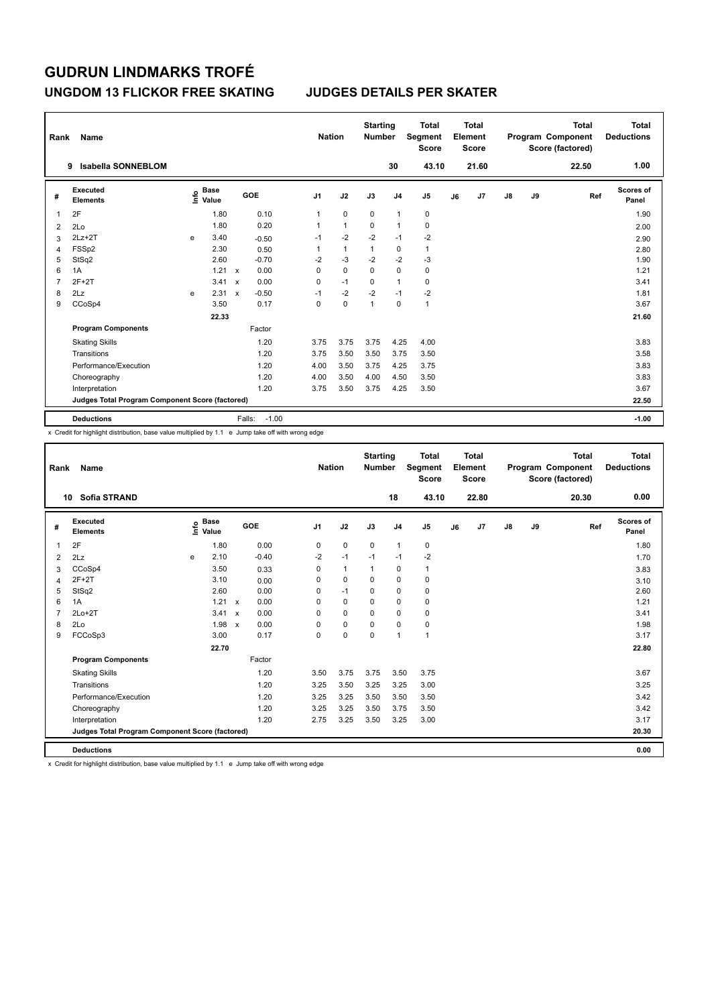### **UNGDOM 13 FLICKOR FREE SKATING JUDGES DETAILS PER SKATER**

| Rank           | Name                                            |   |                                  |                           |                   | <b>Nation</b> |              | <b>Starting</b><br><b>Number</b> |                | <b>Total</b><br>Segment<br><b>Score</b> |    | <b>Total</b><br>Element<br><b>Score</b> |               |    | <b>Total</b><br>Program Component<br>Score (factored) | Total<br><b>Deductions</b> |
|----------------|-------------------------------------------------|---|----------------------------------|---------------------------|-------------------|---------------|--------------|----------------------------------|----------------|-----------------------------------------|----|-----------------------------------------|---------------|----|-------------------------------------------------------|----------------------------|
|                | <b>Isabella SONNEBLOM</b><br>9                  |   |                                  |                           |                   |               |              |                                  | 30             | 43.10                                   |    | 21.60                                   |               |    | 22.50                                                 | 1.00                       |
| #              | Executed<br><b>Elements</b>                     |   | <b>Base</b><br>e Base<br>⊆ Value |                           | GOE               | J1            | J2           | J3                               | J <sub>4</sub> | J <sub>5</sub>                          | J6 | J7                                      | $\mathsf{J}8$ | J9 | Ref                                                   | <b>Scores of</b><br>Panel  |
|                | 2F                                              |   | 1.80                             |                           | 0.10              | 1             | $\mathbf 0$  | $\mathbf 0$                      | $\overline{1}$ | 0                                       |    |                                         |               |    |                                                       | 1.90                       |
| 2              | 2Lo                                             |   | 1.80                             |                           | 0.20              | 1             | $\mathbf{1}$ | 0                                | $\overline{1}$ | 0                                       |    |                                         |               |    |                                                       | 2.00                       |
| 3              | $2Lz + 2T$                                      | e | 3.40                             |                           | $-0.50$           | $-1$          | $-2$         | $-2$                             | $-1$           | $-2$                                    |    |                                         |               |    |                                                       | 2.90                       |
| 4              | FSSp2                                           |   | 2.30                             |                           | 0.50              | 1             | 1            | $\mathbf{1}$                     | 0              | $\mathbf{1}$                            |    |                                         |               |    |                                                       | 2.80                       |
| 5              | StSq2                                           |   | 2.60                             |                           | $-0.70$           | $-2$          | $-3$         | $-2$                             | $-2$           | $-3$                                    |    |                                         |               |    |                                                       | 1.90                       |
| 6              | 1A                                              |   | 1.21                             | $\mathbf{x}$              | 0.00              | 0             | $\mathbf 0$  | $\Omega$                         | $\mathbf 0$    | $\pmb{0}$                               |    |                                         |               |    |                                                       | 1.21                       |
| $\overline{7}$ | $2F+2T$                                         |   | 3.41                             | $\boldsymbol{\mathsf{x}}$ | 0.00              | 0             | $-1$         | $\Omega$                         | $\overline{1}$ | 0                                       |    |                                         |               |    |                                                       | 3.41                       |
| 8              | 2Lz                                             | e | 2.31                             | $\boldsymbol{\mathsf{x}}$ | $-0.50$           | $-1$          | $-2$         | $-2$                             | $-1$           | -2                                      |    |                                         |               |    |                                                       | 1.81                       |
| 9              | CCoSp4                                          |   | 3.50                             |                           | 0.17              | 0             | $\mathbf 0$  | 1                                | $\mathbf 0$    | $\mathbf{1}$                            |    |                                         |               |    |                                                       | 3.67                       |
|                |                                                 |   | 22.33                            |                           |                   |               |              |                                  |                |                                         |    |                                         |               |    |                                                       | 21.60                      |
|                | <b>Program Components</b>                       |   |                                  |                           | Factor            |               |              |                                  |                |                                         |    |                                         |               |    |                                                       |                            |
|                | <b>Skating Skills</b>                           |   |                                  |                           | 1.20              | 3.75          | 3.75         | 3.75                             | 4.25           | 4.00                                    |    |                                         |               |    |                                                       | 3.83                       |
|                | Transitions                                     |   |                                  |                           | 1.20              | 3.75          | 3.50         | 3.50                             | 3.75           | 3.50                                    |    |                                         |               |    |                                                       | 3.58                       |
|                | Performance/Execution                           |   |                                  |                           | 1.20              | 4.00          | 3.50         | 3.75                             | 4.25           | 3.75                                    |    |                                         |               |    |                                                       | 3.83                       |
|                | Choreography                                    |   |                                  |                           | 1.20              | 4.00          | 3.50         | 4.00                             | 4.50           | 3.50                                    |    |                                         |               |    |                                                       | 3.83                       |
|                | Interpretation                                  |   |                                  |                           | 1.20              | 3.75          | 3.50         | 3.75                             | 4.25           | 3.50                                    |    |                                         |               |    |                                                       | 3.67                       |
|                | Judges Total Program Component Score (factored) |   |                                  |                           |                   |               |              |                                  |                |                                         |    |                                         |               |    |                                                       | 22.50                      |
|                | <b>Deductions</b>                               |   |                                  |                           | Falls:<br>$-1.00$ |               |              |                                  |                |                                         |    |                                         |               |    |                                                       | $-1.00$                    |

x Credit for highlight distribution, base value multiplied by 1.1 e Jump take off with wrong edge

| Rank           | Name                                            |   |                                  |                           |         |                | <b>Nation</b> | <b>Starting</b><br><b>Number</b> |                | <b>Total</b><br>Segment<br><b>Score</b> |    | <b>Total</b><br>Element<br><b>Score</b> |               |    | <b>Total</b><br>Program Component<br>Score (factored) | <b>Total</b><br><b>Deductions</b> |
|----------------|-------------------------------------------------|---|----------------------------------|---------------------------|---------|----------------|---------------|----------------------------------|----------------|-----------------------------------------|----|-----------------------------------------|---------------|----|-------------------------------------------------------|-----------------------------------|
|                | <b>Sofia STRAND</b><br>10                       |   |                                  |                           |         |                |               |                                  | 18             | 43.10                                   |    | 22.80                                   |               |    | 20.30                                                 | 0.00                              |
| #              | Executed<br><b>Elements</b>                     |   | <b>Base</b><br>e Base<br>⊆ Value |                           | GOE     | J <sub>1</sub> | J2            | J3                               | J <sub>4</sub> | J <sub>5</sub>                          | J6 | J7                                      | $\mathsf{J}8$ | J9 | Ref                                                   | Scores of<br>Panel                |
| 1              | 2F                                              |   | 1.80                             |                           | 0.00    | 0              | $\mathbf 0$   | $\mathbf 0$                      | $\mathbf{1}$   | $\mathbf 0$                             |    |                                         |               |    |                                                       | 1.80                              |
| $\overline{2}$ | 2Lz                                             | e | 2.10                             |                           | $-0.40$ | $-2$           | $-1$          | $-1$                             | $-1$           | $-2$                                    |    |                                         |               |    |                                                       | 1.70                              |
| 3              | CCoSp4                                          |   | 3.50                             |                           | 0.33    | $\Omega$       | $\mathbf{1}$  | $\mathbf{1}$                     | $\mathbf 0$    | $\mathbf{1}$                            |    |                                         |               |    |                                                       | 3.83                              |
| 4              | $2F+2T$                                         |   | 3.10                             |                           | 0.00    | 0              | $\mathbf 0$   | $\Omega$                         | $\mathbf 0$    | $\mathbf 0$                             |    |                                         |               |    |                                                       | 3.10                              |
| 5              | StSq2                                           |   | 2.60                             |                           | 0.00    | $\mathbf 0$    | $-1$          | $\mathbf 0$                      | $\mathbf 0$    | $\pmb{0}$                               |    |                                         |               |    |                                                       | 2.60                              |
| 6              | 1A                                              |   | $1.21 \times$                    |                           | 0.00    | $\Omega$       | $\Omega$      | $\Omega$                         | $\Omega$       | 0                                       |    |                                         |               |    |                                                       | 1.21                              |
| $\overline{7}$ | $2Lo+2T$                                        |   | 3.41                             | $\mathsf{x}$              | 0.00    | 0              | $\mathbf 0$   | $\Omega$                         | $\mathbf 0$    | $\mathbf 0$                             |    |                                         |               |    |                                                       | 3.41                              |
| 8              | 2Lo                                             |   | 1.98                             | $\boldsymbol{\mathsf{x}}$ | 0.00    | $\Omega$       | $\mathbf 0$   | $\mathbf 0$                      | $\mathbf 0$    | $\pmb{0}$                               |    |                                         |               |    |                                                       | 1.98                              |
| 9              | FCCoSp3                                         |   | 3.00                             |                           | 0.17    | 0              | $\mathbf 0$   | $\mathbf 0$                      | $\mathbf{1}$   | $\mathbf{1}$                            |    |                                         |               |    |                                                       | 3.17                              |
|                |                                                 |   | 22.70                            |                           |         |                |               |                                  |                |                                         |    |                                         |               |    |                                                       | 22.80                             |
|                | <b>Program Components</b>                       |   |                                  |                           | Factor  |                |               |                                  |                |                                         |    |                                         |               |    |                                                       |                                   |
|                | <b>Skating Skills</b>                           |   |                                  |                           | 1.20    | 3.50           | 3.75          | 3.75                             | 3.50           | 3.75                                    |    |                                         |               |    |                                                       | 3.67                              |
|                | Transitions                                     |   |                                  |                           | 1.20    | 3.25           | 3.50          | 3.25                             | 3.25           | 3.00                                    |    |                                         |               |    |                                                       | 3.25                              |
|                | Performance/Execution                           |   |                                  |                           | 1.20    | 3.25           | 3.25          | 3.50                             | 3.50           | 3.50                                    |    |                                         |               |    |                                                       | 3.42                              |
|                | Choreography                                    |   |                                  |                           | 1.20    | 3.25           | 3.25          | 3.50                             | 3.75           | 3.50                                    |    |                                         |               |    |                                                       | 3.42                              |
|                | Interpretation                                  |   |                                  |                           | 1.20    | 2.75           | 3.25          | 3.50                             | 3.25           | 3.00                                    |    |                                         |               |    |                                                       | 3.17                              |
|                | Judges Total Program Component Score (factored) |   |                                  |                           |         |                |               |                                  |                |                                         |    |                                         |               |    |                                                       | 20.30                             |
|                | <b>Deductions</b>                               |   |                                  |                           |         |                |               |                                  |                |                                         |    |                                         |               |    |                                                       | 0.00                              |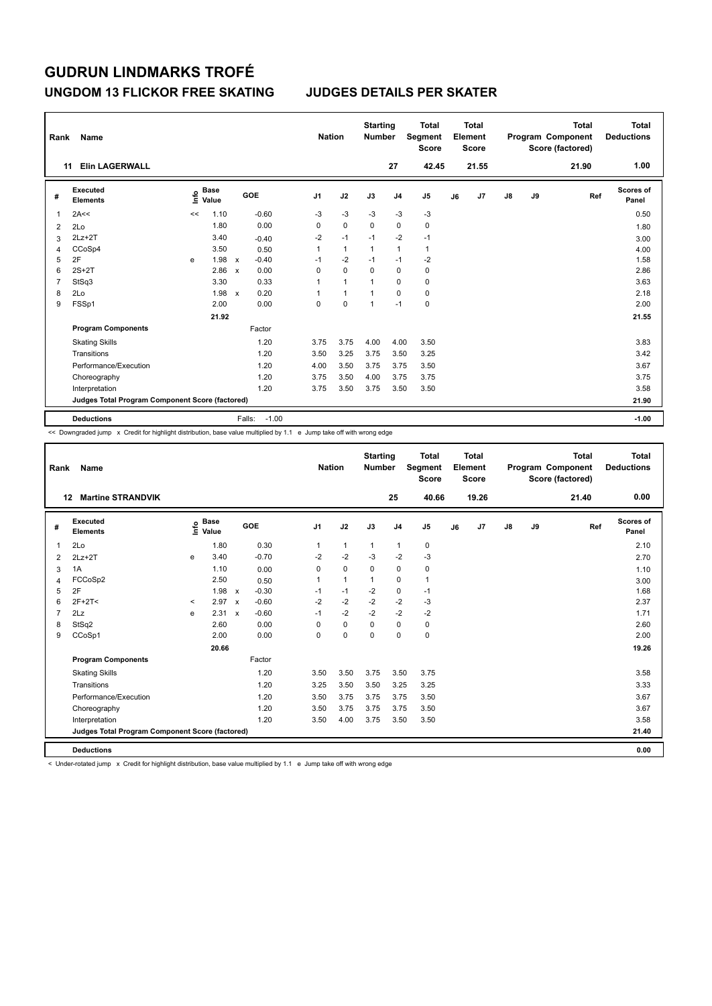### **UNGDOM 13 FLICKOR FREE SKATING JUDGES DETAILS PER SKATER**

| Rank | Name                                            |      |                      |                           |                   | <b>Nation</b>  |              | <b>Starting</b><br><b>Number</b> |                | <b>Total</b><br>Segment<br><b>Score</b> |    | <b>Total</b><br>Element<br><b>Score</b> |               |    | <b>Total</b><br>Program Component<br>Score (factored) | Total<br><b>Deductions</b> |
|------|-------------------------------------------------|------|----------------------|---------------------------|-------------------|----------------|--------------|----------------------------------|----------------|-----------------------------------------|----|-----------------------------------------|---------------|----|-------------------------------------------------------|----------------------------|
|      | <b>Elin LAGERWALL</b><br>11                     |      |                      |                           |                   |                |              |                                  | 27             | 42.45                                   |    | 21.55                                   |               |    | 21.90                                                 | 1.00                       |
| #    | Executed<br><b>Elements</b>                     | ١nfo | <b>Base</b><br>Value |                           | <b>GOE</b>        | J <sub>1</sub> | J2           | J3                               | J <sub>4</sub> | J <sub>5</sub>                          | J6 | J7                                      | $\mathsf{J}8$ | J9 | Ref                                                   | Scores of<br>Panel         |
| 1    | 2A<<                                            | <<   | 1.10                 |                           | $-0.60$           | $-3$           | $-3$         | $-3$                             | $-3$           | $-3$                                    |    |                                         |               |    |                                                       | 0.50                       |
| 2    | 2Lo                                             |      | 1.80                 |                           | 0.00              | 0              | $\mathbf 0$  | $\Omega$                         | 0              | 0                                       |    |                                         |               |    |                                                       | 1.80                       |
| 3    | $2Lz + 2T$                                      |      | 3.40                 |                           | $-0.40$           | $-2$           | $-1$         | $-1$                             | $-2$           | $-1$                                    |    |                                         |               |    |                                                       | 3.00                       |
| 4    | CCoSp4                                          |      | 3.50                 |                           | 0.50              | 1              | $\mathbf{1}$ | $\mathbf{1}$                     | $\mathbf{1}$   | $\mathbf{1}$                            |    |                                         |               |    |                                                       | 4.00                       |
| 5    | 2F                                              | e    | 1.98                 | $\boldsymbol{\mathsf{x}}$ | $-0.40$           | $-1$           | $-2$         | $-1$                             | $-1$           | $-2$                                    |    |                                         |               |    |                                                       | 1.58                       |
| 6    | $2S+2T$                                         |      | 2.86                 | $\boldsymbol{\mathsf{x}}$ | 0.00              | 0              | $\mathbf 0$  | $\Omega$                         | $\mathbf 0$    | $\mathbf 0$                             |    |                                         |               |    |                                                       | 2.86                       |
| 7    | StSq3                                           |      | 3.30                 |                           | 0.33              | 1              | $\mathbf{1}$ | 1                                | 0              | 0                                       |    |                                         |               |    |                                                       | 3.63                       |
| 8    | 2Lo                                             |      | 1.98                 | $\boldsymbol{\mathsf{x}}$ | 0.20              | 1              | $\mathbf{1}$ | 1                                | 0              | 0                                       |    |                                         |               |    |                                                       | 2.18                       |
| 9    | FSSp1                                           |      | 2.00                 |                           | 0.00              | 0              | $\Omega$     | $\mathbf{1}$                     | $-1$           | $\pmb{0}$                               |    |                                         |               |    |                                                       | 2.00                       |
|      |                                                 |      | 21.92                |                           |                   |                |              |                                  |                |                                         |    |                                         |               |    |                                                       | 21.55                      |
|      | <b>Program Components</b>                       |      |                      |                           | Factor            |                |              |                                  |                |                                         |    |                                         |               |    |                                                       |                            |
|      | <b>Skating Skills</b>                           |      |                      |                           | 1.20              | 3.75           | 3.75         | 4.00                             | 4.00           | 3.50                                    |    |                                         |               |    |                                                       | 3.83                       |
|      | Transitions                                     |      |                      |                           | 1.20              | 3.50           | 3.25         | 3.75                             | 3.50           | 3.25                                    |    |                                         |               |    |                                                       | 3.42                       |
|      | Performance/Execution                           |      |                      |                           | 1.20              | 4.00           | 3.50         | 3.75                             | 3.75           | 3.50                                    |    |                                         |               |    |                                                       | 3.67                       |
|      | Choreography                                    |      |                      |                           | 1.20              | 3.75           | 3.50         | 4.00                             | 3.75           | 3.75                                    |    |                                         |               |    |                                                       | 3.75                       |
|      | Interpretation                                  |      |                      |                           | 1.20              | 3.75           | 3.50         | 3.75                             | 3.50           | 3.50                                    |    |                                         |               |    |                                                       | 3.58                       |
|      | Judges Total Program Component Score (factored) |      |                      |                           |                   |                |              |                                  |                |                                         |    |                                         |               |    |                                                       | 21.90                      |
|      | <b>Deductions</b>                               |      |                      |                           | $-1.00$<br>Falls: |                |              |                                  |                |                                         |    |                                         |               |    |                                                       | $-1.00$                    |

<< Downgraded jump x Credit for highlight distribution, base value multiplied by 1.1 e Jump take off with wrong edge

| Rank           | <b>Name</b>                                     |         |                                  |                           |         | <b>Nation</b>  |              | <b>Starting</b><br><b>Number</b> |                | <b>Total</b><br>Segment<br><b>Score</b> |    | <b>Total</b><br>Element<br><b>Score</b> |               |    | <b>Total</b><br>Program Component<br>Score (factored) | <b>Total</b><br><b>Deductions</b> |
|----------------|-------------------------------------------------|---------|----------------------------------|---------------------------|---------|----------------|--------------|----------------------------------|----------------|-----------------------------------------|----|-----------------------------------------|---------------|----|-------------------------------------------------------|-----------------------------------|
|                | <b>Martine STRANDVIK</b><br>12                  |         |                                  |                           |         |                |              |                                  | 25             | 40.66                                   |    | 19.26                                   |               |    | 21.40                                                 | 0.00                              |
| #              | Executed<br><b>Elements</b>                     |         | <b>Base</b><br>e Base<br>⊆ Value |                           | GOE     | J <sub>1</sub> | J2           | J3                               | J <sub>4</sub> | J <sub>5</sub>                          | J6 | J7                                      | $\mathsf{J}8$ | J9 | Ref                                                   | Scores of<br>Panel                |
| $\overline{1}$ | 2Lo                                             |         | 1.80                             |                           | 0.30    | 1              | $\mathbf{1}$ | $\mathbf{1}$                     | $\mathbf{1}$   | 0                                       |    |                                         |               |    |                                                       | 2.10                              |
| 2              | $2Lz + 2T$                                      | e       | 3.40                             |                           | $-0.70$ | $-2$           | $-2$         | $-3$                             | $-2$           | $-3$                                    |    |                                         |               |    |                                                       | 2.70                              |
| 3              | 1A                                              |         | 1.10                             |                           | 0.00    | $\Omega$       | $\mathbf 0$  | $\mathbf 0$                      | $\mathbf 0$    | $\mathbf 0$                             |    |                                         |               |    |                                                       | 1.10                              |
| 4              | FCCoSp2                                         |         | 2.50                             |                           | 0.50    | 1              | $\mathbf{1}$ | $\mathbf{1}$                     | 0              | 1                                       |    |                                         |               |    |                                                       | 3.00                              |
| 5              | 2F                                              |         | 1.98                             | $\boldsymbol{\mathsf{x}}$ | $-0.30$ | $-1$           | $-1$         | $-2$                             | $\pmb{0}$      | $-1$                                    |    |                                         |               |    |                                                       | 1.68                              |
| 6              | $2F+2T<$                                        | $\prec$ | 2.97                             | $\mathbf{x}$              | $-0.60$ | $-2$           | $-2$         | $-2$                             | $-2$           | -3                                      |    |                                         |               |    |                                                       | 2.37                              |
| $\overline{7}$ | 2Lz                                             | e       | 2.31                             | $\boldsymbol{\mathsf{x}}$ | $-0.60$ | $-1$           | $-2$         | $-2$                             | $-2$           | $-2$                                    |    |                                         |               |    |                                                       | 1.71                              |
| 8              | StSq2                                           |         | 2.60                             |                           | 0.00    | 0              | $\mathbf 0$  | 0                                | 0              | 0                                       |    |                                         |               |    |                                                       | 2.60                              |
| 9              | CCoSp1                                          |         | 2.00                             |                           | 0.00    | 0              | $\mathbf 0$  | $\Omega$                         | $\mathbf 0$    | $\mathbf 0$                             |    |                                         |               |    |                                                       | 2.00                              |
|                |                                                 |         | 20.66                            |                           |         |                |              |                                  |                |                                         |    |                                         |               |    |                                                       | 19.26                             |
|                | <b>Program Components</b>                       |         |                                  |                           | Factor  |                |              |                                  |                |                                         |    |                                         |               |    |                                                       |                                   |
|                | <b>Skating Skills</b>                           |         |                                  |                           | 1.20    | 3.50           | 3.50         | 3.75                             | 3.50           | 3.75                                    |    |                                         |               |    |                                                       | 3.58                              |
|                | Transitions                                     |         |                                  |                           | 1.20    | 3.25           | 3.50         | 3.50                             | 3.25           | 3.25                                    |    |                                         |               |    |                                                       | 3.33                              |
|                | Performance/Execution                           |         |                                  |                           | 1.20    | 3.50           | 3.75         | 3.75                             | 3.75           | 3.50                                    |    |                                         |               |    |                                                       | 3.67                              |
|                | Choreography                                    |         |                                  |                           | 1.20    | 3.50           | 3.75         | 3.75                             | 3.75           | 3.50                                    |    |                                         |               |    |                                                       | 3.67                              |
|                | Interpretation                                  |         |                                  |                           | 1.20    | 3.50           | 4.00         | 3.75                             | 3.50           | 3.50                                    |    |                                         |               |    |                                                       | 3.58                              |
|                | Judges Total Program Component Score (factored) |         |                                  |                           |         |                |              |                                  |                |                                         |    |                                         |               |    |                                                       | 21.40                             |
|                | <b>Deductions</b>                               |         |                                  |                           |         |                |              |                                  |                |                                         |    |                                         |               |    |                                                       | 0.00                              |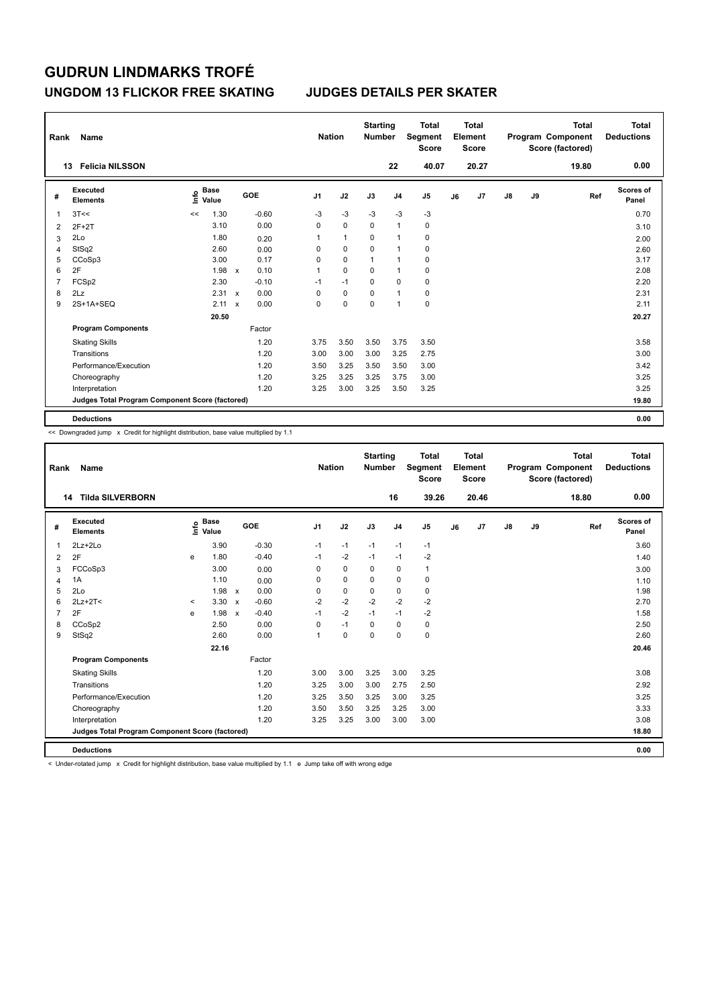### **UNGDOM 13 FLICKOR FREE SKATING JUDGES DETAILS PER SKATER**

| Rank           | Name                                            |                                  |                           |         |                | <b>Nation</b> | <b>Starting</b><br><b>Number</b> |                | <b>Total</b><br>Segment<br><b>Score</b> |    | Total<br>Element<br><b>Score</b> |    |    | <b>Total</b><br>Program Component<br>Score (factored) | Total<br><b>Deductions</b> |
|----------------|-------------------------------------------------|----------------------------------|---------------------------|---------|----------------|---------------|----------------------------------|----------------|-----------------------------------------|----|----------------------------------|----|----|-------------------------------------------------------|----------------------------|
|                | <b>Felicia NILSSON</b><br>13                    |                                  |                           |         |                |               |                                  | 22             | 40.07                                   |    | 20.27                            |    |    | 19.80                                                 | 0.00                       |
| #              | Executed<br><b>Elements</b>                     | <b>Base</b><br>e Base<br>⊆ Value |                           | GOE     | J <sub>1</sub> | J2            | J3                               | J <sub>4</sub> | J5                                      | J6 | J7                               | J8 | J9 | Ref                                                   | <b>Scores of</b><br>Panel  |
| 1              | 3T<<                                            | 1.30<br><<                       |                           | $-0.60$ | $-3$           | $-3$          | $-3$                             | $-3$           | $-3$                                    |    |                                  |    |    |                                                       | 0.70                       |
| 2              | $2F+2T$                                         | 3.10                             |                           | 0.00    | 0              | $\mathbf 0$   | 0                                | $\overline{1}$ | 0                                       |    |                                  |    |    |                                                       | 3.10                       |
| 3              | 2Lo                                             | 1.80                             |                           | 0.20    | 1              | $\mathbf{1}$  | 0                                | $\overline{1}$ | $\mathbf 0$                             |    |                                  |    |    |                                                       | 2.00                       |
| 4              | StSq2                                           | 2.60                             |                           | 0.00    | 0              | $\mathbf 0$   | $\mathbf 0$                      | $\overline{1}$ | $\pmb{0}$                               |    |                                  |    |    |                                                       | 2.60                       |
| 5              | CCoSp3                                          | 3.00                             |                           | 0.17    | 0              | $\mathbf 0$   | 1                                | $\overline{1}$ | 0                                       |    |                                  |    |    |                                                       | 3.17                       |
| 6              | 2F                                              | 1.98                             | $\mathsf{x}$              | 0.10    | 1              | $\mathbf 0$   | 0                                | $\overline{1}$ | 0                                       |    |                                  |    |    |                                                       | 2.08                       |
| $\overline{7}$ | FCSp2                                           | 2.30                             |                           | $-0.10$ | $-1$           | $-1$          | $\mathbf 0$                      | $\mathbf 0$    | $\pmb{0}$                               |    |                                  |    |    |                                                       | 2.20                       |
| 8              | 2Lz                                             | 2.31                             | $\boldsymbol{\mathsf{x}}$ | 0.00    | 0              | $\mathbf 0$   | 0                                | $\overline{1}$ | 0                                       |    |                                  |    |    |                                                       | 2.31                       |
| 9              | 2S+1A+SEQ                                       | 2.11                             | $\mathbf x$               | 0.00    | 0              | 0             | 0                                | 1              | $\pmb{0}$                               |    |                                  |    |    |                                                       | 2.11                       |
|                |                                                 | 20.50                            |                           |         |                |               |                                  |                |                                         |    |                                  |    |    |                                                       | 20.27                      |
|                | <b>Program Components</b>                       |                                  |                           | Factor  |                |               |                                  |                |                                         |    |                                  |    |    |                                                       |                            |
|                | <b>Skating Skills</b>                           |                                  |                           | 1.20    | 3.75           | 3.50          | 3.50                             | 3.75           | 3.50                                    |    |                                  |    |    |                                                       | 3.58                       |
|                | Transitions                                     |                                  |                           | 1.20    | 3.00           | 3.00          | 3.00                             | 3.25           | 2.75                                    |    |                                  |    |    |                                                       | 3.00                       |
|                | Performance/Execution                           |                                  |                           | 1.20    | 3.50           | 3.25          | 3.50                             | 3.50           | 3.00                                    |    |                                  |    |    |                                                       | 3.42                       |
|                | Choreography                                    |                                  |                           | 1.20    | 3.25           | 3.25          | 3.25                             | 3.75           | 3.00                                    |    |                                  |    |    |                                                       | 3.25                       |
|                | Interpretation                                  |                                  |                           | 1.20    | 3.25           | 3.00          | 3.25                             | 3.50           | 3.25                                    |    |                                  |    |    |                                                       | 3.25                       |
|                | Judges Total Program Component Score (factored) |                                  |                           |         |                |               |                                  |                |                                         |    |                                  |    |    |                                                       | 19.80                      |
|                | <b>Deductions</b>                               |                                  |                           |         |                |               |                                  |                |                                         |    |                                  |    |    |                                                       | 0.00                       |

<< Downgraded jump x Credit for highlight distribution, base value multiplied by 1.1

| Rank           | <b>Name</b>                                     |         |                                    |                           |         |                | <b>Nation</b> | <b>Starting</b><br><b>Number</b> |                | <b>Total</b><br>Segment<br><b>Score</b> |    | <b>Total</b><br>Element<br><b>Score</b> |    |    | <b>Total</b><br>Program Component<br>Score (factored) | <b>Total</b><br><b>Deductions</b> |
|----------------|-------------------------------------------------|---------|------------------------------------|---------------------------|---------|----------------|---------------|----------------------------------|----------------|-----------------------------------------|----|-----------------------------------------|----|----|-------------------------------------------------------|-----------------------------------|
|                | <b>Tilda SILVERBORN</b><br>14                   |         |                                    |                           |         |                |               |                                  | 16             | 39.26                                   |    | 20.46                                   |    |    | 18.80                                                 | 0.00                              |
| #              | Executed<br><b>Elements</b>                     |         | <b>Base</b><br>$\frac{6}{5}$ Value |                           | GOE     | J <sub>1</sub> | J2            | J3                               | J <sub>4</sub> | J <sub>5</sub>                          | J6 | J7                                      | J8 | J9 | Ref                                                   | <b>Scores of</b><br>Panel         |
| $\overline{1}$ | $2Lz + 2Lo$                                     |         | 3.90                               |                           | $-0.30$ | $-1$           | $-1$          | $-1$                             | $-1$           | $-1$                                    |    |                                         |    |    |                                                       | 3.60                              |
| 2              | 2F                                              | e       | 1.80                               |                           | $-0.40$ | $-1$           | $-2$          | $-1$                             | $-1$           | $-2$                                    |    |                                         |    |    |                                                       | 1.40                              |
| 3              | FCCoSp3                                         |         | 3.00                               |                           | 0.00    | 0              | $\mathbf 0$   | 0                                | $\mathbf 0$    | 1                                       |    |                                         |    |    |                                                       | 3.00                              |
| 4              | 1A                                              |         | 1.10                               |                           | 0.00    | $\Omega$       | $\Omega$      | $\Omega$                         | $\mathbf 0$    | $\mathbf 0$                             |    |                                         |    |    |                                                       | 1.10                              |
| 5              | 2Lo                                             |         | 1.98                               | $\boldsymbol{\mathsf{x}}$ | 0.00    | 0              | $\mathbf 0$   | $\mathbf 0$                      | $\mathbf 0$    | 0                                       |    |                                         |    |    |                                                       | 1.98                              |
| 6              | $2Lz+2T<$                                       | $\prec$ | 3.30                               | $\boldsymbol{\mathsf{x}}$ | $-0.60$ | $-2$           | $-2$          | $-2$                             | $-2$           | $-2$                                    |    |                                         |    |    |                                                       | 2.70                              |
| $\overline{7}$ | 2F                                              | e       | 1.98                               | $\boldsymbol{\mathsf{x}}$ | $-0.40$ | $-1$           | $-2$          | $-1$                             | $-1$           | $-2$                                    |    |                                         |    |    |                                                       | 1.58                              |
| 8              | CCoSp2                                          |         | 2.50                               |                           | 0.00    | $\Omega$       | $-1$          | $\Omega$                         | $\Omega$       | $\pmb{0}$                               |    |                                         |    |    |                                                       | 2.50                              |
| 9              | StSq2                                           |         | 2.60                               |                           | 0.00    |                | $\mathbf 0$   | $\Omega$                         | $\mathbf 0$    | $\mathbf 0$                             |    |                                         |    |    |                                                       | 2.60                              |
|                |                                                 |         | 22.16                              |                           |         |                |               |                                  |                |                                         |    |                                         |    |    |                                                       | 20.46                             |
|                | <b>Program Components</b>                       |         |                                    |                           | Factor  |                |               |                                  |                |                                         |    |                                         |    |    |                                                       |                                   |
|                | <b>Skating Skills</b>                           |         |                                    |                           | 1.20    | 3.00           | 3.00          | 3.25                             | 3.00           | 3.25                                    |    |                                         |    |    |                                                       | 3.08                              |
|                | Transitions                                     |         |                                    |                           | 1.20    | 3.25           | 3.00          | 3.00                             | 2.75           | 2.50                                    |    |                                         |    |    |                                                       | 2.92                              |
|                | Performance/Execution                           |         |                                    |                           | 1.20    | 3.25           | 3.50          | 3.25                             | 3.00           | 3.25                                    |    |                                         |    |    |                                                       | 3.25                              |
|                | Choreography                                    |         |                                    |                           | 1.20    | 3.50           | 3.50          | 3.25                             | 3.25           | 3.00                                    |    |                                         |    |    |                                                       | 3.33                              |
|                | Interpretation                                  |         |                                    |                           | 1.20    | 3.25           | 3.25          | 3.00                             | 3.00           | 3.00                                    |    |                                         |    |    |                                                       | 3.08                              |
|                | Judges Total Program Component Score (factored) |         |                                    |                           |         |                |               |                                  |                |                                         |    |                                         |    |    |                                                       | 18.80                             |
|                | <b>Deductions</b>                               |         |                                    |                           |         |                |               |                                  |                |                                         |    |                                         |    |    |                                                       | 0.00                              |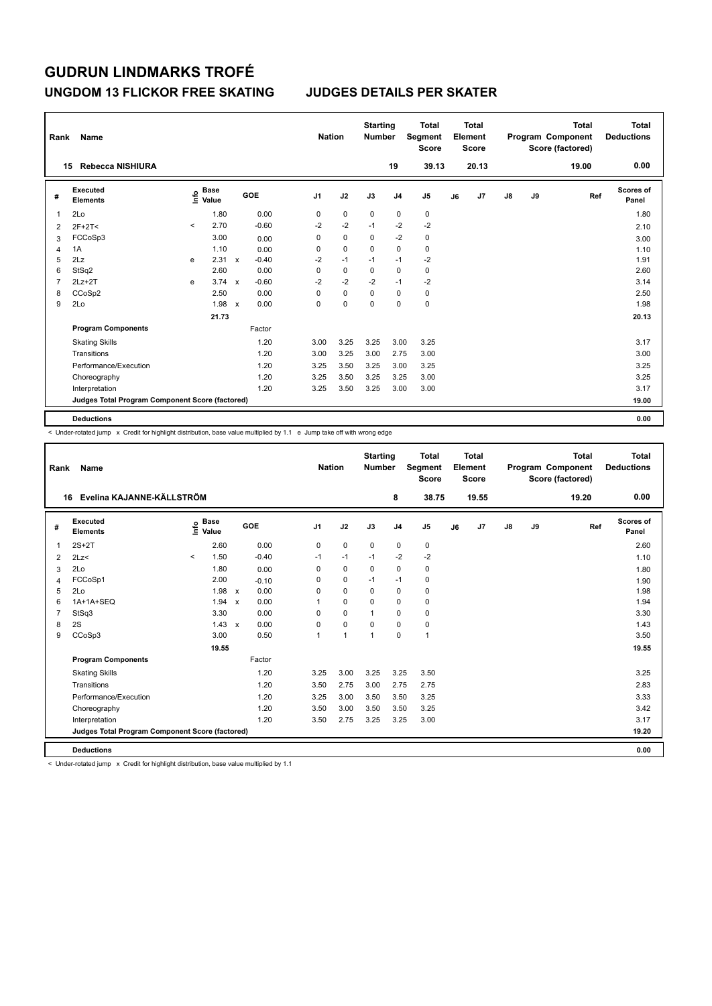### **UNGDOM 13 FLICKOR FREE SKATING JUDGES DETAILS PER SKATER**

| Rank           | Name                                            |         |                                    |              |         |                | <b>Nation</b> |             | <b>Starting</b><br><b>Number</b> |                | <b>Total</b><br>Segment<br><b>Score</b> |    | Total<br>Element<br><b>Score</b> |               |    | Total<br>Program Component<br>Score (factored) | <b>Total</b><br><b>Deductions</b> |
|----------------|-------------------------------------------------|---------|------------------------------------|--------------|---------|----------------|---------------|-------------|----------------------------------|----------------|-----------------------------------------|----|----------------------------------|---------------|----|------------------------------------------------|-----------------------------------|
|                | Rebecca NISHIURA<br>15                          |         |                                    |              |         |                |               |             |                                  | 19             | 39.13                                   |    | 20.13                            |               |    | 19.00                                          | 0.00                              |
| #              | Executed<br><b>Elements</b>                     |         | <b>Base</b><br>$\frac{6}{5}$ Value |              | GOE     | J <sub>1</sub> |               | J2          | J3                               | J <sub>4</sub> | J <sub>5</sub>                          | J6 | J7                               | $\mathsf{J}8$ | J9 | Ref                                            | <b>Scores of</b><br>Panel         |
| 1              | 2Lo                                             |         | 1.80                               |              | 0.00    | 0              |               | $\pmb{0}$   | $\mathbf 0$                      | 0              | 0                                       |    |                                  |               |    |                                                | 1.80                              |
| 2              | $2F+2T<$                                        | $\prec$ | 2.70                               |              | $-0.60$ | $-2$           |               | $-2$        | $-1$                             | $-2$           | $-2$                                    |    |                                  |               |    |                                                | 2.10                              |
| 3              | FCCoSp3                                         |         | 3.00                               |              | 0.00    | 0              |               | $\mathbf 0$ | $\Omega$                         | $-2$           | 0                                       |    |                                  |               |    |                                                | 3.00                              |
| 4              | 1A                                              |         | 1.10                               |              | 0.00    | 0              |               | $\mathbf 0$ | $\mathbf 0$                      | $\mathbf 0$    | $\pmb{0}$                               |    |                                  |               |    |                                                | 1.10                              |
| 5              | 2Lz                                             | e       | 2.31                               | $\mathsf{x}$ | $-0.40$ | $-2$           |               | $-1$        | $-1$                             | $-1$           | $-2$                                    |    |                                  |               |    |                                                | 1.91                              |
| 6              | StSq2                                           |         | 2.60                               |              | 0.00    | 0              |               | 0           | $\Omega$                         | 0              | 0                                       |    |                                  |               |    |                                                | 2.60                              |
| $\overline{7}$ | $2Lz+2T$                                        | e       | 3.74                               | $\mathsf{x}$ | $-0.60$ | $-2$           |               | $-2$        | $-2$                             | $-1$           | $-2$                                    |    |                                  |               |    |                                                | 3.14                              |
| 8              | CCoSp2                                          |         | 2.50                               |              | 0.00    | 0              |               | $\mathbf 0$ | 0                                | 0              | 0                                       |    |                                  |               |    |                                                | 2.50                              |
| 9              | 2Lo                                             |         | 1.98                               | $\mathbf{x}$ | 0.00    | 0              |               | 0           | $\Omega$                         | $\Omega$       | $\pmb{0}$                               |    |                                  |               |    |                                                | 1.98                              |
|                |                                                 |         | 21.73                              |              |         |                |               |             |                                  |                |                                         |    |                                  |               |    |                                                | 20.13                             |
|                | <b>Program Components</b>                       |         |                                    |              | Factor  |                |               |             |                                  |                |                                         |    |                                  |               |    |                                                |                                   |
|                | <b>Skating Skills</b>                           |         |                                    |              | 1.20    | 3.00           |               | 3.25        | 3.25                             | 3.00           | 3.25                                    |    |                                  |               |    |                                                | 3.17                              |
|                | Transitions                                     |         |                                    |              | 1.20    | 3.00           |               | 3.25        | 3.00                             | 2.75           | 3.00                                    |    |                                  |               |    |                                                | 3.00                              |
|                | Performance/Execution                           |         |                                    |              | 1.20    | 3.25           |               | 3.50        | 3.25                             | 3.00           | 3.25                                    |    |                                  |               |    |                                                | 3.25                              |
|                | Choreography                                    |         |                                    |              | 1.20    | 3.25           |               | 3.50        | 3.25                             | 3.25           | 3.00                                    |    |                                  |               |    |                                                | 3.25                              |
|                | Interpretation                                  |         |                                    |              | 1.20    | 3.25           |               | 3.50        | 3.25                             | 3.00           | 3.00                                    |    |                                  |               |    |                                                | 3.17                              |
|                | Judges Total Program Component Score (factored) |         |                                    |              |         |                |               |             |                                  |                |                                         |    |                                  |               |    |                                                | 19.00                             |
|                | <b>Deductions</b>                               |         |                                    |              |         |                |               |             |                                  |                |                                         |    |                                  |               |    |                                                | 0.00                              |

 $\leq$  Under-rotated jump  $\geq$  Credit for highlight distribution, base value multiplied by 1.1 e Jump take off with wrong edge

| Rank           | Name                                            |         |                                  |                           |         |                | <b>Nation</b>  | <b>Starting</b><br><b>Number</b> |                | <b>Total</b><br>Segment<br><b>Score</b> |    | Total<br>Element<br><b>Score</b> |    |    | <b>Total</b><br>Program Component<br>Score (factored) | <b>Total</b><br><b>Deductions</b> |
|----------------|-------------------------------------------------|---------|----------------------------------|---------------------------|---------|----------------|----------------|----------------------------------|----------------|-----------------------------------------|----|----------------------------------|----|----|-------------------------------------------------------|-----------------------------------|
| 16             | Evelina KAJANNE-KÄLLSTRÖM                       |         |                                  |                           |         |                |                |                                  | 8              | 38.75                                   |    | 19.55                            |    |    | 19.20                                                 | 0.00                              |
| #              | Executed<br><b>Elements</b>                     |         | <b>Base</b><br>e Base<br>⊆ Value |                           | GOE     | J <sub>1</sub> | J2             | J3                               | J <sub>4</sub> | J <sub>5</sub>                          | J6 | J7                               | J8 | J9 | Ref                                                   | <b>Scores of</b><br>Panel         |
| 1              | $2S+2T$                                         |         | 2.60                             |                           | 0.00    | 0              | $\mathbf 0$    | 0                                | $\mathbf 0$    | 0                                       |    |                                  |    |    |                                                       | 2.60                              |
| $\overline{2}$ | 2Lz<                                            | $\prec$ | 1.50                             |                           | $-0.40$ | $-1$           | $-1$           | $-1$                             | $-2$           | $-2$                                    |    |                                  |    |    |                                                       | 1.10                              |
| 3              | 2Lo                                             |         | 1.80                             |                           | 0.00    | $\Omega$       | $\mathbf 0$    | $\Omega$                         | $\mathbf 0$    | $\pmb{0}$                               |    |                                  |    |    |                                                       | 1.80                              |
| 4              | FCCoSp1                                         |         | 2.00                             |                           | $-0.10$ | $\Omega$       | $\mathbf 0$    | $-1$                             | $-1$           | $\mathbf 0$                             |    |                                  |    |    |                                                       | 1.90                              |
| 5              | 2Lo                                             |         | 1.98                             | $\boldsymbol{\mathsf{x}}$ | 0.00    | 0              | $\mathbf 0$    | 0                                | 0              | 0                                       |    |                                  |    |    |                                                       | 1.98                              |
| 6              | 1A+1A+SEQ                                       |         | 1.94                             | $\boldsymbol{\mathsf{x}}$ | 0.00    | 1              | $\mathbf 0$    | $\Omega$                         | $\mathbf 0$    | $\mathbf 0$                             |    |                                  |    |    |                                                       | 1.94                              |
| 7              | StSq3                                           |         | 3.30                             |                           | 0.00    | $\Omega$       | $\Omega$       | $\overline{1}$                   | $\Omega$       | $\mathbf 0$                             |    |                                  |    |    |                                                       | 3.30                              |
| 8              | 2S                                              |         | 1.43                             | $\mathbf x$               | 0.00    | 0              | $\mathbf 0$    | $\mathbf 0$                      | $\mathbf 0$    | $\pmb{0}$                               |    |                                  |    |    |                                                       | 1.43                              |
| 9              | CCoSp3                                          |         | 3.00                             |                           | 0.50    | 1              | $\overline{1}$ | $\overline{1}$                   | $\mathbf 0$    | $\mathbf{1}$                            |    |                                  |    |    |                                                       | 3.50                              |
|                |                                                 |         | 19.55                            |                           |         |                |                |                                  |                |                                         |    |                                  |    |    |                                                       | 19.55                             |
|                | <b>Program Components</b>                       |         |                                  |                           | Factor  |                |                |                                  |                |                                         |    |                                  |    |    |                                                       |                                   |
|                | <b>Skating Skills</b>                           |         |                                  |                           | 1.20    | 3.25           | 3.00           | 3.25                             | 3.25           | 3.50                                    |    |                                  |    |    |                                                       | 3.25                              |
|                | Transitions                                     |         |                                  |                           | 1.20    | 3.50           | 2.75           | 3.00                             | 2.75           | 2.75                                    |    |                                  |    |    |                                                       | 2.83                              |
|                | Performance/Execution                           |         |                                  |                           | 1.20    | 3.25           | 3.00           | 3.50                             | 3.50           | 3.25                                    |    |                                  |    |    |                                                       | 3.33                              |
|                | Choreography                                    |         |                                  |                           | 1.20    | 3.50           | 3.00           | 3.50                             | 3.50           | 3.25                                    |    |                                  |    |    |                                                       | 3.42                              |
|                | Interpretation                                  |         |                                  |                           | 1.20    | 3.50           | 2.75           | 3.25                             | 3.25           | 3.00                                    |    |                                  |    |    |                                                       | 3.17                              |
|                | Judges Total Program Component Score (factored) |         |                                  |                           |         |                |                |                                  |                |                                         |    |                                  |    |    |                                                       | 19.20                             |
|                | <b>Deductions</b>                               |         |                                  |                           |         |                |                |                                  |                |                                         |    |                                  |    |    |                                                       | 0.00                              |

< Under-rotated jump x Credit for highlight distribution, base value multiplied by 1.1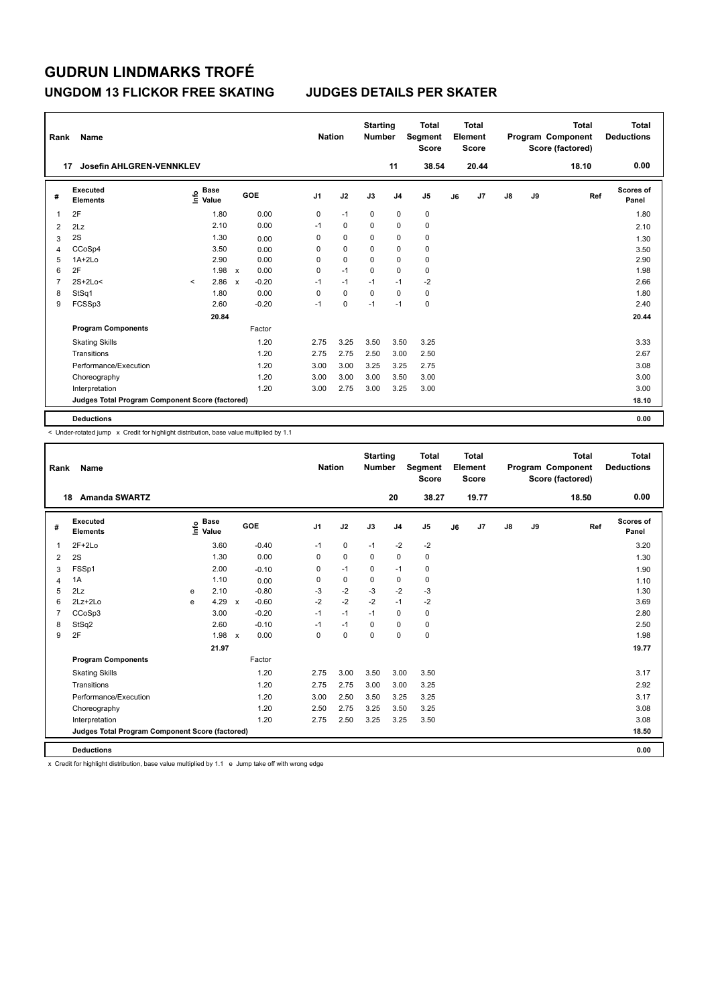### **UNGDOM 13 FLICKOR FREE SKATING JUDGES DETAILS PER SKATER**

| Rank | Name                                            |         |                                             |              |         | <b>Nation</b>  |             | <b>Starting</b><br><b>Number</b> |                | <b>Total</b><br>Segment<br><b>Score</b> |    | <b>Total</b><br>Element<br><b>Score</b> |    |    | <b>Total</b><br>Program Component<br>Score (factored) | <b>Total</b><br><b>Deductions</b> |
|------|-------------------------------------------------|---------|---------------------------------------------|--------------|---------|----------------|-------------|----------------------------------|----------------|-----------------------------------------|----|-----------------------------------------|----|----|-------------------------------------------------------|-----------------------------------|
|      | <b>Josefin AHLGREN-VENNKLEV</b><br>17           |         |                                             |              |         |                |             |                                  | 11             | 38.54                                   |    | 20.44                                   |    |    | 18.10                                                 | 0.00                              |
| #    | Executed<br><b>Elements</b>                     |         | <b>Base</b><br>e <sup>Base</sup><br>⊆ Value |              | GOE     | J <sub>1</sub> | J2          | J3                               | J <sub>4</sub> | J5                                      | J6 | J7                                      | J8 | J9 | Ref                                                   | <b>Scores of</b><br>Panel         |
| 1    | 2F                                              |         | 1.80                                        |              | 0.00    | 0              | $-1$        | 0                                | $\pmb{0}$      | $\pmb{0}$                               |    |                                         |    |    |                                                       | 1.80                              |
| 2    | 2Lz                                             |         | 2.10                                        |              | 0.00    | $-1$           | 0           | $\Omega$                         | 0              | 0                                       |    |                                         |    |    |                                                       | 2.10                              |
| 3    | 2S                                              |         | 1.30                                        |              | 0.00    | 0              | $\mathbf 0$ | 0                                | $\mathbf 0$    | $\pmb{0}$                               |    |                                         |    |    |                                                       | 1.30                              |
| 4    | CCoSp4                                          |         | 3.50                                        |              | 0.00    | 0              | $\mathbf 0$ | $\mathbf 0$                      | $\mathbf 0$    | $\pmb{0}$                               |    |                                         |    |    |                                                       | 3.50                              |
| 5    | $1A+2Lo$                                        |         | 2.90                                        |              | 0.00    | 0              | $\mathbf 0$ | $\Omega$                         | 0              | $\pmb{0}$                               |    |                                         |    |    |                                                       | 2.90                              |
| 6    | 2F                                              |         | 1.98                                        | $\mathsf{x}$ | 0.00    | 0              | $-1$        | 0                                | 0              | 0                                       |    |                                         |    |    |                                                       | 1.98                              |
| 7    | $2S+2Lo<$                                       | $\prec$ | 2.86                                        | $\mathsf{x}$ | $-0.20$ | $-1$           | $-1$        | $-1$                             | $-1$           | $-2$                                    |    |                                         |    |    |                                                       | 2.66                              |
| 8    | StSq1                                           |         | 1.80                                        |              | 0.00    | 0              | $\mathbf 0$ | $\Omega$                         | $\mathbf 0$    | 0                                       |    |                                         |    |    |                                                       | 1.80                              |
| 9    | FCSSp3                                          |         | 2.60                                        |              | $-0.20$ | $-1$           | 0           | $-1$                             | $-1$           | $\pmb{0}$                               |    |                                         |    |    |                                                       | 2.40                              |
|      |                                                 |         | 20.84                                       |              |         |                |             |                                  |                |                                         |    |                                         |    |    |                                                       | 20.44                             |
|      | <b>Program Components</b>                       |         |                                             |              | Factor  |                |             |                                  |                |                                         |    |                                         |    |    |                                                       |                                   |
|      | <b>Skating Skills</b>                           |         |                                             |              | 1.20    | 2.75           | 3.25        | 3.50                             | 3.50           | 3.25                                    |    |                                         |    |    |                                                       | 3.33                              |
|      | Transitions                                     |         |                                             |              | 1.20    | 2.75           | 2.75        | 2.50                             | 3.00           | 2.50                                    |    |                                         |    |    |                                                       | 2.67                              |
|      | Performance/Execution                           |         |                                             |              | 1.20    | 3.00           | 3.00        | 3.25                             | 3.25           | 2.75                                    |    |                                         |    |    |                                                       | 3.08                              |
|      | Choreography                                    |         |                                             |              | 1.20    | 3.00           | 3.00        | 3.00                             | 3.50           | 3.00                                    |    |                                         |    |    |                                                       | 3.00                              |
|      | Interpretation                                  |         |                                             |              | 1.20    | 3.00           | 2.75        | 3.00                             | 3.25           | 3.00                                    |    |                                         |    |    |                                                       | 3.00                              |
|      | Judges Total Program Component Score (factored) |         |                                             |              |         |                |             |                                  |                |                                         |    |                                         |    |    |                                                       | 18.10                             |
|      | <b>Deductions</b>                               |         |                                             |              |         |                |             |                                  |                |                                         |    |                                         |    |    |                                                       | 0.00                              |

-<br>< Under-rotated jump x Credit for highlight distribution, base value multiplied by 1.1

| Rank           | Name                                            |   |                                  |                           |         |                | <b>Nation</b> | <b>Starting</b><br><b>Number</b> |                | <b>Total</b><br>Segment<br><b>Score</b> |    | <b>Total</b><br>Element<br><b>Score</b> |               |    | <b>Total</b><br>Program Component<br>Score (factored) | <b>Total</b><br><b>Deductions</b> |
|----------------|-------------------------------------------------|---|----------------------------------|---------------------------|---------|----------------|---------------|----------------------------------|----------------|-----------------------------------------|----|-----------------------------------------|---------------|----|-------------------------------------------------------|-----------------------------------|
|                | <b>Amanda SWARTZ</b><br>18                      |   |                                  |                           |         |                |               |                                  | 20             | 38.27                                   |    | 19.77                                   |               |    | 18.50                                                 | 0.00                              |
| #              | Executed<br><b>Elements</b>                     |   | <b>Base</b><br>e Base<br>⊆ Value |                           | GOE     | J <sub>1</sub> | J2            | J3                               | J <sub>4</sub> | J <sub>5</sub>                          | J6 | J7                                      | $\mathsf{J}8$ | J9 | Ref                                                   | Scores of<br>Panel                |
| 1              | $2F+2Lo$                                        |   | 3.60                             |                           | $-0.40$ | $-1$           | $\mathbf 0$   | $-1$                             | $-2$           | $-2$                                    |    |                                         |               |    |                                                       | 3.20                              |
| $\overline{2}$ | 2S                                              |   | 1.30                             |                           | 0.00    | $\Omega$       | $\Omega$      | $\Omega$                         | $\Omega$       | 0                                       |    |                                         |               |    |                                                       | 1.30                              |
| 3              | FSSp1                                           |   | 2.00                             |                           | $-0.10$ | $\Omega$       | $-1$          | $\Omega$                         | $-1$           | 0                                       |    |                                         |               |    |                                                       | 1.90                              |
| 4              | 1A                                              |   | 1.10                             |                           | 0.00    | 0              | $\mathbf 0$   | 0                                | $\mathbf 0$    | $\mathbf 0$                             |    |                                         |               |    |                                                       | 1.10                              |
| 5              | 2Lz                                             | e | 2.10                             |                           | $-0.80$ | $-3$           | $-2$          | $-3$                             | $-2$           | $-3$                                    |    |                                         |               |    |                                                       | 1.30                              |
| 6              | $2Lz+2Lo$                                       | e | 4.29                             | $\mathsf{x}$              | $-0.60$ | $-2$           | $-2$          | $-2$                             | $-1$           | $-2$                                    |    |                                         |               |    |                                                       | 3.69                              |
| $\overline{7}$ | CCoSp3                                          |   | 3.00                             |                           | $-0.20$ | $-1$           | $-1$          | $-1$                             | $\mathbf 0$    | $\mathbf 0$                             |    |                                         |               |    |                                                       | 2.80                              |
| 8              | StSq2                                           |   | 2.60                             |                           | $-0.10$ | $-1$           | $-1$          | $\mathbf 0$                      | $\mathbf 0$    | 0                                       |    |                                         |               |    |                                                       | 2.50                              |
| 9              | 2F                                              |   | 1.98                             | $\boldsymbol{\mathsf{x}}$ | 0.00    | 0              | $\mathbf 0$   | 0                                | $\mathbf 0$    | $\mathbf 0$                             |    |                                         |               |    |                                                       | 1.98                              |
|                |                                                 |   | 21.97                            |                           |         |                |               |                                  |                |                                         |    |                                         |               |    |                                                       | 19.77                             |
|                | <b>Program Components</b>                       |   |                                  |                           | Factor  |                |               |                                  |                |                                         |    |                                         |               |    |                                                       |                                   |
|                | <b>Skating Skills</b>                           |   |                                  |                           | 1.20    | 2.75           | 3.00          | 3.50                             | 3.00           | 3.50                                    |    |                                         |               |    |                                                       | 3.17                              |
|                | Transitions                                     |   |                                  |                           | 1.20    | 2.75           | 2.75          | 3.00                             | 3.00           | 3.25                                    |    |                                         |               |    |                                                       | 2.92                              |
|                | Performance/Execution                           |   |                                  |                           | 1.20    | 3.00           | 2.50          | 3.50                             | 3.25           | 3.25                                    |    |                                         |               |    |                                                       | 3.17                              |
|                | Choreography                                    |   |                                  |                           | 1.20    | 2.50           | 2.75          | 3.25                             | 3.50           | 3.25                                    |    |                                         |               |    |                                                       | 3.08                              |
|                | Interpretation                                  |   |                                  |                           | 1.20    | 2.75           | 2.50          | 3.25                             | 3.25           | 3.50                                    |    |                                         |               |    |                                                       | 3.08                              |
|                | Judges Total Program Component Score (factored) |   |                                  |                           |         |                |               |                                  |                |                                         |    |                                         |               |    |                                                       | 18.50                             |
|                | <b>Deductions</b>                               |   |                                  |                           |         |                |               |                                  |                |                                         |    |                                         |               |    |                                                       | 0.00                              |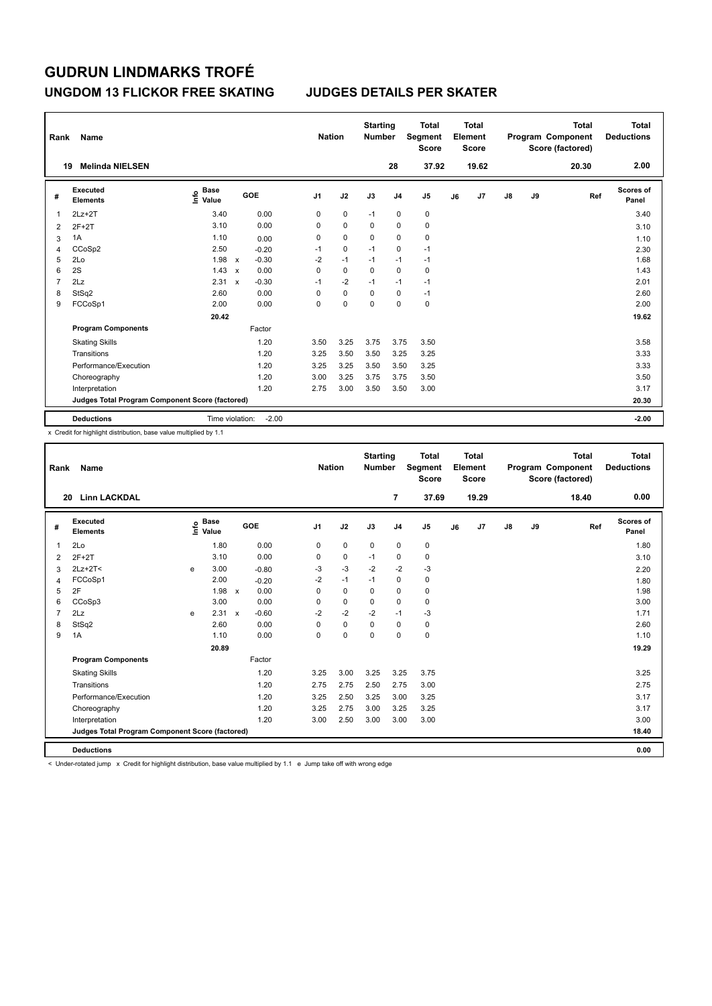### **UNGDOM 13 FLICKOR FREE SKATING JUDGES DETAILS PER SKATER**

| Rank           | Name                                            |                                  |                                      | <b>Nation</b> |             | <b>Starting</b><br><b>Number</b> |                | <b>Total</b><br>Segment<br><b>Score</b> |    | Total<br>Element<br><b>Score</b> |               |    | <b>Total</b><br>Program Component<br>Score (factored) | Total<br><b>Deductions</b> |
|----------------|-------------------------------------------------|----------------------------------|--------------------------------------|---------------|-------------|----------------------------------|----------------|-----------------------------------------|----|----------------------------------|---------------|----|-------------------------------------------------------|----------------------------|
| 19             | <b>Melinda NIELSEN</b>                          |                                  |                                      |               |             |                                  | 28             | 37.92                                   |    | 19.62                            |               |    | 20.30                                                 | 2.00                       |
| #              | Executed<br><b>Elements</b>                     | <b>Base</b><br>e Base<br>⊆ Value | <b>GOE</b>                           | J1            | J2          | J3                               | J <sub>4</sub> | J <sub>5</sub>                          | J6 | J7                               | $\mathsf{J}8$ | J9 | Ref                                                   | Scores of<br>Panel         |
|                | $2Lz+2T$                                        | 3.40                             | 0.00                                 | 0             | 0           | $-1$                             | $\mathbf 0$    | $\pmb{0}$                               |    |                                  |               |    |                                                       | 3.40                       |
| $\overline{2}$ | $2F+2T$                                         | 3.10                             | 0.00                                 | 0             | $\mathbf 0$ | $\Omega$                         | $\Omega$       | $\pmb{0}$                               |    |                                  |               |    |                                                       | 3.10                       |
| 3              | 1A                                              | 1.10                             | 0.00                                 | 0             | $\mathbf 0$ | $\mathbf 0$                      | $\mathbf 0$    | $\pmb{0}$                               |    |                                  |               |    |                                                       | 1.10                       |
| 4              | CCoSp2                                          | 2.50                             | $-0.20$                              | $-1$          | $\mathbf 0$ | $-1$                             | 0              | $-1$                                    |    |                                  |               |    |                                                       | 2.30                       |
| 5              | 2Lo                                             | 1.98                             | $-0.30$<br>$\mathsf{x}$              | $-2$          | $-1$        | $-1$                             | $-1$           | $-1$                                    |    |                                  |               |    |                                                       | 1.68                       |
| 6              | 2S                                              | 1.43                             | 0.00<br>$\boldsymbol{\mathsf{x}}$    | 0             | $\mathbf 0$ | $\mathbf 0$                      | $\mathbf 0$    | $\pmb{0}$                               |    |                                  |               |    |                                                       | 1.43                       |
| $\overline{7}$ | 2Lz                                             | 2.31                             | $-0.30$<br>$\boldsymbol{\mathsf{x}}$ | $-1$          | $-2$        | $-1$                             | $-1$           | $-1$                                    |    |                                  |               |    |                                                       | 2.01                       |
| 8              | StSq2                                           | 2.60                             | 0.00                                 | 0             | $\mathbf 0$ | $\Omega$                         | $\mathbf 0$    | $-1$                                    |    |                                  |               |    |                                                       | 2.60                       |
| 9              | FCCoSp1                                         | 2.00                             | 0.00                                 | 0             | 0           | $\mathbf 0$                      | $\mathbf 0$    | $\pmb{0}$                               |    |                                  |               |    |                                                       | 2.00                       |
|                |                                                 | 20.42                            |                                      |               |             |                                  |                |                                         |    |                                  |               |    |                                                       | 19.62                      |
|                | <b>Program Components</b>                       |                                  | Factor                               |               |             |                                  |                |                                         |    |                                  |               |    |                                                       |                            |
|                | <b>Skating Skills</b>                           |                                  | 1.20                                 | 3.50          | 3.25        | 3.75                             | 3.75           | 3.50                                    |    |                                  |               |    |                                                       | 3.58                       |
|                | Transitions                                     |                                  | 1.20                                 | 3.25          | 3.50        | 3.50                             | 3.25           | 3.25                                    |    |                                  |               |    |                                                       | 3.33                       |
|                | Performance/Execution                           |                                  | 1.20                                 | 3.25          | 3.25        | 3.50                             | 3.50           | 3.25                                    |    |                                  |               |    |                                                       | 3.33                       |
|                | Choreography                                    |                                  | 1.20                                 | 3.00          | 3.25        | 3.75                             | 3.75           | 3.50                                    |    |                                  |               |    |                                                       | 3.50                       |
|                | Interpretation                                  |                                  | 1.20                                 | 2.75          | 3.00        | 3.50                             | 3.50           | 3.00                                    |    |                                  |               |    |                                                       | 3.17                       |
|                | Judges Total Program Component Score (factored) |                                  |                                      |               |             |                                  |                |                                         |    |                                  |               |    |                                                       | 20.30                      |
|                | <b>Deductions</b>                               | Time violation:                  | $-2.00$                              |               |             |                                  |                |                                         |    |                                  |               |    |                                                       | $-2.00$                    |

x Credit for highlight distribution, base value multiplied by 1.1

| Rank           | Name                                            |   |                                  |              |         |                | <b>Nation</b> | <b>Starting</b><br><b>Number</b> |                | <b>Total</b><br>Segment<br><b>Score</b> |    | Total<br>Element<br><b>Score</b> |    |    | <b>Total</b><br>Program Component<br>Score (factored) | <b>Total</b><br><b>Deductions</b> |
|----------------|-------------------------------------------------|---|----------------------------------|--------------|---------|----------------|---------------|----------------------------------|----------------|-----------------------------------------|----|----------------------------------|----|----|-------------------------------------------------------|-----------------------------------|
| 20             | <b>Linn LACKDAL</b>                             |   |                                  |              |         |                |               |                                  | 7              | 37.69                                   |    | 19.29                            |    |    | 18.40                                                 | 0.00                              |
| #              | <b>Executed</b><br><b>Elements</b>              |   | <b>Base</b><br>e Base<br>⊆ Value |              | GOE     | J <sub>1</sub> | J2            | J3                               | J <sub>4</sub> | J <sub>5</sub>                          | J6 | J7                               | J8 | J9 | Ref                                                   | <b>Scores of</b><br>Panel         |
| 1              | 2Lo                                             |   | 1.80                             |              | 0.00    | 0              | $\mathbf 0$   | $\mathbf 0$                      | $\mathbf 0$    | 0                                       |    |                                  |    |    |                                                       | 1.80                              |
| $\overline{2}$ | $2F+2T$                                         |   | 3.10                             |              | 0.00    | 0              | 0             | $-1$                             | 0              | 0                                       |    |                                  |    |    |                                                       | 3.10                              |
| 3              | $2Lz+2T<$                                       | e | 3.00                             |              | $-0.80$ | -3             | $-3$          | $-2$                             | $-2$           | $-3$                                    |    |                                  |    |    |                                                       | 2.20                              |
| 4              | FCCoSp1                                         |   | 2.00                             |              | $-0.20$ | $-2$           | $-1$          | $-1$                             | $\mathbf 0$    | 0                                       |    |                                  |    |    |                                                       | 1.80                              |
| 5              | 2F                                              |   | 1.98                             | $\mathsf{x}$ | 0.00    | $\Omega$       | $\mathbf 0$   | $\mathbf 0$                      | $\mathbf 0$    | 0                                       |    |                                  |    |    |                                                       | 1.98                              |
| 6              | CCoSp3                                          |   | 3.00                             |              | 0.00    | $\Omega$       | $\mathbf 0$   | $\Omega$                         | $\mathbf 0$    | 0                                       |    |                                  |    |    |                                                       | 3.00                              |
| $\overline{7}$ | 2Lz                                             | e | 2.31                             | $\mathsf{x}$ | $-0.60$ | $-2$           | $-2$          | $-2$                             | $-1$           | $-3$                                    |    |                                  |    |    |                                                       | 1.71                              |
| 8              | StSq2                                           |   | 2.60                             |              | 0.00    | $\Omega$       | $\mathbf 0$   | $\Omega$                         | $\mathbf 0$    | 0                                       |    |                                  |    |    |                                                       | 2.60                              |
| 9              | 1A                                              |   | 1.10                             |              | 0.00    | 0              | $\mathbf 0$   | $\mathbf 0$                      | $\mathbf 0$    | 0                                       |    |                                  |    |    |                                                       | 1.10                              |
|                |                                                 |   | 20.89                            |              |         |                |               |                                  |                |                                         |    |                                  |    |    |                                                       | 19.29                             |
|                | <b>Program Components</b>                       |   |                                  |              | Factor  |                |               |                                  |                |                                         |    |                                  |    |    |                                                       |                                   |
|                | <b>Skating Skills</b>                           |   |                                  |              | 1.20    | 3.25           | 3.00          | 3.25                             | 3.25           | 3.75                                    |    |                                  |    |    |                                                       | 3.25                              |
|                | Transitions                                     |   |                                  |              | 1.20    | 2.75           | 2.75          | 2.50                             | 2.75           | 3.00                                    |    |                                  |    |    |                                                       | 2.75                              |
|                | Performance/Execution                           |   |                                  |              | 1.20    | 3.25           | 2.50          | 3.25                             | 3.00           | 3.25                                    |    |                                  |    |    |                                                       | 3.17                              |
|                | Choreography                                    |   |                                  |              | 1.20    | 3.25           | 2.75          | 3.00                             | 3.25           | 3.25                                    |    |                                  |    |    |                                                       | 3.17                              |
|                | Interpretation                                  |   |                                  |              | 1.20    | 3.00           | 2.50          | 3.00                             | 3.00           | 3.00                                    |    |                                  |    |    |                                                       | 3.00                              |
|                | Judges Total Program Component Score (factored) |   |                                  |              |         |                |               |                                  |                |                                         |    |                                  |    |    |                                                       | 18.40                             |
|                | <b>Deductions</b>                               |   |                                  |              |         |                |               |                                  |                |                                         |    |                                  |    |    |                                                       | 0.00                              |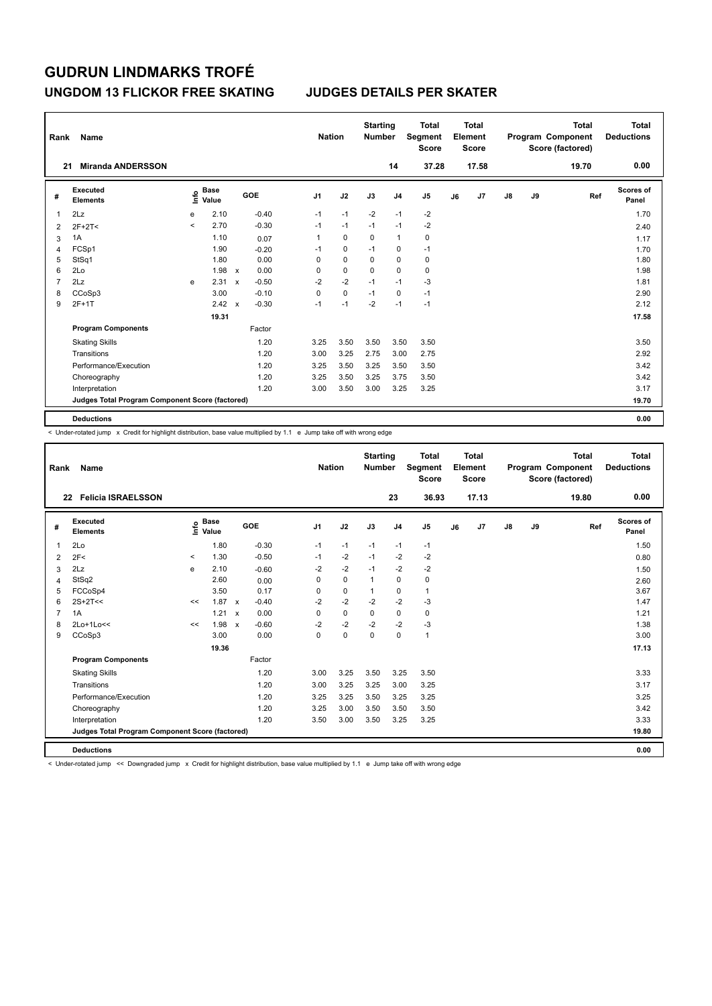### **UNGDOM 13 FLICKOR FREE SKATING JUDGES DETAILS PER SKATER**

| Rank           | Name                                            |         |                      |              |         |                | <b>Nation</b> |             | <b>Starting</b><br><b>Number</b> |                | <b>Total</b><br>Segment<br><b>Score</b> |    | <b>Total</b><br>Element<br><b>Score</b> |               |    | <b>Total</b><br>Program Component<br>Score (factored) | <b>Total</b><br><b>Deductions</b> |
|----------------|-------------------------------------------------|---------|----------------------|--------------|---------|----------------|---------------|-------------|----------------------------------|----------------|-----------------------------------------|----|-----------------------------------------|---------------|----|-------------------------------------------------------|-----------------------------------|
| 21             | <b>Miranda ANDERSSON</b>                        |         |                      |              |         |                |               |             |                                  | 14             | 37.28                                   |    | 17.58                                   |               |    | 19.70                                                 | 0.00                              |
| #              | <b>Executed</b><br><b>Elements</b>              | ١m      | <b>Base</b><br>Value |              | GOE     | J <sub>1</sub> |               | J2          | J3                               | J <sub>4</sub> | J <sub>5</sub>                          | J6 | J7                                      | $\mathsf{J}8$ | J9 | Ref                                                   | Scores of<br>Panel                |
| 1              | 2Lz                                             | e       | 2.10                 |              | $-0.40$ | $-1$           |               | $-1$        | $-2$                             | $-1$           | $-2$                                    |    |                                         |               |    |                                                       | 1.70                              |
| 2              | $2F+2T<$                                        | $\prec$ | 2.70                 |              | $-0.30$ | $-1$           |               | $-1$        | $-1$                             | $-1$           | $-2$                                    |    |                                         |               |    |                                                       | 2.40                              |
| 3              | 1A                                              |         | 1.10                 |              | 0.07    | 1              |               | $\mathbf 0$ | 0                                | $\mathbf{1}$   | 0                                       |    |                                         |               |    |                                                       | 1.17                              |
| 4              | FCSp1                                           |         | 1.90                 |              | $-0.20$ | $-1$           |               | $\mathbf 0$ | $-1$                             | $\mathbf 0$    | $-1$                                    |    |                                         |               |    |                                                       | 1.70                              |
| 5              | StSq1                                           |         | 1.80                 |              | 0.00    | 0              |               | $\mathbf 0$ | $\Omega$                         | $\Omega$       | 0                                       |    |                                         |               |    |                                                       | 1.80                              |
| 6              | 2Lo                                             |         | 1.98                 | $\mathsf{x}$ | 0.00    | 0              |               | $\pmb{0}$   | $\mathbf 0$                      | $\mathbf 0$    | $\pmb{0}$                               |    |                                         |               |    |                                                       | 1.98                              |
| $\overline{7}$ | 2Lz                                             | e       | 2.31                 | $\mathsf{x}$ | $-0.50$ | $-2$           |               | $-2$        | $-1$                             | $-1$           | $-3$                                    |    |                                         |               |    |                                                       | 1.81                              |
| 8              | CCoSp3                                          |         | 3.00                 |              | $-0.10$ | 0              |               | $\mathbf 0$ | $-1$                             | $\mathbf 0$    | $-1$                                    |    |                                         |               |    |                                                       | 2.90                              |
| 9              | $2F+1T$                                         |         | 2.42                 | $\mathsf{x}$ | $-0.30$ | $-1$           |               | $-1$        | $-2$                             | $-1$           | $-1$                                    |    |                                         |               |    |                                                       | 2.12                              |
|                |                                                 |         | 19.31                |              |         |                |               |             |                                  |                |                                         |    |                                         |               |    |                                                       | 17.58                             |
|                | <b>Program Components</b>                       |         |                      |              | Factor  |                |               |             |                                  |                |                                         |    |                                         |               |    |                                                       |                                   |
|                | <b>Skating Skills</b>                           |         |                      |              | 1.20    | 3.25           |               | 3.50        | 3.50                             | 3.50           | 3.50                                    |    |                                         |               |    |                                                       | 3.50                              |
|                | Transitions                                     |         |                      |              | 1.20    | 3.00           |               | 3.25        | 2.75                             | 3.00           | 2.75                                    |    |                                         |               |    |                                                       | 2.92                              |
|                | Performance/Execution                           |         |                      |              | 1.20    | 3.25           |               | 3.50        | 3.25                             | 3.50           | 3.50                                    |    |                                         |               |    |                                                       | 3.42                              |
|                | Choreography                                    |         |                      |              | 1.20    | 3.25           |               | 3.50        | 3.25                             | 3.75           | 3.50                                    |    |                                         |               |    |                                                       | 3.42                              |
|                | Interpretation                                  |         |                      |              | 1.20    | 3.00           |               | 3.50        | 3.00                             | 3.25           | 3.25                                    |    |                                         |               |    |                                                       | 3.17                              |
|                | Judges Total Program Component Score (factored) |         |                      |              |         |                |               |             |                                  |                |                                         |    |                                         |               |    |                                                       | 19.70                             |
|                | <b>Deductions</b>                               |         |                      |              |         |                |               |             |                                  |                |                                         |    |                                         |               |    |                                                       | 0.00                              |

-<br>< Under-rotated jump x Credit for highlight distribution, base value multiplied by 1.1 e Jump take off with wrong edge

| Rank           | Name                                            |       |                                  |              |         |                | <b>Nation</b> | <b>Starting</b><br><b>Number</b> |                | <b>Total</b><br>Segment<br><b>Score</b> |    | Total<br>Element<br>Score |               |    | <b>Total</b><br>Program Component<br>Score (factored) | Total<br><b>Deductions</b> |
|----------------|-------------------------------------------------|-------|----------------------------------|--------------|---------|----------------|---------------|----------------------------------|----------------|-----------------------------------------|----|---------------------------|---------------|----|-------------------------------------------------------|----------------------------|
|                | <b>Felicia ISRAELSSON</b><br>22                 |       |                                  |              |         |                |               |                                  | 23             | 36.93                                   |    | 17.13                     |               |    | 19.80                                                 | 0.00                       |
| #              | Executed<br>Elements                            |       | <b>Base</b><br>e Base<br>⊆ Value |              | GOE     | J <sub>1</sub> | J2            | J3                               | J <sub>4</sub> | J <sub>5</sub>                          | J6 | J7                        | $\mathsf{J}8$ | J9 | Ref                                                   | Scores of<br>Panel         |
| 1              | 2Lo                                             |       | 1.80                             |              | $-0.30$ | $-1$           | $-1$          | $-1$                             | $-1$           | $-1$                                    |    |                           |               |    |                                                       | 1.50                       |
| $\overline{2}$ | 2F<                                             | $\,<$ | 1.30                             |              | $-0.50$ | $-1$           | $-2$          | $-1$                             | $-2$           | $-2$                                    |    |                           |               |    |                                                       | 0.80                       |
| 3              | 2Lz                                             | e     | 2.10                             |              | $-0.60$ | $-2$           | $-2$          | $-1$                             | $-2$           | $-2$                                    |    |                           |               |    |                                                       | 1.50                       |
| 4              | StSq2                                           |       | 2.60                             |              | 0.00    | $\Omega$       | $\mathbf 0$   | 1                                | $\mathbf 0$    | $\pmb{0}$                               |    |                           |               |    |                                                       | 2.60                       |
| 5              | FCCoSp4                                         |       | 3.50                             |              | 0.17    | 0              | $\mathbf 0$   | 1                                | $\mathbf 0$    | $\mathbf{1}$                            |    |                           |               |    |                                                       | 3.67                       |
| 6              | $2S+2T<<$                                       | <<    | 1.87                             | $\mathbf{x}$ | $-0.40$ | $-2$           | $-2$          | $-2$                             | $-2$           | $-3$                                    |    |                           |               |    |                                                       | 1.47                       |
| $\overline{7}$ | 1A                                              |       | 1.21                             | $\mathsf{x}$ | 0.00    | $\mathbf 0$    | $\mathbf 0$   | $\Omega$                         | $\mathbf 0$    | $\mathbf 0$                             |    |                           |               |    |                                                       | 1.21                       |
| 8              | 2Lo+1Lo<<                                       | <<    | 1.98                             | $\mathbf{x}$ | $-0.60$ | $-2$           | $-2$          | $-2$                             | $-2$           | $-3$                                    |    |                           |               |    |                                                       | 1.38                       |
| 9              | CCoSp3                                          |       | 3.00                             |              | 0.00    | 0              | $\mathbf 0$   | $\mathbf 0$                      | $\mathbf 0$    | $\mathbf{1}$                            |    |                           |               |    |                                                       | 3.00                       |
|                |                                                 |       | 19.36                            |              |         |                |               |                                  |                |                                         |    |                           |               |    |                                                       | 17.13                      |
|                | <b>Program Components</b>                       |       |                                  |              | Factor  |                |               |                                  |                |                                         |    |                           |               |    |                                                       |                            |
|                | <b>Skating Skills</b>                           |       |                                  |              | 1.20    | 3.00           | 3.25          | 3.50                             | 3.25           | 3.50                                    |    |                           |               |    |                                                       | 3.33                       |
|                | Transitions                                     |       |                                  |              | 1.20    | 3.00           | 3.25          | 3.25                             | 3.00           | 3.25                                    |    |                           |               |    |                                                       | 3.17                       |
|                | Performance/Execution                           |       |                                  |              | 1.20    | 3.25           | 3.25          | 3.50                             | 3.25           | 3.25                                    |    |                           |               |    |                                                       | 3.25                       |
|                | Choreography                                    |       |                                  |              | 1.20    | 3.25           | 3.00          | 3.50                             | 3.50           | 3.50                                    |    |                           |               |    |                                                       | 3.42                       |
|                | Interpretation                                  |       |                                  |              | 1.20    | 3.50           | 3.00          | 3.50                             | 3.25           | 3.25                                    |    |                           |               |    |                                                       | 3.33                       |
|                | Judges Total Program Component Score (factored) |       |                                  |              |         |                |               |                                  |                |                                         |    |                           |               |    |                                                       | 19.80                      |
|                | <b>Deductions</b>                               |       |                                  |              |         |                |               |                                  |                |                                         |    |                           |               |    |                                                       | 0.00                       |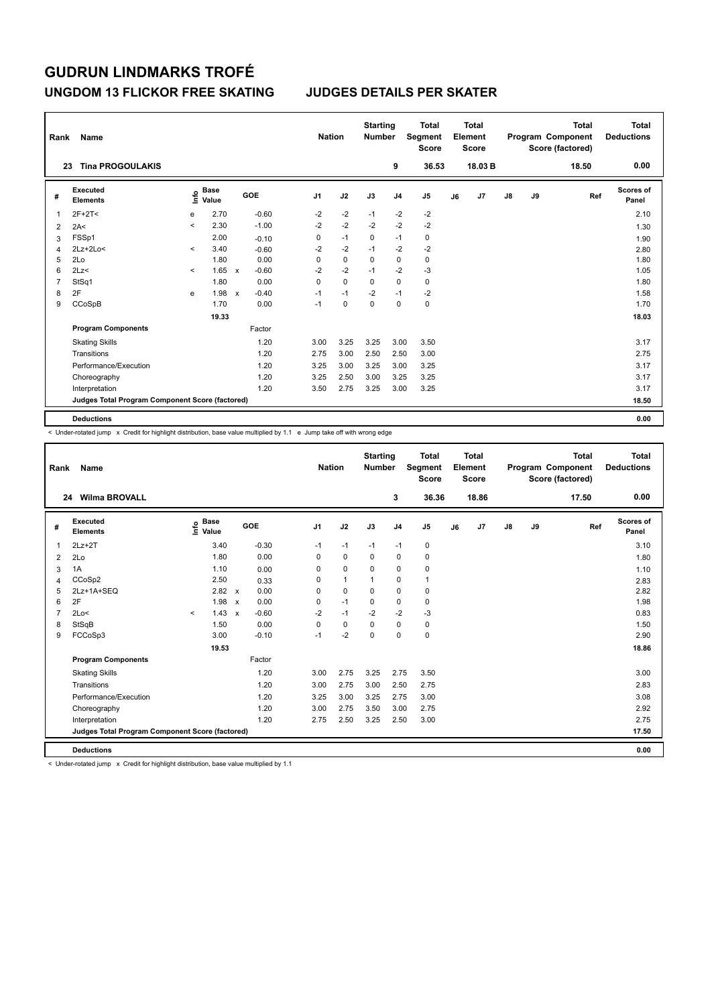### **UNGDOM 13 FLICKOR FREE SKATING JUDGES DETAILS PER SKATER**

| Rank           | Name                                            |                          |                      |              |         |                | <b>Nation</b> |             | <b>Starting</b><br><b>Number</b> |                | <b>Total</b><br>Segment<br><b>Score</b> |    | Total<br>Element<br><b>Score</b> |               |    | Total<br>Program Component<br>Score (factored) | <b>Total</b><br><b>Deductions</b> |
|----------------|-------------------------------------------------|--------------------------|----------------------|--------------|---------|----------------|---------------|-------------|----------------------------------|----------------|-----------------------------------------|----|----------------------------------|---------------|----|------------------------------------------------|-----------------------------------|
|                | <b>Tina PROGOULAKIS</b><br>23                   |                          |                      |              |         |                |               |             |                                  | 9              | 36.53                                   |    | 18.03 B                          |               |    | 18.50                                          | 0.00                              |
| #              | <b>Executed</b><br><b>Elements</b>              | ١nfo                     | <b>Base</b><br>Value |              | GOE     | J <sub>1</sub> |               | J2          | J3                               | J <sub>4</sub> | J <sub>5</sub>                          | J6 | J7                               | $\mathsf{J}8$ | J9 | Ref                                            | <b>Scores of</b><br>Panel         |
| 1              | $2F+2T<$                                        | e                        | 2.70                 |              | $-0.60$ | $-2$           |               | $-2$        | $-1$                             | $-2$           | $-2$                                    |    |                                  |               |    |                                                | 2.10                              |
| $\overline{2}$ | 2A<                                             | $\overline{\phantom{0}}$ | 2.30                 |              | $-1.00$ | $-2$           |               | $-2$        | $-2$                             | $-2$           | $-2$                                    |    |                                  |               |    |                                                | 1.30                              |
| 3              | FSSp1                                           |                          | 2.00                 |              | $-0.10$ | 0              |               | $-1$        | $\Omega$                         | $-1$           | 0                                       |    |                                  |               |    |                                                | 1.90                              |
| 4              | $2Lz+2Lo<$                                      | $\prec$                  | 3.40                 |              | $-0.60$ | $-2$           |               | $-2$        | $-1$                             | $-2$           | $-2$                                    |    |                                  |               |    |                                                | 2.80                              |
| 5              | 2Lo                                             |                          | 1.80                 |              | 0.00    | 0              |               | $\mathbf 0$ | $\Omega$                         | 0              | 0                                       |    |                                  |               |    |                                                | 1.80                              |
| 6              | 2Lz                                             | $\prec$                  | 1.65                 | $\mathsf{x}$ | $-0.60$ | $-2$           |               | $-2$        | $-1$                             | $-2$           | -3                                      |    |                                  |               |    |                                                | 1.05                              |
| 7              | StSq1                                           |                          | 1.80                 |              | 0.00    | 0              |               | $\mathbf 0$ | $\mathbf 0$                      | $\mathbf 0$    | $\pmb{0}$                               |    |                                  |               |    |                                                | 1.80                              |
| 8              | 2F                                              | e                        | 1.98                 | $\mathsf{x}$ | $-0.40$ | $-1$           |               | $-1$        | $-2$                             | $-1$           | $-2$                                    |    |                                  |               |    |                                                | 1.58                              |
| 9              | CCoSpB                                          |                          | 1.70                 |              | 0.00    | $-1$           |               | $\mathbf 0$ | $\Omega$                         | 0              | $\pmb{0}$                               |    |                                  |               |    |                                                | 1.70                              |
|                |                                                 |                          | 19.33                |              |         |                |               |             |                                  |                |                                         |    |                                  |               |    |                                                | 18.03                             |
|                | <b>Program Components</b>                       |                          |                      |              | Factor  |                |               |             |                                  |                |                                         |    |                                  |               |    |                                                |                                   |
|                | <b>Skating Skills</b>                           |                          |                      |              | 1.20    | 3.00           |               | 3.25        | 3.25                             | 3.00           | 3.50                                    |    |                                  |               |    |                                                | 3.17                              |
|                | Transitions                                     |                          |                      |              | 1.20    | 2.75           |               | 3.00        | 2.50                             | 2.50           | 3.00                                    |    |                                  |               |    |                                                | 2.75                              |
|                | Performance/Execution                           |                          |                      |              | 1.20    | 3.25           |               | 3.00        | 3.25                             | 3.00           | 3.25                                    |    |                                  |               |    |                                                | 3.17                              |
|                | Choreography                                    |                          |                      |              | 1.20    | 3.25           |               | 2.50        | 3.00                             | 3.25           | 3.25                                    |    |                                  |               |    |                                                | 3.17                              |
|                | Interpretation                                  |                          |                      |              | 1.20    | 3.50           |               | 2.75        | 3.25                             | 3.00           | 3.25                                    |    |                                  |               |    |                                                | 3.17                              |
|                | Judges Total Program Component Score (factored) |                          |                      |              |         |                |               |             |                                  |                |                                         |    |                                  |               |    |                                                | 18.50                             |
|                | <b>Deductions</b>                               |                          |                      |              |         |                |               |             |                                  |                |                                         |    |                                  |               |    |                                                | 0.00                              |

 $\leq$  Under-rotated jump  $\geq$  Credit for highlight distribution, base value multiplied by 1.1 e Jump take off with wrong edge

| Rank           | Name                                            |         |                      |                           |         |                | <b>Nation</b> |              | <b>Starting</b><br><b>Number</b> |                | <b>Total</b><br>Segment<br><b>Score</b> |    | Total<br>Element<br><b>Score</b> |               |    | <b>Total</b><br>Program Component<br>Score (factored) | Total<br><b>Deductions</b> |
|----------------|-------------------------------------------------|---------|----------------------|---------------------------|---------|----------------|---------------|--------------|----------------------------------|----------------|-----------------------------------------|----|----------------------------------|---------------|----|-------------------------------------------------------|----------------------------|
|                | <b>Wilma BROVALL</b><br>24                      |         |                      |                           |         |                |               |              |                                  | 3              | 36.36                                   |    | 18.86                            |               |    | 17.50                                                 | 0.00                       |
| #              | Executed<br><b>Elements</b>                     | lnfo    | <b>Base</b><br>Value |                           | GOE     | J <sub>1</sub> |               | J2           | J3                               | J <sub>4</sub> | J <sub>5</sub>                          | J6 | J7                               | $\mathsf{J}8$ | J9 | Ref                                                   | Scores of<br>Panel         |
| 1              | $2Lz+2T$                                        |         | 3.40                 |                           | $-0.30$ | $-1$           |               | $-1$         | $-1$                             | $-1$           | 0                                       |    |                                  |               |    |                                                       | 3.10                       |
| $\overline{2}$ | 2Lo                                             |         | 1.80                 |                           | 0.00    | 0              |               | $\mathbf 0$  | 0                                | $\mathbf 0$    | 0                                       |    |                                  |               |    |                                                       | 1.80                       |
| 3              | 1A                                              |         | 1.10                 |                           | 0.00    | 0              |               | $\mathbf 0$  | $\mathbf 0$                      | $\mathbf 0$    | 0                                       |    |                                  |               |    |                                                       | 1.10                       |
| $\overline{4}$ | CCoSp2                                          |         | 2.50                 |                           | 0.33    | 0              |               | $\mathbf{1}$ |                                  | $\mathbf 0$    | 1                                       |    |                                  |               |    |                                                       | 2.83                       |
| 5              | 2Lz+1A+SEQ                                      |         | 2.82                 | $\mathsf{x}$              | 0.00    | 0              |               | $\mathbf 0$  | $\Omega$                         | $\mathbf 0$    | $\mathbf 0$                             |    |                                  |               |    |                                                       | 2.82                       |
| 6              | 2F                                              |         | 1.98                 | $\mathsf{x}$              | 0.00    | 0              |               | $-1$         | $\Omega$                         | $\mathbf 0$    | $\mathbf 0$                             |    |                                  |               |    |                                                       | 1.98                       |
| $\overline{7}$ | 2Lo<                                            | $\prec$ | 1.43                 | $\boldsymbol{\mathsf{x}}$ | $-0.60$ | $-2$           |               | $-1$         | $-2$                             | $-2$           | $-3$                                    |    |                                  |               |    |                                                       | 0.83                       |
| 8              | StSqB                                           |         | 1.50                 |                           | 0.00    | 0              |               | $\pmb{0}$    | $\mathbf 0$                      | $\mathbf 0$    | $\pmb{0}$                               |    |                                  |               |    |                                                       | 1.50                       |
| 9              | FCCoSp3                                         |         | 3.00                 |                           | $-0.10$ | $-1$           |               | $-2$         | $\mathbf 0$                      | $\mathbf 0$    | $\mathbf 0$                             |    |                                  |               |    |                                                       | 2.90                       |
|                |                                                 |         | 19.53                |                           |         |                |               |              |                                  |                |                                         |    |                                  |               |    |                                                       | 18.86                      |
|                | <b>Program Components</b>                       |         |                      |                           | Factor  |                |               |              |                                  |                |                                         |    |                                  |               |    |                                                       |                            |
|                | <b>Skating Skills</b>                           |         |                      |                           | 1.20    | 3.00           |               | 2.75         | 3.25                             | 2.75           | 3.50                                    |    |                                  |               |    |                                                       | 3.00                       |
|                | Transitions                                     |         |                      |                           | 1.20    | 3.00           |               | 2.75         | 3.00                             | 2.50           | 2.75                                    |    |                                  |               |    |                                                       | 2.83                       |
|                | Performance/Execution                           |         |                      |                           | 1.20    | 3.25           |               | 3.00         | 3.25                             | 2.75           | 3.00                                    |    |                                  |               |    |                                                       | 3.08                       |
|                | Choreography                                    |         |                      |                           | 1.20    | 3.00           |               | 2.75         | 3.50                             | 3.00           | 2.75                                    |    |                                  |               |    |                                                       | 2.92                       |
|                | Interpretation                                  |         |                      |                           | 1.20    | 2.75           |               | 2.50         | 3.25                             | 2.50           | 3.00                                    |    |                                  |               |    |                                                       | 2.75                       |
|                | Judges Total Program Component Score (factored) |         |                      |                           |         |                |               |              |                                  |                |                                         |    |                                  |               |    |                                                       | 17.50                      |
|                | <b>Deductions</b>                               |         |                      |                           |         |                |               |              |                                  |                |                                         |    |                                  |               |    |                                                       | 0.00                       |

< Under-rotated jump x Credit for highlight distribution, base value multiplied by 1.1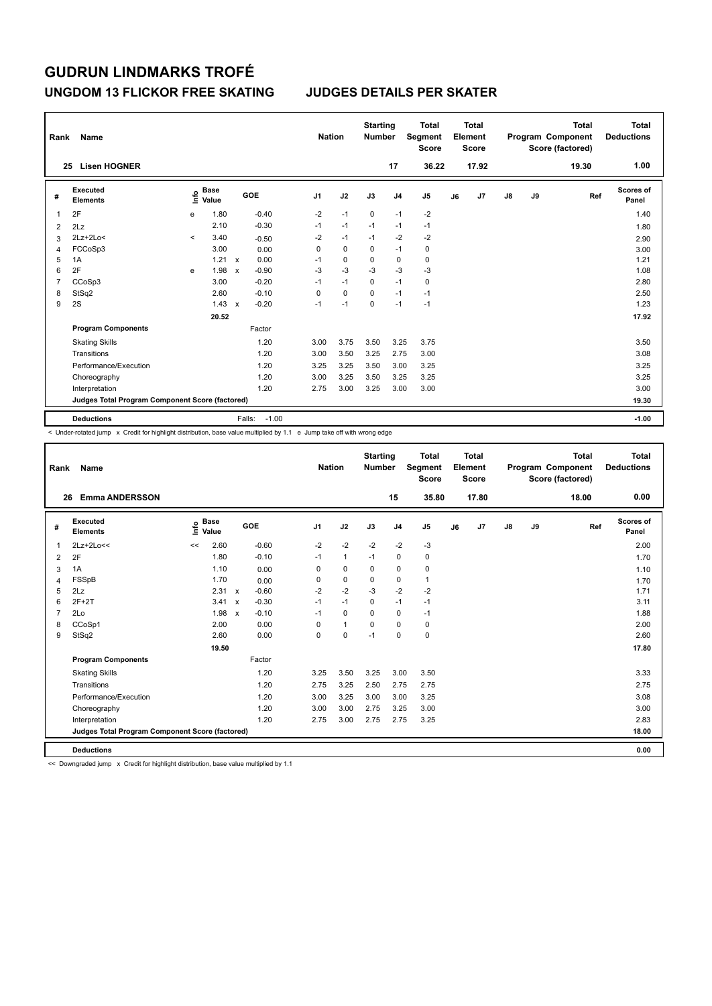### **UNGDOM 13 FLICKOR FREE SKATING JUDGES DETAILS PER SKATER**

| Rank | Name                                            |              |                      |                           |                   | <b>Nation</b> |             | <b>Starting</b><br><b>Number</b> |                | <b>Total</b><br>Segment<br><b>Score</b> |    | <b>Total</b><br>Element<br><b>Score</b> |               |    | <b>Total</b><br>Program Component<br>Score (factored) | Total<br><b>Deductions</b> |
|------|-------------------------------------------------|--------------|----------------------|---------------------------|-------------------|---------------|-------------|----------------------------------|----------------|-----------------------------------------|----|-----------------------------------------|---------------|----|-------------------------------------------------------|----------------------------|
|      | <b>Lisen HOGNER</b><br>25                       |              |                      |                           |                   |               |             |                                  | 17             | 36.22                                   |    | 17.92                                   |               |    | 19.30                                                 | 1.00                       |
| #    | Executed<br><b>Elements</b>                     | ۴ů           | <b>Base</b><br>Value |                           | <b>GOE</b>        | J1            | J2          | J3                               | J <sub>4</sub> | J <sub>5</sub>                          | J6 | J7                                      | $\mathsf{J}8$ | J9 | Ref                                                   | Scores of<br>Panel         |
|      | 2F                                              | e            | 1.80                 |                           | $-0.40$           | $-2$          | $-1$        | $\mathbf 0$                      | $-1$           | $-2$                                    |    |                                         |               |    |                                                       | 1.40                       |
| 2    | 2Lz                                             |              | 2.10                 |                           | $-0.30$           | $-1$          | $-1$        | $-1$                             | $-1$           | $-1$                                    |    |                                         |               |    |                                                       | 1.80                       |
| 3    | $2Lz+2Lo<$                                      | $\checkmark$ | 3.40                 |                           | $-0.50$           | $-2$          | $-1$        | $-1$                             | $-2$           | $-2$                                    |    |                                         |               |    |                                                       | 2.90                       |
| 4    | FCCoSp3                                         |              | 3.00                 |                           | 0.00              | 0             | $\mathbf 0$ | 0                                | $-1$           | 0                                       |    |                                         |               |    |                                                       | 3.00                       |
| 5    | 1A                                              |              | 1.21                 | $\mathsf{x}$              | 0.00              | $-1$          | 0           | $\Omega$                         | 0              | 0                                       |    |                                         |               |    |                                                       | 1.21                       |
| 6    | 2F                                              | e            | 1.98                 | $\boldsymbol{\mathsf{x}}$ | $-0.90$           | $-3$          | $-3$        | $-3$                             | $-3$           | $-3$                                    |    |                                         |               |    |                                                       | 1.08                       |
| 7    | CCoSp3                                          |              | 3.00                 |                           | $-0.20$           | $-1$          | $-1$        | $\mathbf 0$                      | $-1$           | 0                                       |    |                                         |               |    |                                                       | 2.80                       |
| 8    | StSq2                                           |              | 2.60                 |                           | $-0.10$           | 0             | $\mathbf 0$ | 0                                | $-1$           | $-1$                                    |    |                                         |               |    |                                                       | 2.50                       |
| 9    | 2S                                              |              | 1.43                 | $\mathsf{x}$              | $-0.20$           | $-1$          | $-1$        | $\Omega$                         | $-1$           | $-1$                                    |    |                                         |               |    |                                                       | 1.23                       |
|      |                                                 |              | 20.52                |                           |                   |               |             |                                  |                |                                         |    |                                         |               |    |                                                       | 17.92                      |
|      | <b>Program Components</b>                       |              |                      |                           | Factor            |               |             |                                  |                |                                         |    |                                         |               |    |                                                       |                            |
|      | <b>Skating Skills</b>                           |              |                      |                           | 1.20              | 3.00          | 3.75        | 3.50                             | 3.25           | 3.75                                    |    |                                         |               |    |                                                       | 3.50                       |
|      | Transitions                                     |              |                      |                           | 1.20              | 3.00          | 3.50        | 3.25                             | 2.75           | 3.00                                    |    |                                         |               |    |                                                       | 3.08                       |
|      | Performance/Execution                           |              |                      |                           | 1.20              | 3.25          | 3.25        | 3.50                             | 3.00           | 3.25                                    |    |                                         |               |    |                                                       | 3.25                       |
|      | Choreography                                    |              |                      |                           | 1.20              | 3.00          | 3.25        | 3.50                             | 3.25           | 3.25                                    |    |                                         |               |    |                                                       | 3.25                       |
|      | Interpretation                                  |              |                      |                           | 1.20              | 2.75          | 3.00        | 3.25                             | 3.00           | 3.00                                    |    |                                         |               |    |                                                       | 3.00                       |
|      | Judges Total Program Component Score (factored) |              |                      |                           |                   |               |             |                                  |                |                                         |    |                                         |               |    |                                                       | 19.30                      |
|      | <b>Deductions</b>                               |              |                      |                           | $-1.00$<br>Falls: |               |             |                                  |                |                                         |    |                                         |               |    |                                                       | $-1.00$                    |

-<br>< Under-rotated jump x Credit for highlight distribution, base value multiplied by 1.1 e Jump take off with wrong edge

| Rank           | <b>Name</b>                                     |                              |                                      | <b>Nation</b>  |              | <b>Starting</b><br><b>Number</b> |                | <b>Total</b><br>Segment<br><b>Score</b> |    | Total<br>Element<br><b>Score</b> |               |    | <b>Total</b><br>Program Component<br>Score (factored) | <b>Total</b><br><b>Deductions</b> |
|----------------|-------------------------------------------------|------------------------------|--------------------------------------|----------------|--------------|----------------------------------|----------------|-----------------------------------------|----|----------------------------------|---------------|----|-------------------------------------------------------|-----------------------------------|
|                | <b>Emma ANDERSSON</b><br>26                     |                              |                                      |                |              |                                  | 15             | 35.80                                   |    | 17.80                            |               |    | 18.00                                                 | 0.00                              |
| #              | Executed<br><b>Elements</b>                     | <b>Base</b><br>١nf٥<br>Value | GOE                                  | J <sub>1</sub> | J2           | J3                               | J <sub>4</sub> | J <sub>5</sub>                          | J6 | J7                               | $\mathsf{J}8$ | J9 | Ref                                                   | Scores of<br>Panel                |
| $\overline{1}$ | 2Lz+2Lo<<                                       | 2.60<br><<                   | $-0.60$                              | $-2$           | $-2$         | $-2$                             | $-2$           | $-3$                                    |    |                                  |               |    |                                                       | 2.00                              |
| 2              | 2F                                              | 1.80                         | $-0.10$                              | $-1$           | $\mathbf{1}$ | $-1$                             | $\mathbf 0$    | $\mathbf 0$                             |    |                                  |               |    |                                                       | 1.70                              |
| 3              | 1A                                              | 1.10                         | 0.00                                 | 0              | $\mathbf 0$  | 0                                | 0              | 0                                       |    |                                  |               |    |                                                       | 1.10                              |
| 4              | FSSpB                                           | 1.70                         | 0.00                                 | 0              | $\mathbf 0$  | $\Omega$                         | $\mathbf 0$    | $\mathbf{1}$                            |    |                                  |               |    |                                                       | 1.70                              |
| 5              | 2Lz                                             | 2.31                         | $-0.60$<br>$\boldsymbol{\mathsf{x}}$ | $-2$           | $-2$         | $-3$                             | $-2$           | $-2$                                    |    |                                  |               |    |                                                       | 1.71                              |
| 6              | $2F+2T$                                         | 3.41                         | $-0.30$<br>$\boldsymbol{\mathsf{x}}$ | $-1$           | $-1$         | 0                                | $-1$           | $-1$                                    |    |                                  |               |    |                                                       | 3.11                              |
| $\overline{7}$ | 2Lo                                             | 1.98                         | $-0.10$<br>$\mathbf{x}$              | $-1$           | $\Omega$     | $\Omega$                         | $\Omega$       | $-1$                                    |    |                                  |               |    |                                                       | 1.88                              |
| 8              | CCoSp1                                          | 2.00                         | 0.00                                 | $\Omega$       | $\mathbf{1}$ | $\mathbf 0$                      | $\mathbf 0$    | $\mathbf 0$                             |    |                                  |               |    |                                                       | 2.00                              |
| 9              | StSq2                                           | 2.60                         | 0.00                                 | $\mathbf 0$    | $\mathbf 0$  | $-1$                             | $\mathbf 0$    | $\mathbf 0$                             |    |                                  |               |    |                                                       | 2.60                              |
|                |                                                 | 19.50                        |                                      |                |              |                                  |                |                                         |    |                                  |               |    |                                                       | 17.80                             |
|                | <b>Program Components</b>                       |                              | Factor                               |                |              |                                  |                |                                         |    |                                  |               |    |                                                       |                                   |
|                | <b>Skating Skills</b>                           |                              | 1.20                                 | 3.25           | 3.50         | 3.25                             | 3.00           | 3.50                                    |    |                                  |               |    |                                                       | 3.33                              |
|                | Transitions                                     |                              | 1.20                                 | 2.75           | 3.25         | 2.50                             | 2.75           | 2.75                                    |    |                                  |               |    |                                                       | 2.75                              |
|                | Performance/Execution                           |                              | 1.20                                 | 3.00           | 3.25         | 3.00                             | 3.00           | 3.25                                    |    |                                  |               |    |                                                       | 3.08                              |
|                | Choreography                                    |                              | 1.20                                 | 3.00           | 3.00         | 2.75                             | 3.25           | 3.00                                    |    |                                  |               |    |                                                       | 3.00                              |
|                | Interpretation                                  |                              | 1.20                                 | 2.75           | 3.00         | 2.75                             | 2.75           | 3.25                                    |    |                                  |               |    |                                                       | 2.83                              |
|                | Judges Total Program Component Score (factored) |                              |                                      |                |              |                                  |                |                                         |    |                                  |               |    |                                                       | 18.00                             |
|                | <b>Deductions</b>                               |                              |                                      |                |              |                                  |                |                                         |    |                                  |               |    |                                                       | 0.00                              |

<< Downgraded jump x Credit for highlight distribution, base value multiplied by 1.1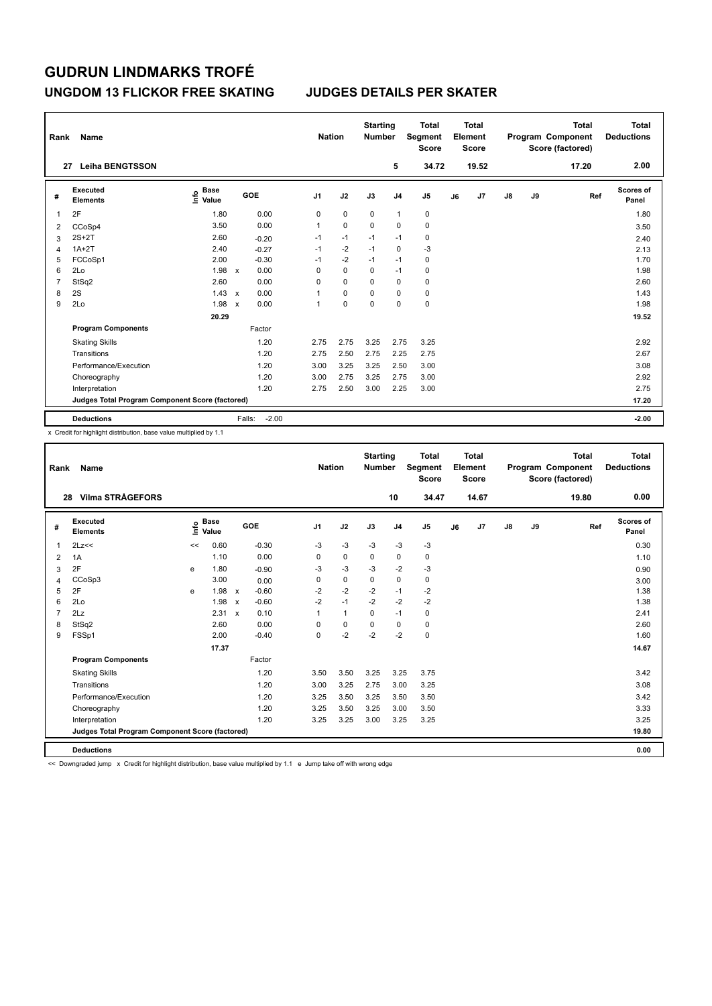### **UNGDOM 13 FLICKOR FREE SKATING JUDGES DETAILS PER SKATER**

| Rank           | Name                                            |                                  |                           |         | <b>Nation</b>  |             | <b>Starting</b><br><b>Number</b> |                | <b>Total</b><br>Segment<br><b>Score</b> |    | <b>Total</b><br>Element<br><b>Score</b> |               |    | <b>Total</b><br>Program Component<br>Score (factored) | <b>Total</b><br><b>Deductions</b> |
|----------------|-------------------------------------------------|----------------------------------|---------------------------|---------|----------------|-------------|----------------------------------|----------------|-----------------------------------------|----|-----------------------------------------|---------------|----|-------------------------------------------------------|-----------------------------------|
| 27             | <b>Leiha BENGTSSON</b>                          |                                  |                           |         |                |             |                                  | 5              | 34.72                                   |    | 19.52                                   |               |    | 17.20                                                 | 2.00                              |
| #              | Executed<br><b>Elements</b>                     | <b>Base</b><br>e Base<br>⊆ Value |                           | GOE     | J <sub>1</sub> | J2          | J3                               | J <sub>4</sub> | J <sub>5</sub>                          | J6 | J7                                      | $\mathsf{J}8$ | J9 | Ref                                                   | Scores of<br>Panel                |
|                | 2F                                              | 1.80                             |                           | 0.00    | 0              | $\mathbf 0$ | 0                                | $\overline{1}$ | 0                                       |    |                                         |               |    |                                                       | 1.80                              |
| $\overline{2}$ | CCoSp4                                          | 3.50                             |                           | 0.00    | 1              | $\mathbf 0$ | 0                                | 0              | $\pmb{0}$                               |    |                                         |               |    |                                                       | 3.50                              |
| 3              | $2S+2T$                                         | 2.60                             |                           | $-0.20$ | $-1$           | $-1$        | $-1$                             | $-1$           | $\pmb{0}$                               |    |                                         |               |    |                                                       | 2.40                              |
| 4              | $1A+2T$                                         | 2.40                             |                           | $-0.27$ | $-1$           | $-2$        | $-1$                             | 0              | $-3$                                    |    |                                         |               |    |                                                       | 2.13                              |
| 5              | FCCoSp1                                         | 2.00                             |                           | $-0.30$ | $-1$           | $-2$        | $-1$                             | $-1$           | 0                                       |    |                                         |               |    |                                                       | 1.70                              |
| 6              | 2Lo                                             | 1.98                             | $\mathbf{x}$              | 0.00    | 0              | $\mathbf 0$ | $\Omega$                         | $-1$           | 0                                       |    |                                         |               |    |                                                       | 1.98                              |
| 7              | StSq2                                           | 2.60                             |                           | 0.00    | 0              | $\mathbf 0$ | $\Omega$                         | 0              | 0                                       |    |                                         |               |    |                                                       | 2.60                              |
| 8              | 2S                                              | 1.43                             | $\boldsymbol{\mathsf{x}}$ | 0.00    | 1              | $\mathbf 0$ | 0                                | $\Omega$       | $\mathbf 0$                             |    |                                         |               |    |                                                       | 1.43                              |
| 9              | 2Lo                                             | 1.98                             | $\boldsymbol{\mathsf{x}}$ | 0.00    | 1              | $\mathbf 0$ | $\mathbf 0$                      | $\mathbf 0$    | $\pmb{0}$                               |    |                                         |               |    |                                                       | 1.98                              |
|                |                                                 | 20.29                            |                           |         |                |             |                                  |                |                                         |    |                                         |               |    |                                                       | 19.52                             |
|                | <b>Program Components</b>                       |                                  |                           | Factor  |                |             |                                  |                |                                         |    |                                         |               |    |                                                       |                                   |
|                | <b>Skating Skills</b>                           |                                  |                           | 1.20    | 2.75           | 2.75        | 3.25                             | 2.75           | 3.25                                    |    |                                         |               |    |                                                       | 2.92                              |
|                | Transitions                                     |                                  |                           | 1.20    | 2.75           | 2.50        | 2.75                             | 2.25           | 2.75                                    |    |                                         |               |    |                                                       | 2.67                              |
|                | Performance/Execution                           |                                  |                           | 1.20    | 3.00           | 3.25        | 3.25                             | 2.50           | 3.00                                    |    |                                         |               |    |                                                       | 3.08                              |
|                | Choreography                                    |                                  |                           | 1.20    | 3.00           | 2.75        | 3.25                             | 2.75           | 3.00                                    |    |                                         |               |    |                                                       | 2.92                              |
|                | Interpretation                                  |                                  |                           | 1.20    | 2.75           | 2.50        | 3.00                             | 2.25           | 3.00                                    |    |                                         |               |    |                                                       | 2.75                              |
|                | Judges Total Program Component Score (factored) |                                  |                           |         |                |             |                                  |                |                                         |    |                                         |               |    |                                                       | 17.20                             |
|                | <b>Deductions</b>                               |                                  | Falls:                    | $-2.00$ |                |             |                                  |                |                                         |    |                                         |               |    |                                                       | $-2.00$                           |

x Credit for highlight distribution, base value multiplied by 1.1

| Rank           | <b>Name</b>                                     |      |                      |                           |         |                | <b>Nation</b> | <b>Starting</b><br><b>Number</b> |                | <b>Total</b><br>Segment<br><b>Score</b> |    | Total<br>Element<br><b>Score</b> |               |    | <b>Total</b><br>Program Component<br>Score (factored) | Total<br><b>Deductions</b> |
|----------------|-------------------------------------------------|------|----------------------|---------------------------|---------|----------------|---------------|----------------------------------|----------------|-----------------------------------------|----|----------------------------------|---------------|----|-------------------------------------------------------|----------------------------|
| 28             | <b>Vilma STRÅGEFORS</b>                         |      |                      |                           |         |                |               |                                  | 10             | 34.47                                   |    | 14.67                            |               |    | 19.80                                                 | 0.00                       |
| #              | Executed<br><b>Elements</b>                     | lnfo | <b>Base</b><br>Value |                           | GOE     | J <sub>1</sub> | J2            | J3                               | J <sub>4</sub> | J <sub>5</sub>                          | J6 | J7                               | $\mathsf{J}8$ | J9 | Ref                                                   | Scores of<br>Panel         |
| $\mathbf{1}$   | 2Lz<<                                           | <<   | 0.60                 |                           | $-0.30$ | -3             | $-3$          | $-3$                             | $-3$           | $-3$                                    |    |                                  |               |    |                                                       | 0.30                       |
| $\overline{2}$ | 1A                                              |      | 1.10                 |                           | 0.00    | $\Omega$       | $\mathbf 0$   | $\mathbf 0$                      | $\mathbf 0$    | 0                                       |    |                                  |               |    |                                                       | 1.10                       |
| 3              | 2F                                              | e    | 1.80                 |                           | $-0.90$ | -3             | $-3$          | $-3$                             | $-2$           | $-3$                                    |    |                                  |               |    |                                                       | 0.90                       |
| 4              | CCoSp3                                          |      | 3.00                 |                           | 0.00    | $\mathbf 0$    | $\pmb{0}$     | $\Omega$                         | $\mathbf 0$    | 0                                       |    |                                  |               |    |                                                       | 3.00                       |
| 5              | 2F                                              | e    | 1.98                 | $\boldsymbol{\mathsf{x}}$ | $-0.60$ | $-2$           | $-2$          | $-2$                             | $-1$           | $-2$                                    |    |                                  |               |    |                                                       | 1.38                       |
| 6              | 2Lo                                             |      | 1.98                 | $\boldsymbol{\mathsf{x}}$ | $-0.60$ | $-2$           | $-1$          | $-2$                             | $-2$           | $-2$                                    |    |                                  |               |    |                                                       | 1.38                       |
| $\overline{7}$ | 2Lz                                             |      | 2.31                 | $\boldsymbol{\mathsf{x}}$ | 0.10    | $\mathbf{1}$   | $\mathbf{1}$  | $\Omega$                         | $-1$           | $\mathbf 0$                             |    |                                  |               |    |                                                       | 2.41                       |
| 8              | StSq2                                           |      | 2.60                 |                           | 0.00    | $\Omega$       | $\mathbf 0$   | 0                                | 0              | 0                                       |    |                                  |               |    |                                                       | 2.60                       |
| 9              | FSSp1                                           |      | 2.00                 |                           | $-0.40$ | 0              | $-2$          | $-2$                             | $-2$           | $\mathbf 0$                             |    |                                  |               |    |                                                       | 1.60                       |
|                |                                                 |      | 17.37                |                           |         |                |               |                                  |                |                                         |    |                                  |               |    |                                                       | 14.67                      |
|                | <b>Program Components</b>                       |      |                      |                           | Factor  |                |               |                                  |                |                                         |    |                                  |               |    |                                                       |                            |
|                | <b>Skating Skills</b>                           |      |                      |                           | 1.20    | 3.50           | 3.50          | 3.25                             | 3.25           | 3.75                                    |    |                                  |               |    |                                                       | 3.42                       |
|                | Transitions                                     |      |                      |                           | 1.20    | 3.00           | 3.25          | 2.75                             | 3.00           | 3.25                                    |    |                                  |               |    |                                                       | 3.08                       |
|                | Performance/Execution                           |      |                      |                           | 1.20    | 3.25           | 3.50          | 3.25                             | 3.50           | 3.50                                    |    |                                  |               |    |                                                       | 3.42                       |
|                | Choreography                                    |      |                      |                           | 1.20    | 3.25           | 3.50          | 3.25                             | 3.00           | 3.50                                    |    |                                  |               |    |                                                       | 3.33                       |
|                | Interpretation                                  |      |                      |                           | 1.20    | 3.25           | 3.25          | 3.00                             | 3.25           | 3.25                                    |    |                                  |               |    |                                                       | 3.25                       |
|                | Judges Total Program Component Score (factored) |      |                      |                           |         |                |               |                                  |                |                                         |    |                                  |               |    |                                                       | 19.80                      |
|                | <b>Deductions</b>                               |      |                      |                           |         |                |               |                                  |                |                                         |    |                                  |               |    |                                                       | 0.00                       |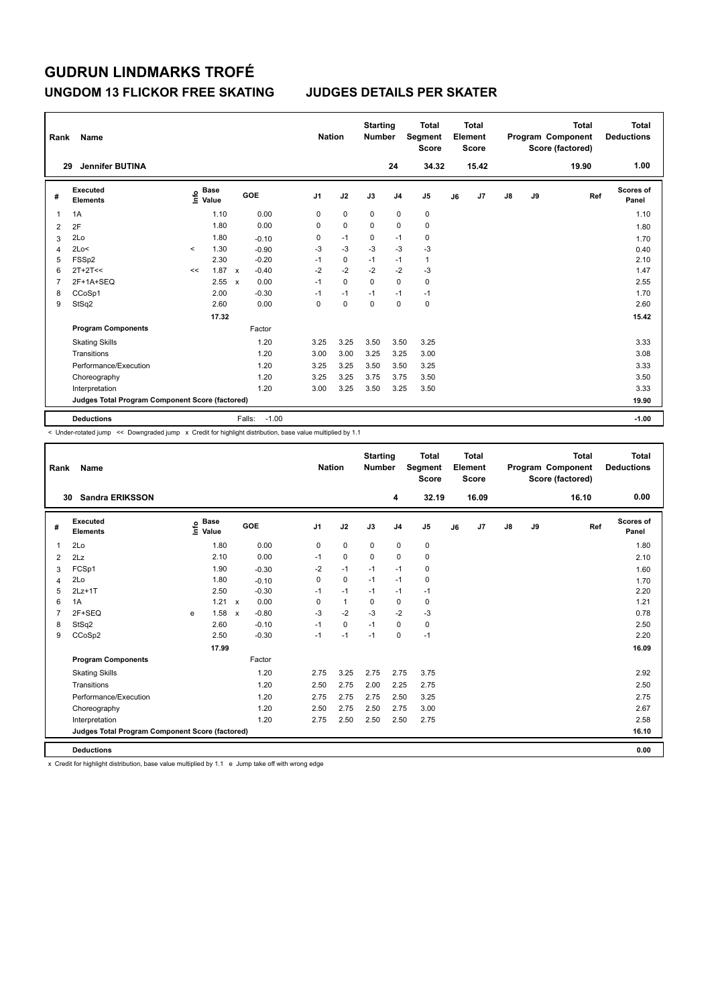### **UNGDOM 13 FLICKOR FREE SKATING JUDGES DETAILS PER SKATER**

| Rank           | Name                                            |         |                                  |              |                   | <b>Nation</b>  |             | <b>Starting</b><br><b>Number</b> |                | <b>Total</b><br>Segment<br><b>Score</b> |    | Total<br>Element<br><b>Score</b> |               |    | <b>Total</b><br>Program Component<br>Score (factored) | Total<br><b>Deductions</b> |
|----------------|-------------------------------------------------|---------|----------------------------------|--------------|-------------------|----------------|-------------|----------------------------------|----------------|-----------------------------------------|----|----------------------------------|---------------|----|-------------------------------------------------------|----------------------------|
|                | <b>Jennifer BUTINA</b><br>29                    |         |                                  |              |                   |                |             |                                  | 24             | 34.32                                   |    | 15.42                            |               |    | 19.90                                                 | 1.00                       |
| #              | Executed<br><b>Elements</b>                     |         | <b>Base</b><br>e Base<br>⊆ Value |              | GOE               | J <sub>1</sub> | J2          | J3                               | J <sub>4</sub> | J <sub>5</sub>                          | J6 | J7                               | $\mathsf{J}8$ | J9 | Ref                                                   | Scores of<br>Panel         |
| 1              | 1A                                              |         | 1.10                             |              | 0.00              | 0              | $\mathbf 0$ | $\mathbf 0$                      | $\pmb{0}$      | $\pmb{0}$                               |    |                                  |               |    |                                                       | 1.10                       |
| 2              | 2F                                              |         | 1.80                             |              | 0.00              | 0              | 0           | 0                                | 0              | 0                                       |    |                                  |               |    |                                                       | 1.80                       |
| 3              | 2Lo                                             |         | 1.80                             |              | $-0.10$           | 0              | $-1$        | $\mathbf 0$                      | $-1$           | $\mathbf 0$                             |    |                                  |               |    |                                                       | 1.70                       |
| $\overline{4}$ | 2Lo<                                            | $\prec$ | 1.30                             |              | $-0.90$           | $-3$           | $-3$        | $-3$                             | $-3$           | $-3$                                    |    |                                  |               |    |                                                       | 0.40                       |
| 5              | FSSp2                                           |         | 2.30                             |              | $-0.20$           | $-1$           | $\mathbf 0$ | $-1$                             | $-1$           | $\mathbf{1}$                            |    |                                  |               |    |                                                       | 2.10                       |
| 6              | $2T+2T<<$                                       | <<      | 1.87                             | $\mathsf{x}$ | $-0.40$           | $-2$           | $-2$        | $-2$                             | $-2$           | $-3$                                    |    |                                  |               |    |                                                       | 1.47                       |
| 7              | 2F+1A+SEQ                                       |         | 2.55                             | $\mathsf{x}$ | 0.00              | $-1$           | $\mathbf 0$ | $\mathbf 0$                      | $\mathbf 0$    | 0                                       |    |                                  |               |    |                                                       | 2.55                       |
| 8              | CCoSp1                                          |         | 2.00                             |              | $-0.30$           | $-1$           | $-1$        | $-1$                             | $-1$           | $-1$                                    |    |                                  |               |    |                                                       | 1.70                       |
| 9              | StSq2                                           |         | 2.60                             |              | 0.00              | 0              | $\mathbf 0$ | $\mathbf 0$                      | $\mathbf 0$    | $\mathbf 0$                             |    |                                  |               |    |                                                       | 2.60                       |
|                |                                                 |         | 17.32                            |              |                   |                |             |                                  |                |                                         |    |                                  |               |    |                                                       | 15.42                      |
|                | <b>Program Components</b>                       |         |                                  |              | Factor            |                |             |                                  |                |                                         |    |                                  |               |    |                                                       |                            |
|                | <b>Skating Skills</b>                           |         |                                  |              | 1.20              | 3.25           | 3.25        | 3.50                             | 3.50           | 3.25                                    |    |                                  |               |    |                                                       | 3.33                       |
|                | Transitions                                     |         |                                  |              | 1.20              | 3.00           | 3.00        | 3.25                             | 3.25           | 3.00                                    |    |                                  |               |    |                                                       | 3.08                       |
|                | Performance/Execution                           |         |                                  |              | 1.20              | 3.25           | 3.25        | 3.50                             | 3.50           | 3.25                                    |    |                                  |               |    |                                                       | 3.33                       |
|                | Choreography                                    |         |                                  |              | 1.20              | 3.25           | 3.25        | 3.75                             | 3.75           | 3.50                                    |    |                                  |               |    |                                                       | 3.50                       |
|                | Interpretation                                  |         |                                  |              | 1.20              | 3.00           | 3.25        | 3.50                             | 3.25           | 3.50                                    |    |                                  |               |    |                                                       | 3.33                       |
|                | Judges Total Program Component Score (factored) |         |                                  |              |                   |                |             |                                  |                |                                         |    |                                  |               |    |                                                       | 19.90                      |
|                | <b>Deductions</b>                               |         |                                  |              | $-1.00$<br>Falls: |                |             |                                  |                |                                         |    |                                  |               |    |                                                       | $-1.00$                    |

-<br>< Under-rotated jump << Downgraded jump x Credit for highlight distribution, base value multiplied by 1.1

| Rank           | Name                                            |   |                                  |                           |         |                | <b>Nation</b> |             | <b>Starting</b><br><b>Number</b> | <b>Total</b><br>Segment<br><b>Score</b> |    | <b>Total</b><br>Element<br><b>Score</b> |               |    | <b>Total</b><br>Program Component<br>Score (factored) | <b>Total</b><br><b>Deductions</b> |
|----------------|-------------------------------------------------|---|----------------------------------|---------------------------|---------|----------------|---------------|-------------|----------------------------------|-----------------------------------------|----|-----------------------------------------|---------------|----|-------------------------------------------------------|-----------------------------------|
|                | <b>Sandra ERIKSSON</b><br>30                    |   |                                  |                           |         |                |               |             | 4                                | 32.19                                   |    | 16.09                                   |               |    | 16.10                                                 | 0.00                              |
| #              | Executed<br><b>Elements</b>                     |   | <b>Base</b><br>e Base<br>⊆ Value |                           | GOE     | J <sub>1</sub> | J2            | J3          | J <sub>4</sub>                   | J <sub>5</sub>                          | J6 | J7                                      | $\mathsf{J}8$ | J9 | Ref                                                   | Scores of<br>Panel                |
| 1              | 2Lo                                             |   | 1.80                             |                           | 0.00    | 0              | $\mathbf 0$   | $\mathbf 0$ | $\mathbf 0$                      | $\pmb{0}$                               |    |                                         |               |    |                                                       | 1.80                              |
| $\overline{2}$ | 2Lz                                             |   | 2.10                             |                           | 0.00    | $-1$           | $\mathbf 0$   | $\mathbf 0$ | 0                                | 0                                       |    |                                         |               |    |                                                       | 2.10                              |
| 3              | FCSp1                                           |   | 1.90                             |                           | $-0.30$ | $-2$           | $-1$          | $-1$        | $-1$                             | 0                                       |    |                                         |               |    |                                                       | 1.60                              |
| 4              | 2Lo                                             |   | 1.80                             |                           | $-0.10$ | $\Omega$       | $\mathbf 0$   | $-1$        | $-1$                             | $\mathbf 0$                             |    |                                         |               |    |                                                       | 1.70                              |
| 5              | $2Lz+1T$                                        |   | 2.50                             |                           | $-0.30$ | $-1$           | $-1$          | $-1$        | $-1$                             | $-1$                                    |    |                                         |               |    |                                                       | 2.20                              |
| 6              | 1A                                              |   | 1.21                             | $\mathsf{x}$              | 0.00    | 0              | $\mathbf{1}$  | 0           | 0                                | 0                                       |    |                                         |               |    |                                                       | 1.21                              |
| $\overline{7}$ | 2F+SEQ                                          | e | 1.58                             | $\boldsymbol{\mathsf{x}}$ | $-0.80$ | $-3$           | $-2$          | $-3$        | $-2$                             | $-3$                                    |    |                                         |               |    |                                                       | 0.78                              |
| 8              | StSq2                                           |   | 2.60                             |                           | $-0.10$ | $-1$           | $\mathbf 0$   | $-1$        | 0                                | $\pmb{0}$                               |    |                                         |               |    |                                                       | 2.50                              |
| 9              | CCoSp2                                          |   | 2.50                             |                           | $-0.30$ | $-1$           | $-1$          | $-1$        | 0                                | $-1$                                    |    |                                         |               |    |                                                       | 2.20                              |
|                |                                                 |   | 17.99                            |                           |         |                |               |             |                                  |                                         |    |                                         |               |    |                                                       | 16.09                             |
|                | <b>Program Components</b>                       |   |                                  |                           | Factor  |                |               |             |                                  |                                         |    |                                         |               |    |                                                       |                                   |
|                | <b>Skating Skills</b>                           |   |                                  |                           | 1.20    | 2.75           | 3.25          | 2.75        | 2.75                             | 3.75                                    |    |                                         |               |    |                                                       | 2.92                              |
|                | Transitions                                     |   |                                  |                           | 1.20    | 2.50           | 2.75          | 2.00        | 2.25                             | 2.75                                    |    |                                         |               |    |                                                       | 2.50                              |
|                | Performance/Execution                           |   |                                  |                           | 1.20    | 2.75           | 2.75          | 2.75        | 2.50                             | 3.25                                    |    |                                         |               |    |                                                       | 2.75                              |
|                | Choreography                                    |   |                                  |                           | 1.20    | 2.50           | 2.75          | 2.50        | 2.75                             | 3.00                                    |    |                                         |               |    |                                                       | 2.67                              |
|                | Interpretation                                  |   |                                  |                           | 1.20    | 2.75           | 2.50          | 2.50        | 2.50                             | 2.75                                    |    |                                         |               |    |                                                       | 2.58                              |
|                | Judges Total Program Component Score (factored) |   |                                  |                           |         |                |               |             |                                  |                                         |    |                                         |               |    |                                                       | 16.10                             |
|                | <b>Deductions</b>                               |   |                                  |                           |         |                |               |             |                                  |                                         |    |                                         |               |    |                                                       | 0.00                              |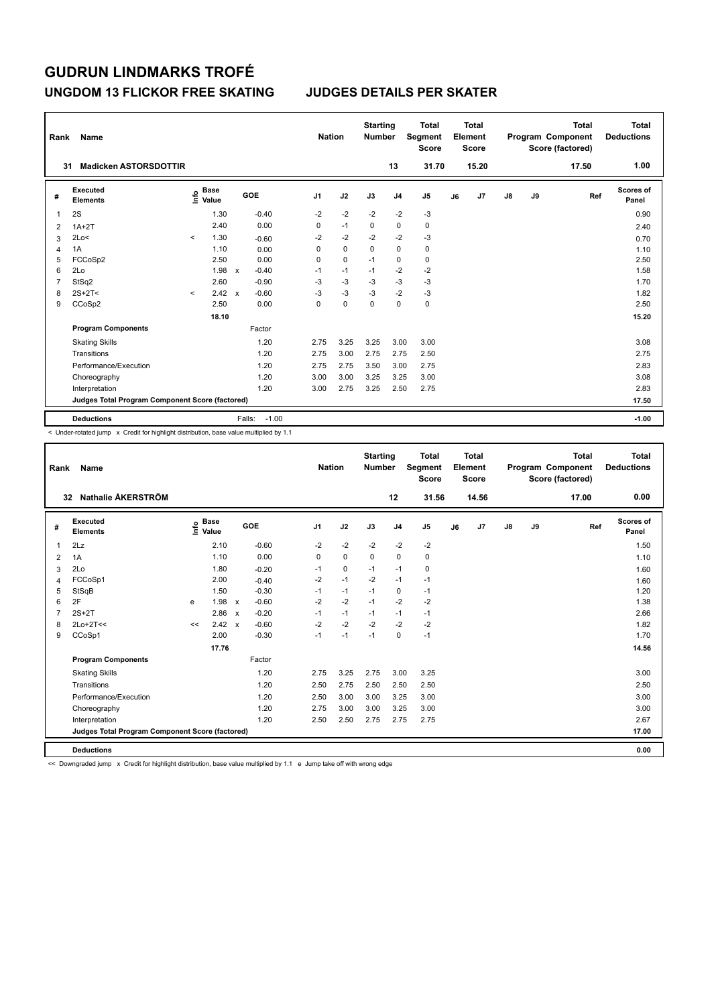### **UNGDOM 13 FLICKOR FREE SKATING JUDGES DETAILS PER SKATER**

| Rank | Name                                            |         |                                  |              |                   |                | <b>Nation</b> | <b>Starting</b><br><b>Number</b> |                | <b>Total</b><br>Segment<br><b>Score</b> |    | Total<br>Element<br>Score |               |    | <b>Total</b><br>Program Component<br>Score (factored) | Total<br><b>Deductions</b> |
|------|-------------------------------------------------|---------|----------------------------------|--------------|-------------------|----------------|---------------|----------------------------------|----------------|-----------------------------------------|----|---------------------------|---------------|----|-------------------------------------------------------|----------------------------|
| 31   | <b>Madicken ASTORSDOTTIR</b>                    |         |                                  |              |                   |                |               |                                  | 13             | 31.70                                   |    | 15.20                     |               |    | 17.50                                                 | 1.00                       |
| #    | <b>Executed</b><br><b>Elements</b>              |         | <b>Base</b><br>e Base<br>⊆ Value |              | GOE               | J <sub>1</sub> | J2            | J3                               | J <sub>4</sub> | J <sub>5</sub>                          | J6 | J7                        | $\mathsf{J}8$ | J9 | Ref                                                   | <b>Scores of</b><br>Panel  |
| 1    | 2S                                              |         | 1.30                             |              | $-0.40$           | $-2$           | $-2$          | $-2$                             | $-2$           | $-3$                                    |    |                           |               |    |                                                       | 0.90                       |
| 2    | $1A+2T$                                         |         | 2.40                             |              | 0.00              | 0              | $-1$          | $\mathbf 0$                      | $\mathbf 0$    | $\mathbf 0$                             |    |                           |               |    |                                                       | 2.40                       |
| 3    | 2Lo<                                            | $\prec$ | 1.30                             |              | $-0.60$           | $-2$           | $-2$          | $-2$                             | $-2$           | $-3$                                    |    |                           |               |    |                                                       | 0.70                       |
| 4    | 1A                                              |         | 1.10                             |              | 0.00              | 0              | $\mathbf 0$   | $\Omega$                         | $\mathbf 0$    | $\mathbf 0$                             |    |                           |               |    |                                                       | 1.10                       |
| 5    | FCCoSp2                                         |         | 2.50                             |              | 0.00              | 0              | $\mathbf 0$   | $-1$                             | $\mathbf 0$    | $\mathbf 0$                             |    |                           |               |    |                                                       | 2.50                       |
| 6    | 2Lo                                             |         | 1.98                             | $\mathsf{x}$ | $-0.40$           | $-1$           | $-1$          | $-1$                             | $-2$           | $-2$                                    |    |                           |               |    |                                                       | 1.58                       |
| 7    | StSq2                                           |         | 2.60                             |              | $-0.90$           | $-3$           | $-3$          | $-3$                             | $-3$           | $-3$                                    |    |                           |               |    |                                                       | 1.70                       |
| 8    | $2S+2T<$                                        | $\prec$ | 2.42                             | $\mathsf{x}$ | $-0.60$           | $-3$           | $-3$          | $-3$                             | $-2$           | $-3$                                    |    |                           |               |    |                                                       | 1.82                       |
| 9    | CCoSp2                                          |         | 2.50                             |              | 0.00              | 0              | $\mathbf 0$   | 0                                | 0              | $\pmb{0}$                               |    |                           |               |    |                                                       | 2.50                       |
|      |                                                 |         | 18.10                            |              |                   |                |               |                                  |                |                                         |    |                           |               |    |                                                       | 15.20                      |
|      | <b>Program Components</b>                       |         |                                  |              | Factor            |                |               |                                  |                |                                         |    |                           |               |    |                                                       |                            |
|      | <b>Skating Skills</b>                           |         |                                  |              | 1.20              | 2.75           | 3.25          | 3.25                             | 3.00           | 3.00                                    |    |                           |               |    |                                                       | 3.08                       |
|      | Transitions                                     |         |                                  |              | 1.20              | 2.75           | 3.00          | 2.75                             | 2.75           | 2.50                                    |    |                           |               |    |                                                       | 2.75                       |
|      | Performance/Execution                           |         |                                  |              | 1.20              | 2.75           | 2.75          | 3.50                             | 3.00           | 2.75                                    |    |                           |               |    |                                                       | 2.83                       |
|      | Choreography                                    |         |                                  |              | 1.20              | 3.00           | 3.00          | 3.25                             | 3.25           | 3.00                                    |    |                           |               |    |                                                       | 3.08                       |
|      | Interpretation                                  |         |                                  |              | 1.20              | 3.00           | 2.75          | 3.25                             | 2.50           | 2.75                                    |    |                           |               |    |                                                       | 2.83                       |
|      | Judges Total Program Component Score (factored) |         |                                  |              |                   |                |               |                                  |                |                                         |    |                           |               |    |                                                       | 17.50                      |
|      | <b>Deductions</b>                               |         |                                  |              | $-1.00$<br>Falls: |                |               |                                  |                |                                         |    |                           |               |    |                                                       | $-1.00$                    |

< Under-rotated jump x Credit for highlight distribution, base value multiplied by 1.1

| Rank           | Name                                            |    |                                  |              |         | <b>Nation</b>  |             | <b>Starting</b><br><b>Number</b> |                | <b>Total</b><br>Segment<br><b>Score</b> |    | Total<br>Element<br><b>Score</b> |    |    | <b>Total</b><br>Program Component<br>Score (factored) | <b>Total</b><br><b>Deductions</b> |
|----------------|-------------------------------------------------|----|----------------------------------|--------------|---------|----------------|-------------|----------------------------------|----------------|-----------------------------------------|----|----------------------------------|----|----|-------------------------------------------------------|-----------------------------------|
|                | Nathalie ÅKERSTRÖM<br>32                        |    |                                  |              |         |                |             |                                  | 12             | 31.56                                   |    | 14.56                            |    |    | 17.00                                                 | 0.00                              |
| #              | <b>Executed</b><br><b>Elements</b>              |    | <b>Base</b><br>e Base<br>E Value |              | GOE     | J <sub>1</sub> | J2          | J3                               | J <sub>4</sub> | J <sub>5</sub>                          | J6 | J7                               | J8 | J9 | Ref                                                   | <b>Scores of</b><br>Panel         |
| 1              | 2Lz                                             |    | 2.10                             |              | $-0.60$ | $-2$           | $-2$        | $-2$                             | $-2$           | $-2$                                    |    |                                  |    |    |                                                       | 1.50                              |
| $\overline{2}$ | 1A                                              |    | 1.10                             |              | 0.00    | $\Omega$       | $\mathbf 0$ | 0                                | $\mathbf 0$    | 0                                       |    |                                  |    |    |                                                       | 1.10                              |
| 3              | 2Lo                                             |    | 1.80                             |              | $-0.20$ | $-1$           | $\mathbf 0$ | $-1$                             | $-1$           | 0                                       |    |                                  |    |    |                                                       | 1.60                              |
| 4              | FCCoSp1                                         |    | 2.00                             |              | $-0.40$ | $-2$           | $-1$        | $-2$                             | $-1$           | $-1$                                    |    |                                  |    |    |                                                       | 1.60                              |
| 5              | StSqB                                           |    | 1.50                             |              | $-0.30$ | $-1$           | $-1$        | $-1$                             | 0              | $-1$                                    |    |                                  |    |    |                                                       | 1.20                              |
| 6              | 2F                                              | e  | 1.98                             | $\mathsf{x}$ | $-0.60$ | $-2$           | $-2$        | $-1$                             | $-2$           | $-2$                                    |    |                                  |    |    |                                                       | 1.38                              |
| $\overline{7}$ | $2S+2T$                                         |    | 2.86                             | $\mathsf{x}$ | $-0.20$ | $-1$           | $-1$        | $-1$                             | $-1$           | $-1$                                    |    |                                  |    |    |                                                       | 2.66                              |
| 8              | $2Lo+2T<<$                                      | << | 2.42                             | $\mathsf{x}$ | $-0.60$ | $-2$           | $-2$        | $-2$                             | $-2$           | $-2$                                    |    |                                  |    |    |                                                       | 1.82                              |
| 9              | CCoSp1                                          |    | 2.00                             |              | $-0.30$ | $-1$           | $-1$        | $-1$                             | $\Omega$       | $-1$                                    |    |                                  |    |    |                                                       | 1.70                              |
|                |                                                 |    | 17.76                            |              |         |                |             |                                  |                |                                         |    |                                  |    |    |                                                       | 14.56                             |
|                | <b>Program Components</b>                       |    |                                  |              | Factor  |                |             |                                  |                |                                         |    |                                  |    |    |                                                       |                                   |
|                | <b>Skating Skills</b>                           |    |                                  |              | 1.20    | 2.75           | 3.25        | 2.75                             | 3.00           | 3.25                                    |    |                                  |    |    |                                                       | 3.00                              |
|                | Transitions                                     |    |                                  |              | 1.20    | 2.50           | 2.75        | 2.50                             | 2.50           | 2.50                                    |    |                                  |    |    |                                                       | 2.50                              |
|                | Performance/Execution                           |    |                                  |              | 1.20    | 2.50           | 3.00        | 3.00                             | 3.25           | 3.00                                    |    |                                  |    |    |                                                       | 3.00                              |
|                | Choreography                                    |    |                                  |              | 1.20    | 2.75           | 3.00        | 3.00                             | 3.25           | 3.00                                    |    |                                  |    |    |                                                       | 3.00                              |
|                | Interpretation                                  |    |                                  |              | 1.20    | 2.50           | 2.50        | 2.75                             | 2.75           | 2.75                                    |    |                                  |    |    |                                                       | 2.67                              |
|                | Judges Total Program Component Score (factored) |    |                                  |              |         |                |             |                                  |                |                                         |    |                                  |    |    |                                                       | 17.00                             |
|                | <b>Deductions</b>                               |    |                                  |              |         |                |             |                                  |                |                                         |    |                                  |    |    |                                                       | 0.00                              |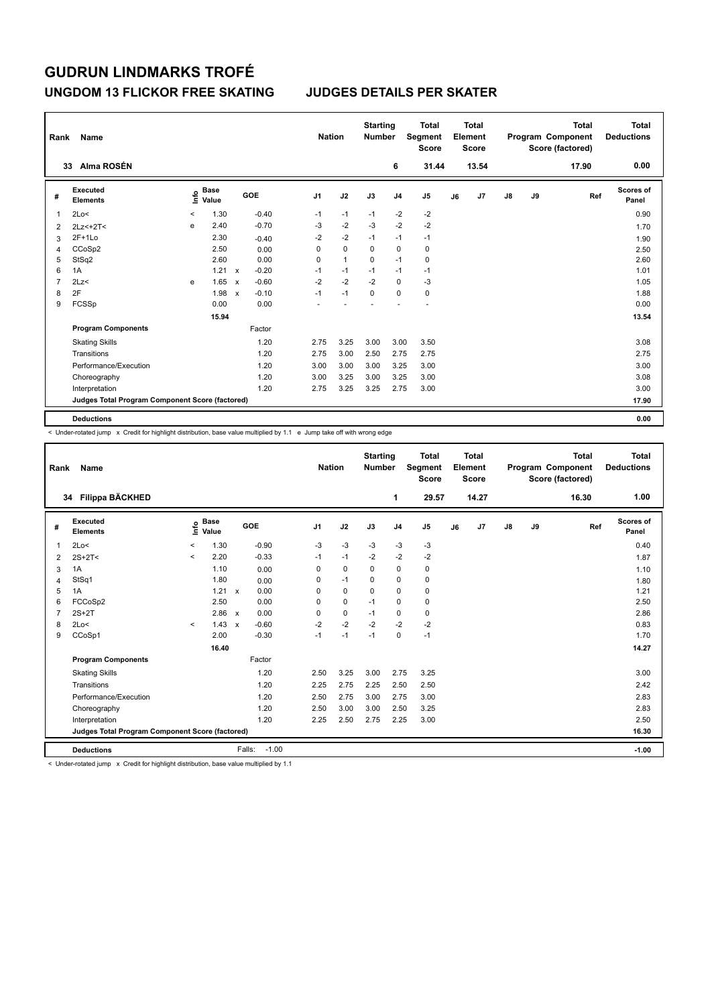## **UNGDOM 13 FLICKOR FREE SKATING JUDGES DETAILS PER SKATER**

| Rank | Name                                            |         |                      |                           |         |                | <b>Nation</b> | <b>Starting</b><br><b>Number</b> |                | <b>Total</b><br>Segment<br><b>Score</b> |    | Total<br>Element<br><b>Score</b> |               |    | <b>Total</b><br>Program Component<br>Score (factored) | Total<br><b>Deductions</b> |
|------|-------------------------------------------------|---------|----------------------|---------------------------|---------|----------------|---------------|----------------------------------|----------------|-----------------------------------------|----|----------------------------------|---------------|----|-------------------------------------------------------|----------------------------|
|      | Alma ROSÉN<br>33                                |         |                      |                           |         |                |               |                                  | 6              | 31.44                                   |    | 13.54                            |               |    | 17.90                                                 | 0.00                       |
| #    | <b>Executed</b><br><b>Elements</b>              | ١nf٥    | <b>Base</b><br>Value |                           | GOE     | J <sub>1</sub> | J2            | J3                               | J <sub>4</sub> | J5                                      | J6 | J7                               | $\mathsf{J}8$ | J9 | Ref                                                   | <b>Scores of</b><br>Panel  |
| 1    | 2Lo<                                            | $\,<\,$ | 1.30                 |                           | $-0.40$ | $-1$           | $-1$          | $-1$                             | $-2$           | $-2$                                    |    |                                  |               |    |                                                       | 0.90                       |
| 2    | $2Lz<+2T<$                                      | e       | 2.40                 |                           | $-0.70$ | $-3$           | $-2$          | $-3$                             | $-2$           | $-2$                                    |    |                                  |               |    |                                                       | 1.70                       |
| 3    | $2F+1Lo$                                        |         | 2.30                 |                           | $-0.40$ | $-2$           | $-2$          | $-1$                             | $-1$           | $-1$                                    |    |                                  |               |    |                                                       | 1.90                       |
| 4    | CCoSp2                                          |         | 2.50                 |                           | 0.00    | 0              | $\Omega$      | $\Omega$                         | $\mathbf 0$    | $\pmb{0}$                               |    |                                  |               |    |                                                       | 2.50                       |
| 5    | StSq2                                           |         | 2.60                 |                           | 0.00    | 0              | $\mathbf{1}$  | 0                                | $-1$           | 0                                       |    |                                  |               |    |                                                       | 2.60                       |
| 6    | 1A                                              |         | 1.21                 | $\mathsf{x}$              | $-0.20$ | $-1$           | $-1$          | $-1$                             | $-1$           | $-1$                                    |    |                                  |               |    |                                                       | 1.01                       |
| 7    | 2Lz<                                            | e       | 1.65                 | $\boldsymbol{\mathsf{x}}$ | $-0.60$ | $-2$           | $-2$          | $-2$                             | $\mathbf 0$    | $-3$                                    |    |                                  |               |    |                                                       | 1.05                       |
| 8    | 2F                                              |         | 1.98                 | $\mathsf{x}$              | $-0.10$ | $-1$           | $-1$          | 0                                | 0              | $\pmb{0}$                               |    |                                  |               |    |                                                       | 1.88                       |
| 9    | FCSSp                                           |         | 0.00                 |                           | 0.00    |                |               |                                  |                |                                         |    |                                  |               |    |                                                       | 0.00                       |
|      |                                                 |         | 15.94                |                           |         |                |               |                                  |                |                                         |    |                                  |               |    |                                                       | 13.54                      |
|      | <b>Program Components</b>                       |         |                      |                           | Factor  |                |               |                                  |                |                                         |    |                                  |               |    |                                                       |                            |
|      | <b>Skating Skills</b>                           |         |                      |                           | 1.20    | 2.75           | 3.25          | 3.00                             | 3.00           | 3.50                                    |    |                                  |               |    |                                                       | 3.08                       |
|      | Transitions                                     |         |                      |                           | 1.20    | 2.75           | 3.00          | 2.50                             | 2.75           | 2.75                                    |    |                                  |               |    |                                                       | 2.75                       |
|      | Performance/Execution                           |         |                      |                           | 1.20    | 3.00           | 3.00          | 3.00                             | 3.25           | 3.00                                    |    |                                  |               |    |                                                       | 3.00                       |
|      | Choreography                                    |         |                      |                           | 1.20    | 3.00           | 3.25          | 3.00                             | 3.25           | 3.00                                    |    |                                  |               |    |                                                       | 3.08                       |
|      | Interpretation                                  |         |                      |                           | 1.20    | 2.75           | 3.25          | 3.25                             | 2.75           | 3.00                                    |    |                                  |               |    |                                                       | 3.00                       |
|      | Judges Total Program Component Score (factored) |         |                      |                           |         |                |               |                                  |                |                                         |    |                                  |               |    |                                                       | 17.90                      |
|      | <b>Deductions</b>                               |         |                      |                           |         |                |               |                                  |                |                                         |    |                                  |               |    |                                                       | 0.00                       |

 $\leq$  Under-rotated jump  $\geq$  Credit for highlight distribution, base value multiplied by 1.1 e Jump take off with wrong edge

| Rank           | Name                                            |         |                      |                           |                   | <b>Nation</b>  |             | <b>Starting</b><br><b>Number</b> |                | <b>Total</b><br>Segment<br><b>Score</b> |    | <b>Total</b><br>Element<br><b>Score</b> |               |    | <b>Total</b><br>Program Component<br>Score (factored) | <b>Total</b><br><b>Deductions</b> |
|----------------|-------------------------------------------------|---------|----------------------|---------------------------|-------------------|----------------|-------------|----------------------------------|----------------|-----------------------------------------|----|-----------------------------------------|---------------|----|-------------------------------------------------------|-----------------------------------|
|                | Filippa BÄCKHED<br>34                           |         |                      |                           |                   |                |             |                                  | 1              | 29.57                                   |    | 14.27                                   |               |    | 16.30                                                 | 1.00                              |
| #              | Executed<br><b>Elements</b>                     | ۴       | <b>Base</b><br>Value |                           | GOE               | J <sub>1</sub> | J2          | J3                               | J <sub>4</sub> | J <sub>5</sub>                          | J6 | J7                                      | $\mathsf{J}8$ | J9 | Ref                                                   | Scores of<br>Panel                |
| 1              | 2Lo<                                            | $\,<\,$ | 1.30                 |                           | $-0.90$           | $-3$           | $-3$        | -3                               | -3             | -3                                      |    |                                         |               |    |                                                       | 0.40                              |
| $\overline{2}$ | $2S+2T<$                                        | $\prec$ | 2.20                 |                           | $-0.33$           | $-1$           | $-1$        | $-2$                             | $-2$           | $-2$                                    |    |                                         |               |    |                                                       | 1.87                              |
| 3              | 1A                                              |         | 1.10                 |                           | 0.00              | 0              | $\mathbf 0$ | 0                                | $\mathbf 0$    | 0                                       |    |                                         |               |    |                                                       | 1.10                              |
| 4              | StSq1                                           |         | 1.80                 |                           | 0.00              | 0              | $-1$        | 0                                | 0              | $\mathbf 0$                             |    |                                         |               |    |                                                       | 1.80                              |
| 5              | 1A                                              |         | 1.21                 | $\mathsf{x}$              | 0.00              | 0              | 0           | 0                                | $\mathbf 0$    | 0                                       |    |                                         |               |    |                                                       | 1.21                              |
| 6              | FCCoSp2                                         |         | 2.50                 |                           | 0.00              | 0              | $\mathbf 0$ | $-1$                             | $\mathbf 0$    | $\pmb{0}$                               |    |                                         |               |    |                                                       | 2.50                              |
| $\overline{7}$ | $2S+2T$                                         |         | 2.86                 | $\mathbf{x}$              | 0.00              | 0              | 0           | $-1$                             | 0              | 0                                       |    |                                         |               |    |                                                       | 2.86                              |
| 8              | 2Lo<                                            | $\prec$ | 1.43                 | $\boldsymbol{\mathsf{x}}$ | $-0.60$           | $-2$           | $-2$        | $-2$                             | $-2$           | $-2$                                    |    |                                         |               |    |                                                       | 0.83                              |
| 9              | CCoSp1                                          |         | 2.00                 |                           | $-0.30$           | $-1$           | $-1$        | $-1$                             | $\pmb{0}$      | $-1$                                    |    |                                         |               |    |                                                       | 1.70                              |
|                |                                                 |         | 16.40                |                           |                   |                |             |                                  |                |                                         |    |                                         |               |    |                                                       | 14.27                             |
|                | <b>Program Components</b>                       |         |                      |                           | Factor            |                |             |                                  |                |                                         |    |                                         |               |    |                                                       |                                   |
|                | <b>Skating Skills</b>                           |         |                      |                           | 1.20              | 2.50           | 3.25        | 3.00                             | 2.75           | 3.25                                    |    |                                         |               |    |                                                       | 3.00                              |
|                | Transitions                                     |         |                      |                           | 1.20              | 2.25           | 2.75        | 2.25                             | 2.50           | 2.50                                    |    |                                         |               |    |                                                       | 2.42                              |
|                | Performance/Execution                           |         |                      |                           | 1.20              | 2.50           | 2.75        | 3.00                             | 2.75           | 3.00                                    |    |                                         |               |    |                                                       | 2.83                              |
|                | Choreography                                    |         |                      |                           | 1.20              | 2.50           | 3.00        | 3.00                             | 2.50           | 3.25                                    |    |                                         |               |    |                                                       | 2.83                              |
|                | Interpretation                                  |         |                      |                           | 1.20              | 2.25           | 2.50        | 2.75                             | 2.25           | 3.00                                    |    |                                         |               |    |                                                       | 2.50                              |
|                | Judges Total Program Component Score (factored) |         |                      |                           |                   |                |             |                                  |                |                                         |    |                                         |               |    |                                                       | 16.30                             |
|                | <b>Deductions</b>                               |         |                      |                           | $-1.00$<br>Falls: |                |             |                                  |                |                                         |    |                                         |               |    |                                                       | $-1.00$                           |

< Under-rotated jump x Credit for highlight distribution, base value multiplied by 1.1